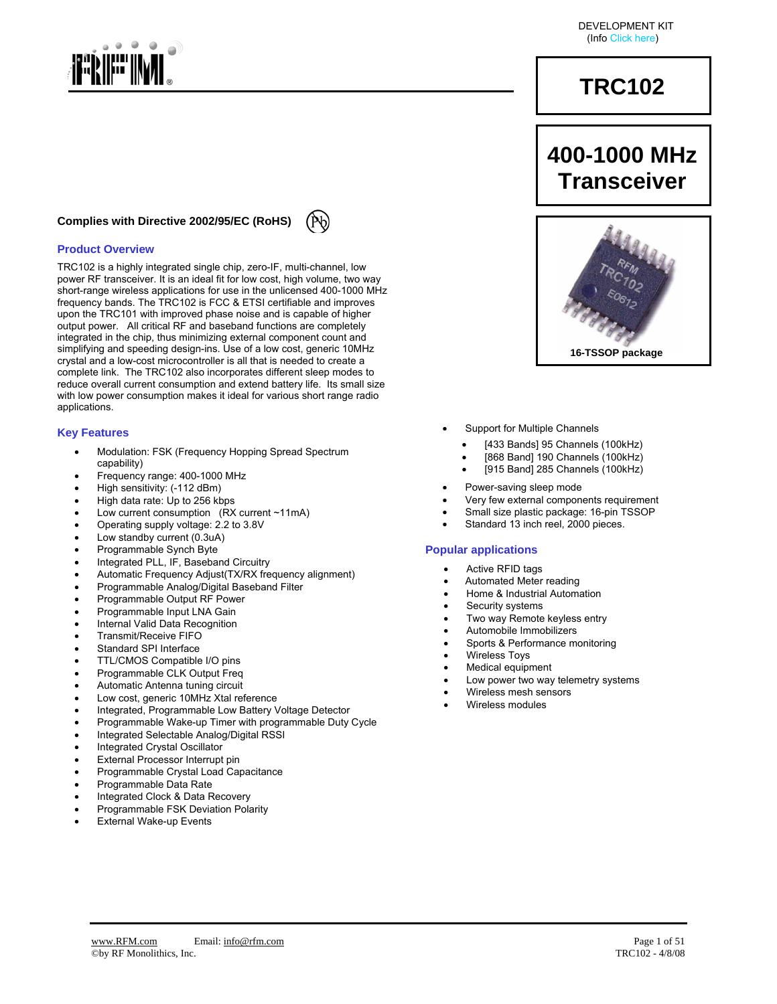

#### **Complies with Directive 2002/95/EC (RoHS)**

#### **Product Overview**

TRC102 is a highly integrated single chip, zero-IF, multi-channel, low power RF transceiver. It is an ideal fit for low cost, high volume, two way short-range wireless applications for use in the unlicensed 400-1000 MHz frequency bands. The TRC102 is FCC & ETSI certifiable and improves upon the TRC101 with improved phase noise and is capable of higher output power. All critical RF and baseband functions are completely integrated in the chip, thus minimizing external component count and simplifying and speeding design-ins. Use of a low cost, generic 10MHz crystal and a low-cost microcontroller is all that is needed to create a complete link. The TRC102 also incorporates different sleep modes to reduce overall current consumption and extend battery life. Its small size with low power consumption makes it ideal for various short range radio applications.

#### **Key Features**

- Modulation: FSK (Frequency Hopping Spread Spectrum capability)
- Frequency range: 400-1000 MHz
- High sensitivity: (-112 dBm)
- High data rate: Up to 256 kbps
- Low current consumption  $(RX$  current ~11mA)
- Operating supply voltage: 2.2 to 3.8V
- Low standby current (0.3uA)
- Programmable Synch Byte
- Integrated PLL, IF, Baseband Circuitry
- Automatic Frequency Adjust(TX/RX frequency alignment)
- Programmable Analog/Digital Baseband Filter
- Programmable Output RF Power
- Programmable Input LNA Gain
- Internal Valid Data Recognition
- Transmit/Receive FIFO
- Standard SPI Interface
- TTL/CMOS Compatible I/O pins
- Programmable CLK Output Freg
- Automatic Antenna tuning circuit
- Low cost, generic 10MHz Xtal reference
- Integrated, Programmable Low Battery Voltage Detector
- Programmable Wake-up Timer with programmable Duty Cycle
- Integrated Selectable Analog/Digital RSSI
- Integrated Crystal Oscillator
- **External Processor Interrupt pin**
- Programmable Crystal Load Capacitance
- Programmable Data Rate
- Integrated Clock & Data Recovery
- Programmable FSK Deviation Polarity
- **External Wake-up Events**

DEVELOPMENT KIT (Info Click here)

# **TRC102**

# **400-1000 MHz Transceiver**



- Support for Multiple Channels
	- [433 Bands] 95 Channels (100kHz)
	- [868 Band] 190 Channels (100kHz)
	- [915 Band] 285 Channels (100kHz)
- Power-saving sleep mode
- Very few external components requirement
- Small size plastic package: 16-pin TSSOP
- Standard 13 inch reel, 2000 pieces.

#### **Popular applications**

- Active RFID tags
- Automated Meter reading
- Home & Industrial Automation
- Security systems
- Two way Remote keyless entry
- Automobile Immobilizers
- Sports & Performance monitoring
- Wireless Toys
- Medical equipment
- Low power two way telemetry systems
- Wireless mesh sensors
- Wireless modules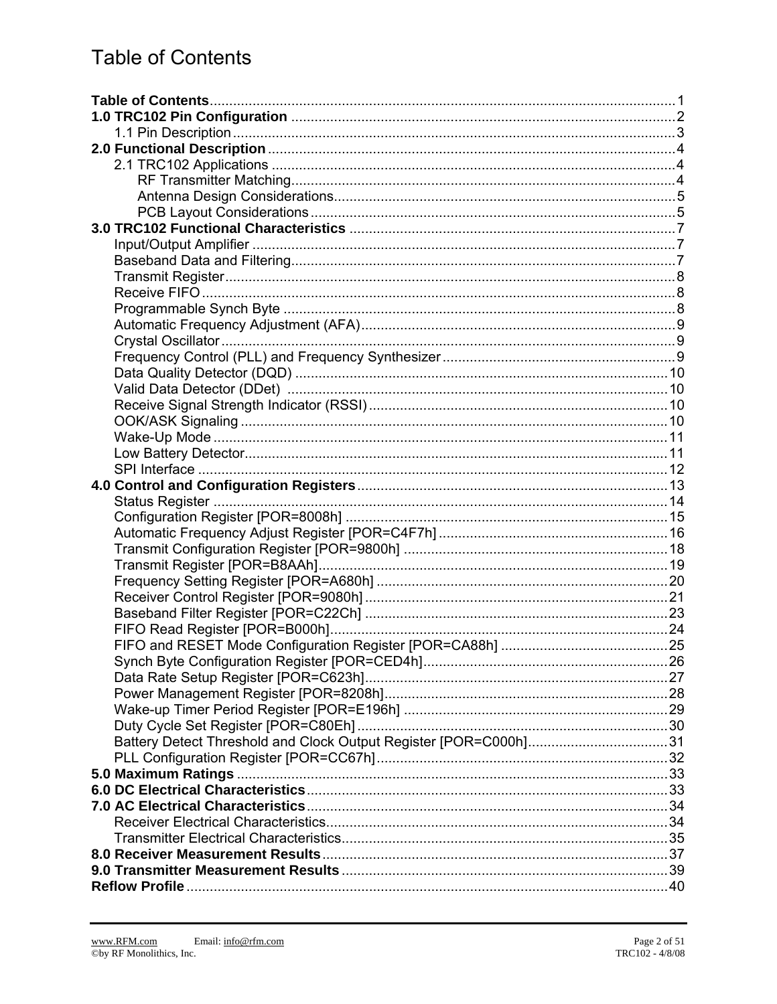# **Table of Contents**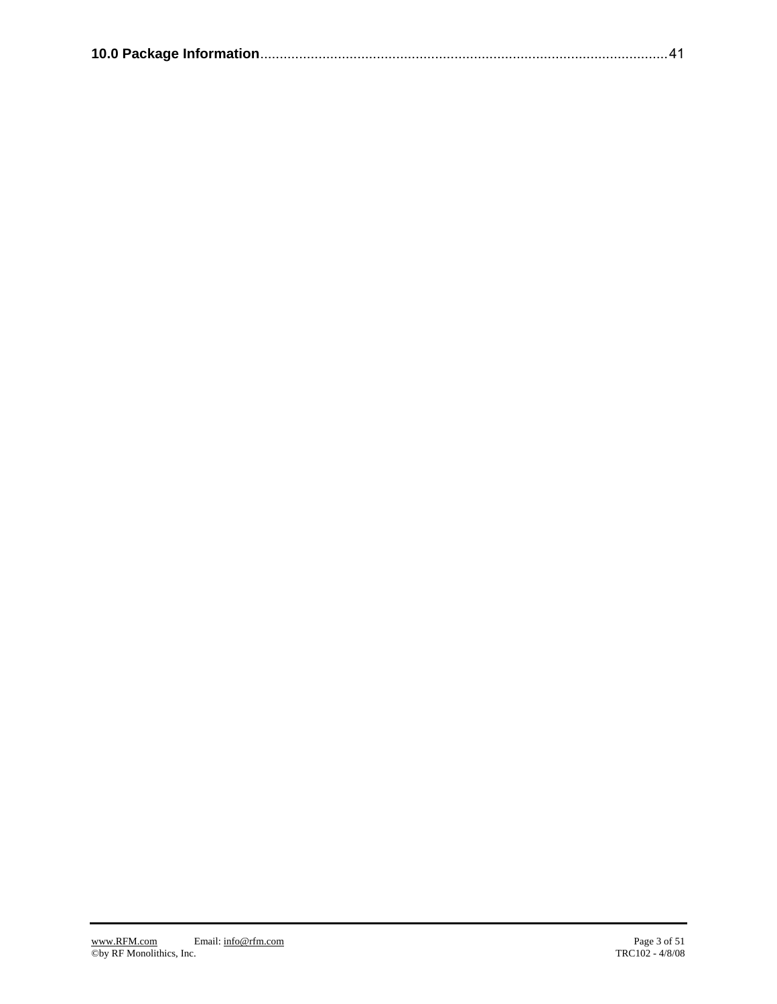|--|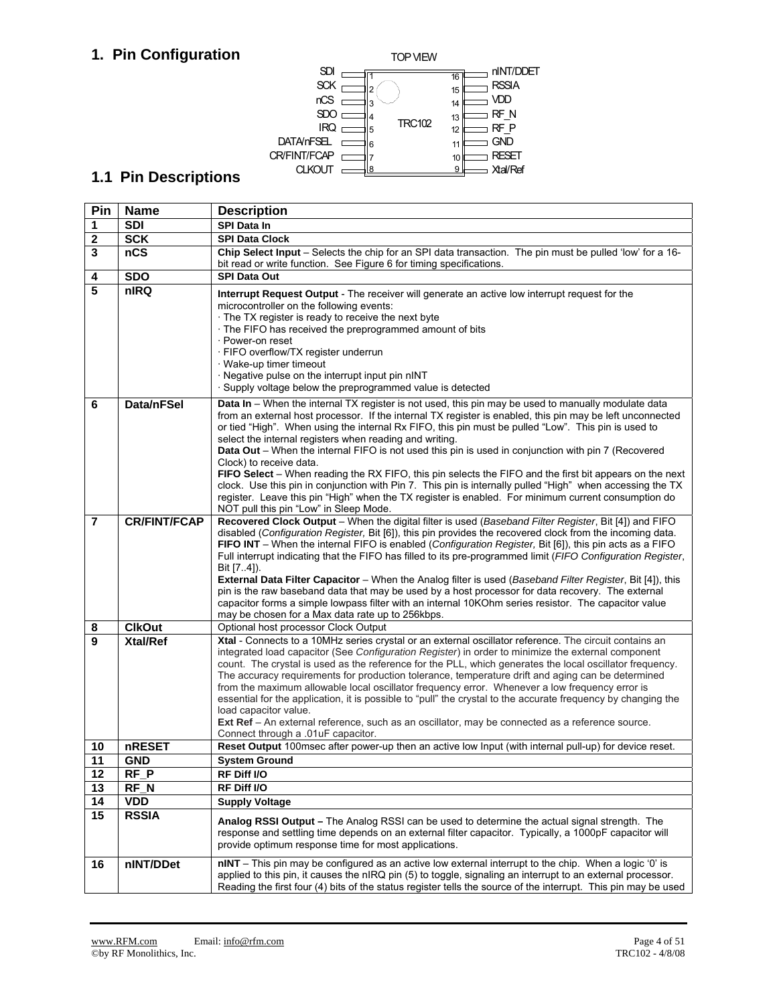## **1. Pin Configuration**



## **1.1 Pin Descriptions**

| Pin                     | <b>Name</b>         | <b>Description</b>                                                                                                                                                                                                                                                                                                                                                                                                                                                                                                                                                                                                                                                                                                                                                                                                                                                                            |
|-------------------------|---------------------|-----------------------------------------------------------------------------------------------------------------------------------------------------------------------------------------------------------------------------------------------------------------------------------------------------------------------------------------------------------------------------------------------------------------------------------------------------------------------------------------------------------------------------------------------------------------------------------------------------------------------------------------------------------------------------------------------------------------------------------------------------------------------------------------------------------------------------------------------------------------------------------------------|
| 1                       | <b>SDI</b>          | <b>SPI Data In</b>                                                                                                                                                                                                                                                                                                                                                                                                                                                                                                                                                                                                                                                                                                                                                                                                                                                                            |
| $\mathbf 2$             | <b>SCK</b>          | <b>SPI Data Clock</b>                                                                                                                                                                                                                                                                                                                                                                                                                                                                                                                                                                                                                                                                                                                                                                                                                                                                         |
| 3                       | nCS                 | Chip Select Input – Selects the chip for an SPI data transaction. The pin must be pulled 'low' for a 16-                                                                                                                                                                                                                                                                                                                                                                                                                                                                                                                                                                                                                                                                                                                                                                                      |
|                         |                     | bit read or write function. See Figure 6 for timing specifications.                                                                                                                                                                                                                                                                                                                                                                                                                                                                                                                                                                                                                                                                                                                                                                                                                           |
| 4                       | <b>SDO</b>          | <b>SPI Data Out</b>                                                                                                                                                                                                                                                                                                                                                                                                                                                                                                                                                                                                                                                                                                                                                                                                                                                                           |
| 5                       | nIRQ                | <b>Interrupt Request Output</b> - The receiver will generate an active low interrupt request for the<br>microcontroller on the following events:<br>The TX register is ready to receive the next byte<br>The FIFO has received the preprogrammed amount of bits<br>· Power-on reset<br>· FIFO overflow/TX register underrun<br>· Wake-up timer timeout<br>· Negative pulse on the interrupt input pin nINT<br>· Supply voltage below the preprogrammed value is detected                                                                                                                                                                                                                                                                                                                                                                                                                      |
| 6                       | Data/nFSel          | Data In - When the internal TX register is not used, this pin may be used to manually modulate data<br>from an external host processor. If the internal TX register is enabled, this pin may be left unconnected<br>or tied "High". When using the internal Rx FIFO, this pin must be pulled "Low". This pin is used to<br>select the internal registers when reading and writing.<br>Data Out – When the internal FIFO is not used this pin is used in conjunction with pin 7 (Recovered<br>Clock) to receive data.<br>FIFO Select - When reading the RX FIFO, this pin selects the FIFO and the first bit appears on the next<br>clock. Use this pin in conjunction with Pin 7. This pin is internally pulled "High" when accessing the TX<br>register. Leave this pin "High" when the TX register is enabled. For minimum current consumption do<br>NOT pull this pin "Low" in Sleep Mode. |
| $\overline{\mathbf{7}}$ | <b>CR/FINT/FCAP</b> | Recovered Clock Output - When the digital filter is used (Baseband Filter Register, Bit [4]) and FIFO<br>disabled (Configuration Register, Bit [6]), this pin provides the recovered clock from the incoming data.<br>FIFO INT - When the internal FIFO is enabled (Configuration Register, Bit [6]), this pin acts as a FIFO<br>Full interrupt indicating that the FIFO has filled to its pre-programmed limit (FIFO Configuration Register,<br>Bit [7.4]).<br><b>External Data Filter Capacitor</b> – When the Analog filter is used (Baseband Filter Register, Bit [4]), this<br>pin is the raw baseband data that may be used by a host processor for data recovery. The external<br>capacitor forms a simple lowpass filter with an internal 10KOhm series resistor. The capacitor value<br>may be chosen for a Max data rate up to 256kbps.                                             |
| 8                       | <b>ClkOut</b>       | Optional host processor Clock Output                                                                                                                                                                                                                                                                                                                                                                                                                                                                                                                                                                                                                                                                                                                                                                                                                                                          |
| 9                       | <b>Xtal/Ref</b>     | Xtal - Connects to a 10MHz series crystal or an external oscillator reference. The circuit contains an<br>integrated load capacitor (See Configuration Register) in order to minimize the external component<br>count. The crystal is used as the reference for the PLL, which generates the local oscillator frequency.<br>The accuracy requirements for production tolerance, temperature drift and aging can be determined<br>from the maximum allowable local oscillator frequency error. Whenever a low frequency error is<br>essential for the application, it is possible to "pull" the crystal to the accurate frequency by changing the<br>load capacitor value.<br>Ext Ref - An external reference, such as an oscillator, may be connected as a reference source.<br>Connect through a .01uF capacitor.                                                                            |
| 10                      | nRESET              | Reset Output 100msec after power-up then an active low Input (with internal pull-up) for device reset.                                                                                                                                                                                                                                                                                                                                                                                                                                                                                                                                                                                                                                                                                                                                                                                        |
| 11                      | <b>GND</b>          | <b>System Ground</b>                                                                                                                                                                                                                                                                                                                                                                                                                                                                                                                                                                                                                                                                                                                                                                                                                                                                          |
| 12                      | $RF_P$              | RF Diff I/O                                                                                                                                                                                                                                                                                                                                                                                                                                                                                                                                                                                                                                                                                                                                                                                                                                                                                   |
| $\overline{13}$         | $RF_N$              | RF Diff I/O                                                                                                                                                                                                                                                                                                                                                                                                                                                                                                                                                                                                                                                                                                                                                                                                                                                                                   |
| 14                      | <b>VDD</b>          | <b>Supply Voltage</b>                                                                                                                                                                                                                                                                                                                                                                                                                                                                                                                                                                                                                                                                                                                                                                                                                                                                         |
| 15                      | <b>RSSIA</b>        | Analog RSSI Output – The Analog RSSI can be used to determine the actual signal strength. The<br>response and settling time depends on an external filter capacitor. Typically, a 1000pF capacitor will<br>provide optimum response time for most applications.                                                                                                                                                                                                                                                                                                                                                                                                                                                                                                                                                                                                                               |
| 16                      | nINT/DDet           | nINT – This pin may be configured as an active low external interrupt to the chip. When a logic '0' is<br>applied to this pin, it causes the nIRQ pin (5) to toggle, signaling an interrupt to an external processor.<br>Reading the first four (4) bits of the status register tells the source of the interrupt. This pin may be used                                                                                                                                                                                                                                                                                                                                                                                                                                                                                                                                                       |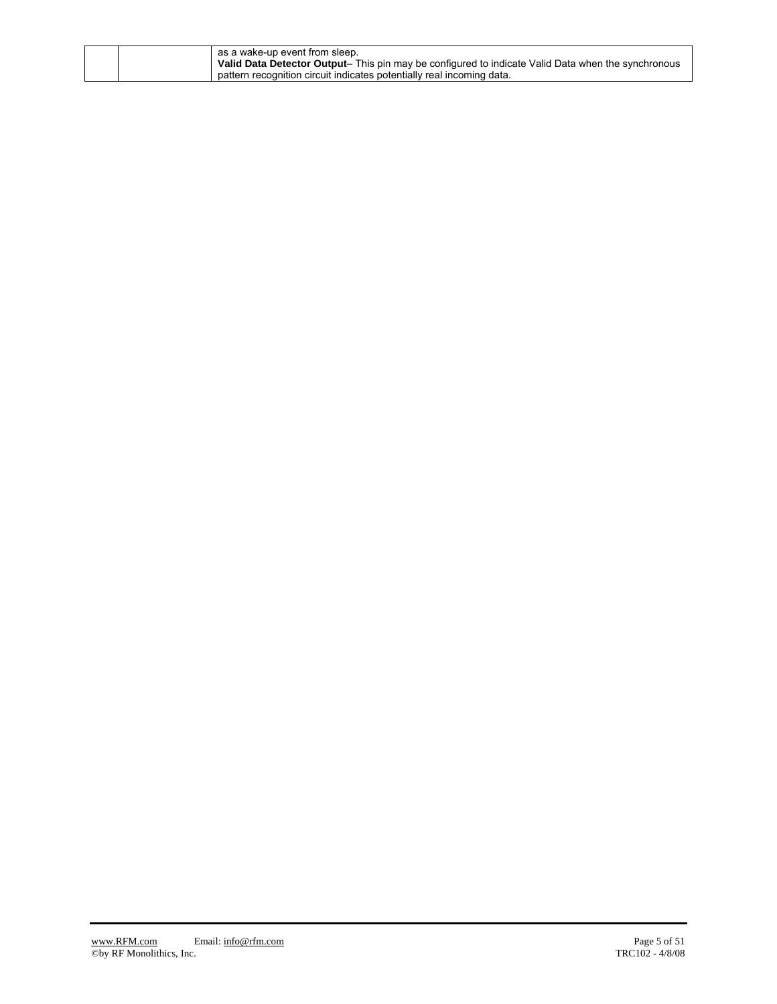| as a wake-up event from sleep.<br>Valid Data Detector Output- This pin may be configured to indicate Valid Data when the synchronous |
|--------------------------------------------------------------------------------------------------------------------------------------|
| pattern recognition circuit indicates potentially real incoming data.                                                                |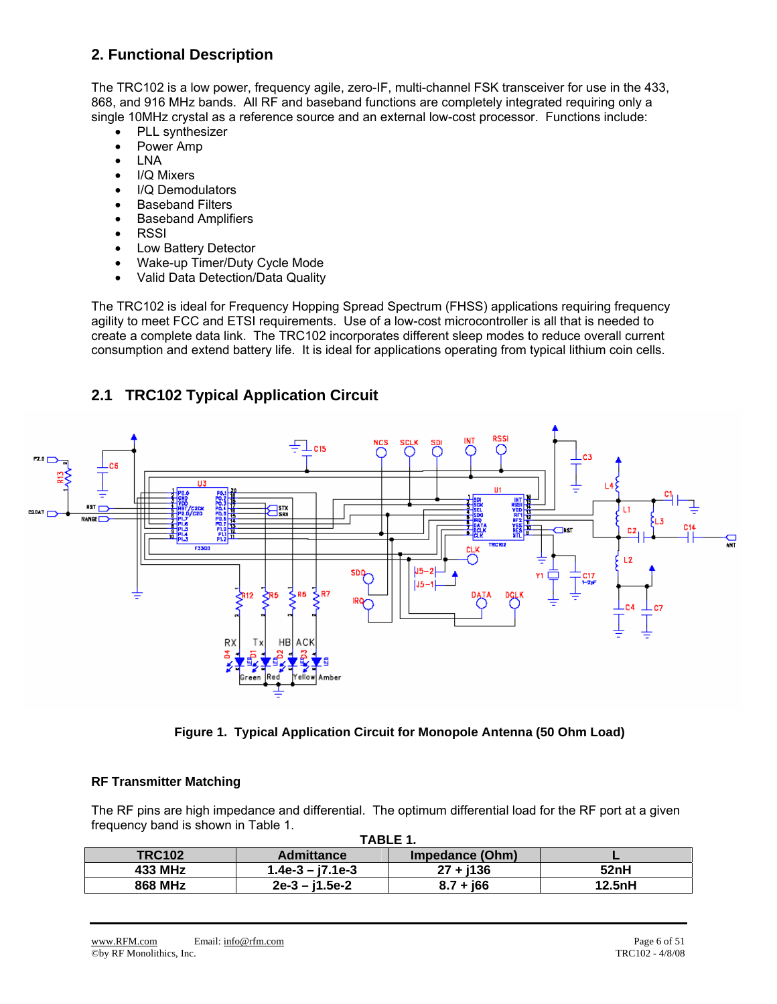## **2. Functional Description**

The TRC102 is a low power, frequency agile, zero-IF, multi-channel FSK transceiver for use in the 433, 868, and 916 MHz bands. All RF and baseband functions are completely integrated requiring only a single 10MHz crystal as a reference source and an external low-cost processor. Functions include:

- PLL synthesizer
- Power Amp
- LNA
- I/Q Mixers
- I/Q Demodulators
- Baseband Filters
- Baseband Amplifiers
- RSSI
- Low Battery Detector
- Wake-up Timer/Duty Cycle Mode
- Valid Data Detection/Data Quality

The TRC102 is ideal for Frequency Hopping Spread Spectrum (FHSS) applications requiring frequency agility to meet FCC and ETSI requirements. Use of a low-cost microcontroller is all that is needed to create a complete data link. The TRC102 incorporates different sleep modes to reduce overall current consumption and extend battery life. It is ideal for applications operating from typical lithium coin cells.

## **2.1 TRC102 Typical Application Circuit**



**Figure 1. Typical Application Circuit for Monopole Antenna (50 Ohm Load)** 

#### **RF Transmitter Matching**

The RF pins are high impedance and differential. The optimum differential load for the RF port at a given frequency band is shown in Table 1. **TABLE 1.** 

|                | IABLE I.           |                 |        |  |  |  |  |  |  |  |  |  |  |  |
|----------------|--------------------|-----------------|--------|--|--|--|--|--|--|--|--|--|--|--|
| <b>TRC102</b>  | <b>Admittance</b>  | Impedance (Ohm) |        |  |  |  |  |  |  |  |  |  |  |  |
| 433 MHz        | $1.4e-3 - i7.1e-3$ | $27 + i136$     | 52nH   |  |  |  |  |  |  |  |  |  |  |  |
| <b>868 MHz</b> | $2e-3 - i1.5e-2$   | $8.7 + 166$     | 12.5nH |  |  |  |  |  |  |  |  |  |  |  |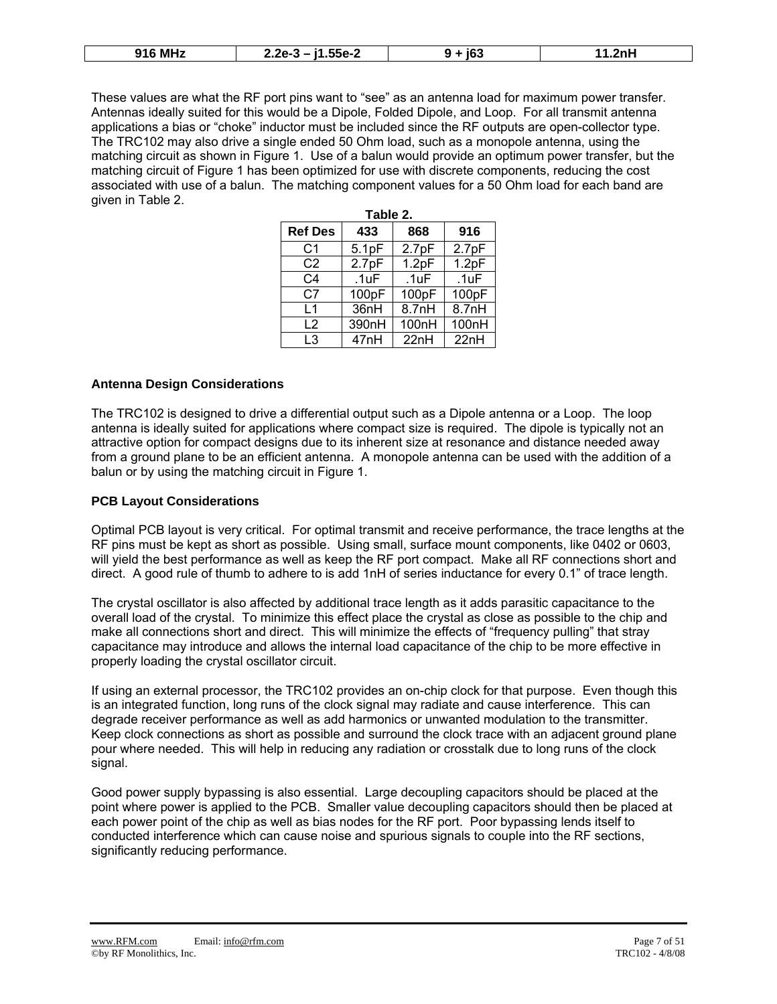| つへに<br>.55e-2<br>- בר<br>. .<br>--<br>.v.<br>.<br>--- | 916 MH <sub>2</sub> |  |  |  |
|-------------------------------------------------------|---------------------|--|--|--|
|-------------------------------------------------------|---------------------|--|--|--|

These values are what the RF port pins want to "see" as an antenna load for maximum power transfer. Antennas ideally suited for this would be a Dipole, Folded Dipole, and Loop. For all transmit antenna applications a bias or "choke" inductor must be included since the RF outputs are open-collector type. The TRC102 may also drive a single ended 50 Ohm load, such as a monopole antenna, using the matching circuit as shown in Figure 1. Use of a balun would provide an optimum power transfer, but the matching circuit of Figure 1 has been optimized for use with discrete components, reducing the cost associated with use of a balun. The matching component values for a 50 Ohm load for each band are given in Table 2.

|                | Table 2. |                    |       |
|----------------|----------|--------------------|-------|
| <b>Ref Des</b> | 433      | 868                | 916   |
| C <sub>1</sub> | 5.1pF    | 2.7pF              | 2.7pF |
| C <sub>2</sub> | 2.7pF    | 1.2pF              | 1.2pF |
| C <sub>4</sub> | .1uF     | .1uF               | .1uF  |
| C <sub>7</sub> | 100pF    | 100pF              | 100pF |
| L1             | 36nH     | 8.7nH              | 8.7nH |
| $\mathsf{L}2$  | 390nH    | 100 <sub>n</sub> H | 100nH |
| L <sub>3</sub> | 47nH     | 22nH               | 22nH  |

#### **Antenna Design Considerations**

The TRC102 is designed to drive a differential output such as a Dipole antenna or a Loop. The loop antenna is ideally suited for applications where compact size is required. The dipole is typically not an attractive option for compact designs due to its inherent size at resonance and distance needed away from a ground plane to be an efficient antenna. A monopole antenna can be used with the addition of a balun or by using the matching circuit in Figure 1.

#### **PCB Layout Considerations**

Optimal PCB layout is very critical. For optimal transmit and receive performance, the trace lengths at the RF pins must be kept as short as possible. Using small, surface mount components, like 0402 or 0603, will yield the best performance as well as keep the RF port compact. Make all RF connections short and direct. A good rule of thumb to adhere to is add 1nH of series inductance for every 0.1" of trace length.

The crystal oscillator is also affected by additional trace length as it adds parasitic capacitance to the overall load of the crystal. To minimize this effect place the crystal as close as possible to the chip and make all connections short and direct. This will minimize the effects of "frequency pulling" that stray capacitance may introduce and allows the internal load capacitance of the chip to be more effective in properly loading the crystal oscillator circuit.

If using an external processor, the TRC102 provides an on-chip clock for that purpose. Even though this is an integrated function, long runs of the clock signal may radiate and cause interference. This can degrade receiver performance as well as add harmonics or unwanted modulation to the transmitter. Keep clock connections as short as possible and surround the clock trace with an adjacent ground plane pour where needed. This will help in reducing any radiation or crosstalk due to long runs of the clock signal.

Good power supply bypassing is also essential. Large decoupling capacitors should be placed at the point where power is applied to the PCB. Smaller value decoupling capacitors should then be placed at each power point of the chip as well as bias nodes for the RF port. Poor bypassing lends itself to conducted interference which can cause noise and spurious signals to couple into the RF sections, significantly reducing performance.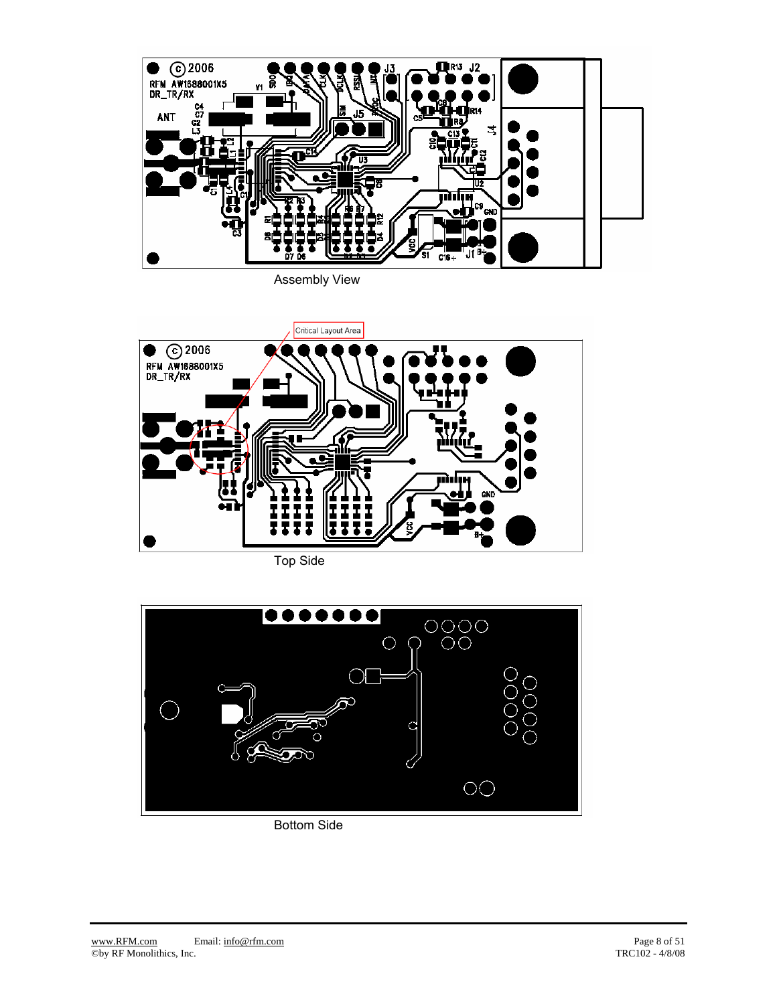

Assembly View



Top Side



Bottom Side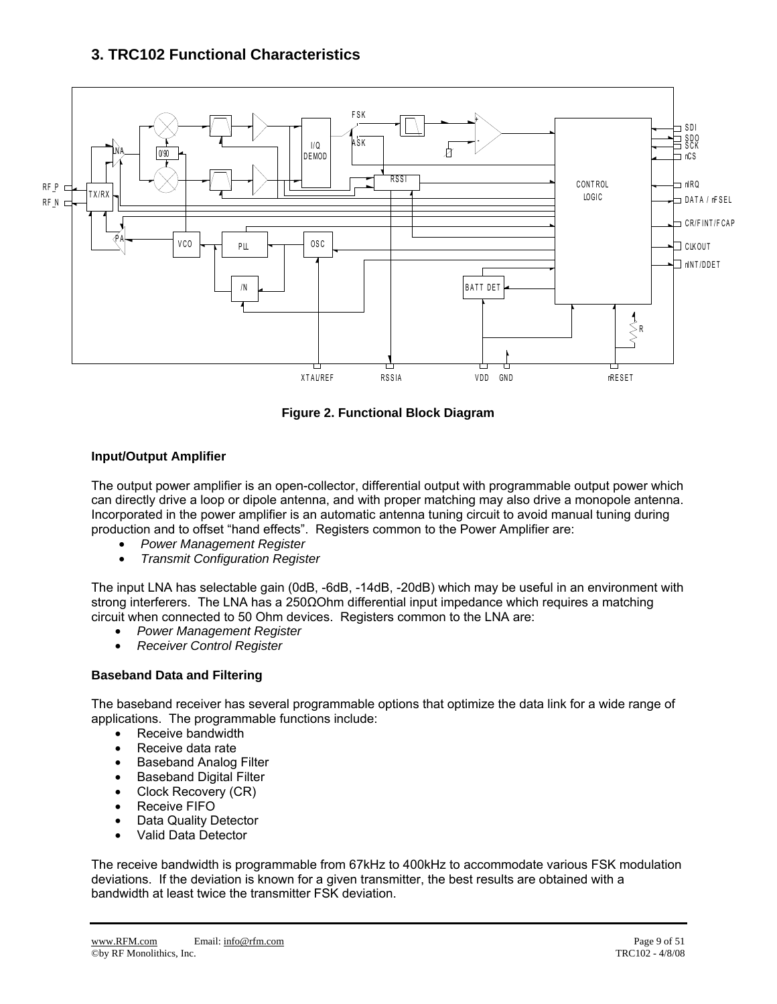## **3. TRC102 Functional Characteristics**



**Figure 2. Functional Block Diagram** 

#### **Input/Output Amplifier**

The output power amplifier is an open-collector, differential output with programmable output power which can directly drive a loop or dipole antenna, and with proper matching may also drive a monopole antenna. Incorporated in the power amplifier is an automatic antenna tuning circuit to avoid manual tuning during production and to offset "hand effects". Registers common to the Power Amplifier are:

- *Power Management Register*
- *Transmit Configuration Register*

The input LNA has selectable gain (0dB, -6dB, -14dB, -20dB) which may be useful in an environment with strong interferers. The LNA has a 250ΩOhm differential input impedance which requires a matching circuit when connected to 50 Ohm devices. Registers common to the LNA are:

- *Power Management Register*
- *Receiver Control Register*

#### **Baseband Data and Filtering**

The baseband receiver has several programmable options that optimize the data link for a wide range of applications. The programmable functions include:

- Receive bandwidth
- Receive data rate
- Baseband Analog Filter
- Baseband Digital Filter
- Clock Recovery (CR)
- Receive FIFO
- Data Quality Detector
- Valid Data Detector

The receive bandwidth is programmable from 67kHz to 400kHz to accommodate various FSK modulation deviations. If the deviation is known for a given transmitter, the best results are obtained with a bandwidth at least twice the transmitter FSK deviation.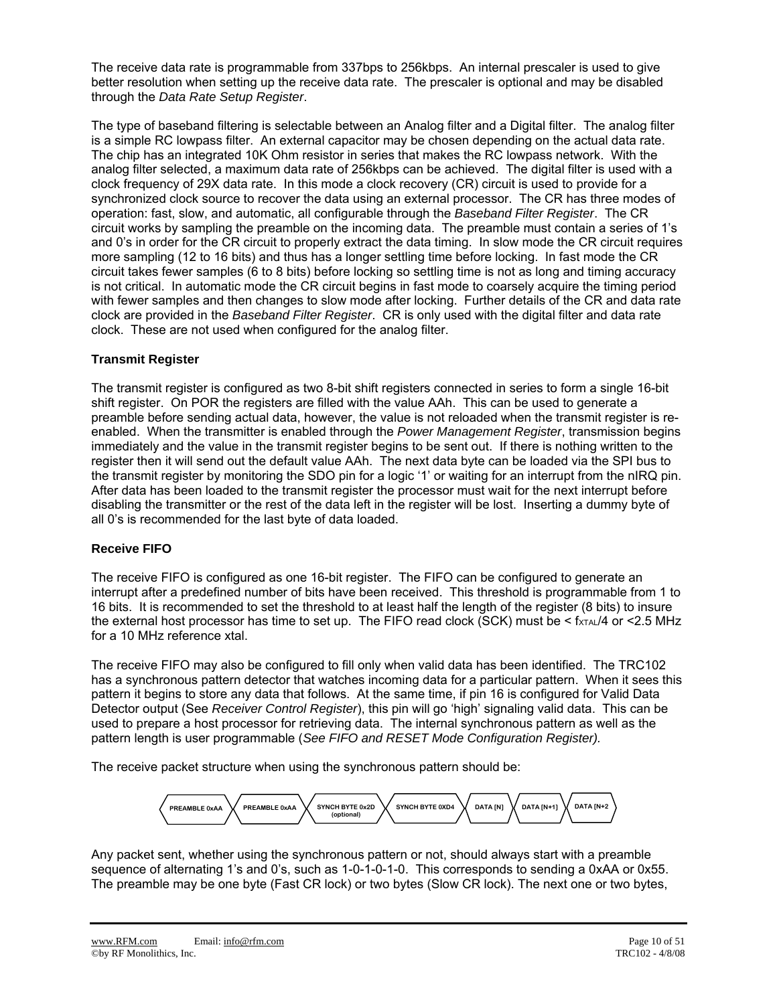The receive data rate is programmable from 337bps to 256kbps. An internal prescaler is used to give better resolution when setting up the receive data rate. The prescaler is optional and may be disabled through the *Data Rate Setup Register*.

The type of baseband filtering is selectable between an Analog filter and a Digital filter. The analog filter is a simple RC lowpass filter. An external capacitor may be chosen depending on the actual data rate. The chip has an integrated 10K Ohm resistor in series that makes the RC lowpass network. With the analog filter selected, a maximum data rate of 256kbps can be achieved. The digital filter is used with a clock frequency of 29X data rate. In this mode a clock recovery (CR) circuit is used to provide for a synchronized clock source to recover the data using an external processor. The CR has three modes of operation: fast, slow, and automatic, all configurable through the *Baseband Filter Register*. The CR circuit works by sampling the preamble on the incoming data. The preamble must contain a series of 1's and 0's in order for the CR circuit to properly extract the data timing. In slow mode the CR circuit requires more sampling (12 to 16 bits) and thus has a longer settling time before locking. In fast mode the CR circuit takes fewer samples (6 to 8 bits) before locking so settling time is not as long and timing accuracy is not critical. In automatic mode the CR circuit begins in fast mode to coarsely acquire the timing period with fewer samples and then changes to slow mode after locking. Further details of the CR and data rate clock are provided in the *Baseband Filter Register*. CR is only used with the digital filter and data rate clock. These are not used when configured for the analog filter.

#### **Transmit Register**

The transmit register is configured as two 8-bit shift registers connected in series to form a single 16-bit shift register. On POR the registers are filled with the value AAh. This can be used to generate a preamble before sending actual data, however, the value is not reloaded when the transmit register is reenabled. When the transmitter is enabled through the *Power Management Register*, transmission begins immediately and the value in the transmit register begins to be sent out. If there is nothing written to the register then it will send out the default value AAh. The next data byte can be loaded via the SPI bus to the transmit register by monitoring the SDO pin for a logic '1' or waiting for an interrupt from the nIRQ pin. After data has been loaded to the transmit register the processor must wait for the next interrupt before disabling the transmitter or the rest of the data left in the register will be lost. Inserting a dummy byte of all 0's is recommended for the last byte of data loaded.

#### **Receive FIFO**

The receive FIFO is configured as one 16-bit register. The FIFO can be configured to generate an interrupt after a predefined number of bits have been received. This threshold is programmable from 1 to 16 bits. It is recommended to set the threshold to at least half the length of the register (8 bits) to insure the external host processor has time to set up. The FIFO read clock (SCK) must be  $\leq$  fxTAL/4 or  $\leq$ 2.5 MHz for a 10 MHz reference xtal.

The receive FIFO may also be configured to fill only when valid data has been identified. The TRC102 has a synchronous pattern detector that watches incoming data for a particular pattern. When it sees this pattern it begins to store any data that follows. At the same time, if pin 16 is configured for Valid Data Detector output (See *Receiver Control Register*), this pin will go 'high' signaling valid data. This can be used to prepare a host processor for retrieving data. The internal synchronous pattern as well as the pattern length is user programmable (*See FIFO and RESET Mode Configuration Register).*

The receive packet structure when using the synchronous pattern should be:



Any packet sent, whether using the synchronous pattern or not, should always start with a preamble sequence of alternating 1's and 0's, such as 1-0-1-0-1-0. This corresponds to sending a 0xAA or 0x55. The preamble may be one byte (Fast CR lock) or two bytes (Slow CR lock). The next one or two bytes,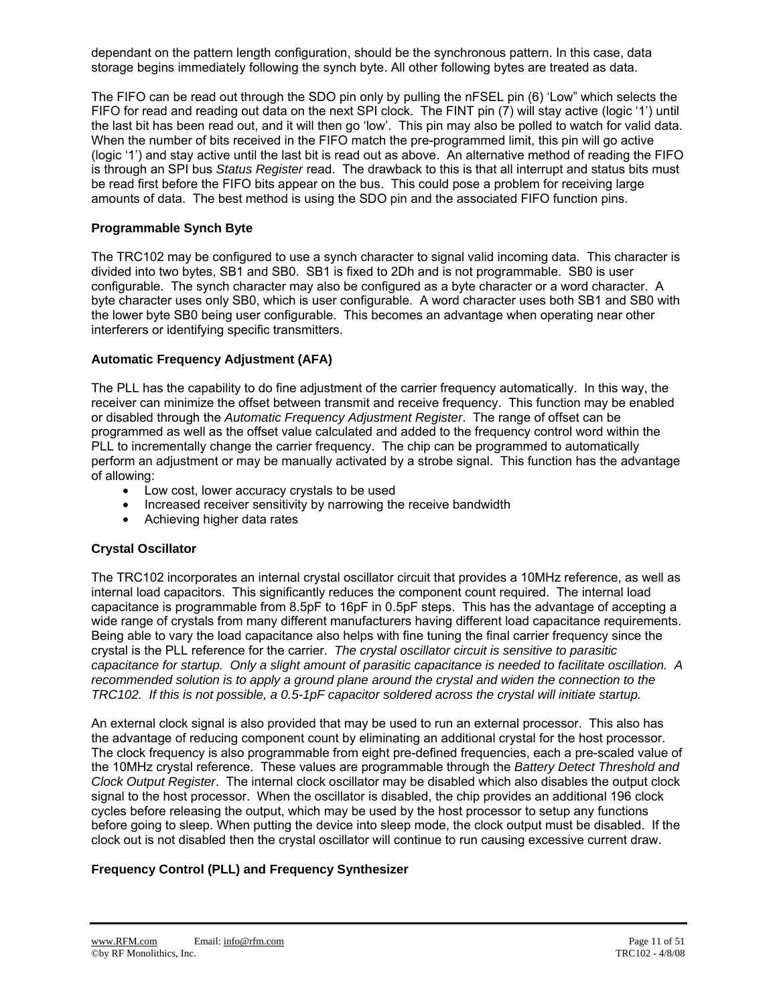dependant on the pattern length configuration, should be the synchronous pattern. In this case, data storage begins immediately following the synch byte. All other following bytes are treated as data.

The FIFO can be read out through the SDO pin only by pulling the nFSEL pin (6) 'Low" which selects the FIFO for read and reading out data on the next SPI clock. The FINT pin (7) will stay active (logic '1') until the last bit has been read out, and it will then go 'low'. This pin may also be polled to watch for valid data. When the number of bits received in the FIFO match the pre-programmed limit, this pin will go active (logic '1') and stay active until the last bit is read out as above. An alternative method of reading the FIFO is through an SPI bus *Status Register* read. The drawback to this is that all interrupt and status bits must be read first before the FIFO bits appear on the bus. This could pose a problem for receiving large amounts of data. The best method is using the SDO pin and the associated FIFO function pins.

#### **Programmable Synch Byte**

The TRC102 may be configured to use a synch character to signal valid incoming data. This character is divided into two bytes, SB1 and SB0. SB1 is fixed to 2Dh and is not programmable. SB0 is user configurable. The synch character may also be configured as a byte character or a word character. A byte character uses only SB0, which is user configurable. A word character uses both SB1 and SB0 with the lower byte SB0 being user configurable. This becomes an advantage when operating near other interferers or identifying specific transmitters.

#### **Automatic Frequency Adjustment (AFA)**

The PLL has the capability to do fine adjustment of the carrier frequency automatically. In this way, the receiver can minimize the offset between transmit and receive frequency. This function may be enabled or disabled through the *Automatic Frequency Adjustment Register*. The range of offset can be programmed as well as the offset value calculated and added to the frequency control word within the PLL to incrementally change the carrier frequency. The chip can be programmed to automatically perform an adjustment or may be manually activated by a strobe signal. This function has the advantage of allowing:

- Low cost, lower accuracy crystals to be used
- Increased receiver sensitivity by narrowing the receive bandwidth
- Achieving higher data rates

#### **Crystal Oscillator**

The TRC102 incorporates an internal crystal oscillator circuit that provides a 10MHz reference, as well as internal load capacitors. This significantly reduces the component count required. The internal load capacitance is programmable from 8.5pF to 16pF in 0.5pF steps. This has the advantage of accepting a wide range of crystals from many different manufacturers having different load capacitance requirements. Being able to vary the load capacitance also helps with fine tuning the final carrier frequency since the crystal is the PLL reference for the carrier. *The crystal oscillator circuit is sensitive to parasitic capacitance for startup. Only a slight amount of parasitic capacitance is needed to facilitate oscillation. A recommended solution is to apply a ground plane around the crystal and widen the connection to the TRC102. If this is not possible, a 0.5-1pF capacitor soldered across the crystal will initiate startup.* 

An external clock signal is also provided that may be used to run an external processor. This also has the advantage of reducing component count by eliminating an additional crystal for the host processor. The clock frequency is also programmable from eight pre-defined frequencies, each a pre-scaled value of the 10MHz crystal reference. These values are programmable through the *Battery Detect Threshold and Clock Output Register*. The internal clock oscillator may be disabled which also disables the output clock signal to the host processor. When the oscillator is disabled, the chip provides an additional 196 clock cycles before releasing the output, which may be used by the host processor to setup any functions before going to sleep. When putting the device into sleep mode, the clock output must be disabled. If the clock out is not disabled then the crystal oscillator will continue to run causing excessive current draw.

#### **Frequency Control (PLL) and Frequency Synthesizer**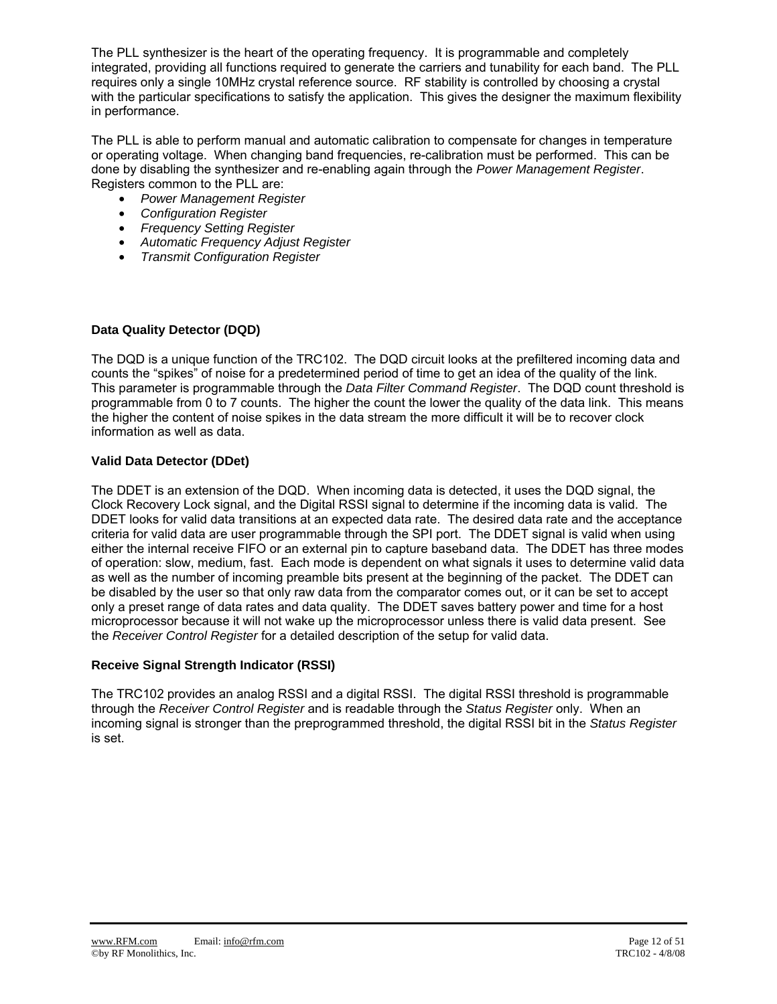The PLL synthesizer is the heart of the operating frequency. It is programmable and completely integrated, providing all functions required to generate the carriers and tunability for each band. The PLL requires only a single 10MHz crystal reference source. RF stability is controlled by choosing a crystal with the particular specifications to satisfy the application. This gives the designer the maximum flexibility in performance.

The PLL is able to perform manual and automatic calibration to compensate for changes in temperature or operating voltage. When changing band frequencies, re-calibration must be performed. This can be done by disabling the synthesizer and re-enabling again through the *Power Management Register*. Registers common to the PLL are:

- *Power Management Register*
- *Configuration Register*
- *Frequency Setting Register*
- *Automatic Frequency Adjust Register*
- *Transmit Configuration Register*

#### **Data Quality Detector (DQD)**

The DQD is a unique function of the TRC102. The DQD circuit looks at the prefiltered incoming data and counts the "spikes" of noise for a predetermined period of time to get an idea of the quality of the link. This parameter is programmable through the *Data Filter Command Register*. The DQD count threshold is programmable from 0 to 7 counts. The higher the count the lower the quality of the data link. This means the higher the content of noise spikes in the data stream the more difficult it will be to recover clock information as well as data.

#### **Valid Data Detector (DDet)**

The DDET is an extension of the DQD. When incoming data is detected, it uses the DQD signal, the Clock Recovery Lock signal, and the Digital RSSI signal to determine if the incoming data is valid. The DDET looks for valid data transitions at an expected data rate. The desired data rate and the acceptance criteria for valid data are user programmable through the SPI port. The DDET signal is valid when using either the internal receive FIFO or an external pin to capture baseband data. The DDET has three modes of operation: slow, medium, fast. Each mode is dependent on what signals it uses to determine valid data as well as the number of incoming preamble bits present at the beginning of the packet. The DDET can be disabled by the user so that only raw data from the comparator comes out, or it can be set to accept only a preset range of data rates and data quality. The DDET saves battery power and time for a host microprocessor because it will not wake up the microprocessor unless there is valid data present. See the *Receiver Control Register* for a detailed description of the setup for valid data.

#### **Receive Signal Strength Indicator (RSSI)**

The TRC102 provides an analog RSSI and a digital RSSI. The digital RSSI threshold is programmable through the *Receiver Control Register* and is readable through the *Status Register* only. When an incoming signal is stronger than the preprogrammed threshold, the digital RSSI bit in the *Status Register* is set.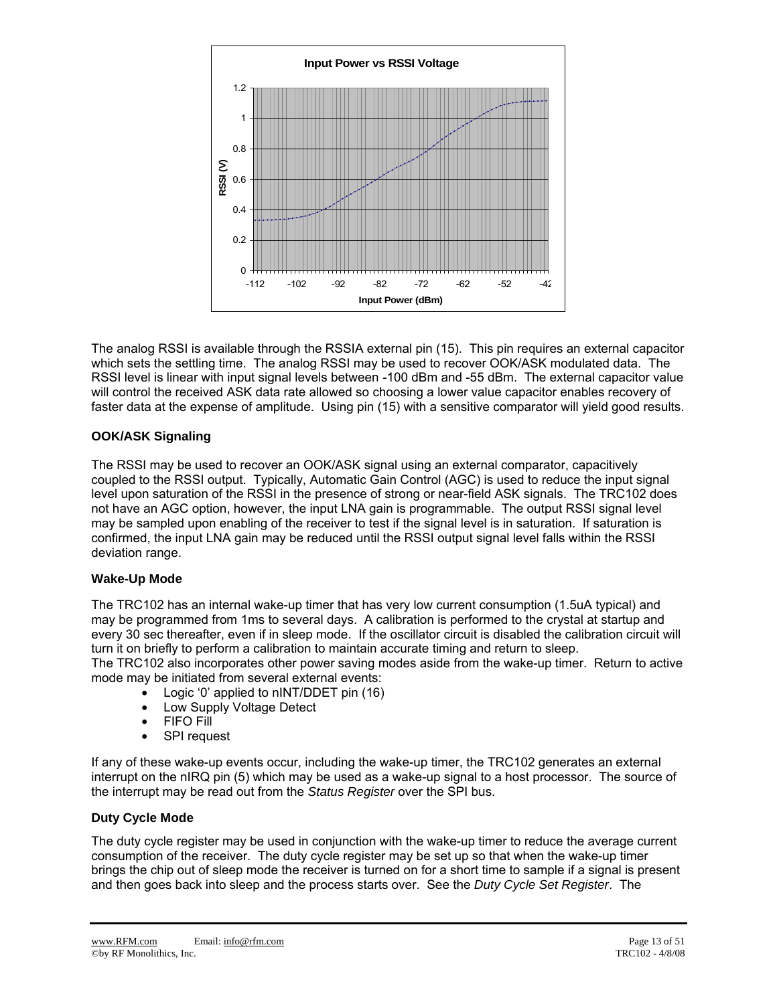

The analog RSSI is available through the RSSIA external pin (15). This pin requires an external capacitor which sets the settling time. The analog RSSI may be used to recover OOK/ASK modulated data. The RSSI level is linear with input signal levels between -100 dBm and -55 dBm. The external capacitor value will control the received ASK data rate allowed so choosing a lower value capacitor enables recovery of faster data at the expense of amplitude. Using pin (15) with a sensitive comparator will yield good results.

#### **OOK/ASK Signaling**

The RSSI may be used to recover an OOK/ASK signal using an external comparator, capacitively coupled to the RSSI output. Typically, Automatic Gain Control (AGC) is used to reduce the input signal level upon saturation of the RSSI in the presence of strong or near-field ASK signals. The TRC102 does not have an AGC option, however, the input LNA gain is programmable. The output RSSI signal level may be sampled upon enabling of the receiver to test if the signal level is in saturation. If saturation is confirmed, the input LNA gain may be reduced until the RSSI output signal level falls within the RSSI deviation range.

#### **Wake-Up Mode**

The TRC102 has an internal wake-up timer that has very low current consumption (1.5uA typical) and may be programmed from 1ms to several days. A calibration is performed to the crystal at startup and every 30 sec thereafter, even if in sleep mode. If the oscillator circuit is disabled the calibration circuit will turn it on briefly to perform a calibration to maintain accurate timing and return to sleep.

The TRC102 also incorporates other power saving modes aside from the wake-up timer. Return to active mode may be initiated from several external events:

- Logic '0' applied to nINT/DDET pin (16)
- Low Supply Voltage Detect
- FIFO Fill
- **SPI** request

If any of these wake-up events occur, including the wake-up timer, the TRC102 generates an external interrupt on the nIRQ pin (5) which may be used as a wake-up signal to a host processor. The source of the interrupt may be read out from the *Status Register* over the SPI bus.

#### **Duty Cycle Mode**

The duty cycle register may be used in conjunction with the wake-up timer to reduce the average current consumption of the receiver. The duty cycle register may be set up so that when the wake-up timer brings the chip out of sleep mode the receiver is turned on for a short time to sample if a signal is present and then goes back into sleep and the process starts over. See the *Duty Cycle Set Register*. The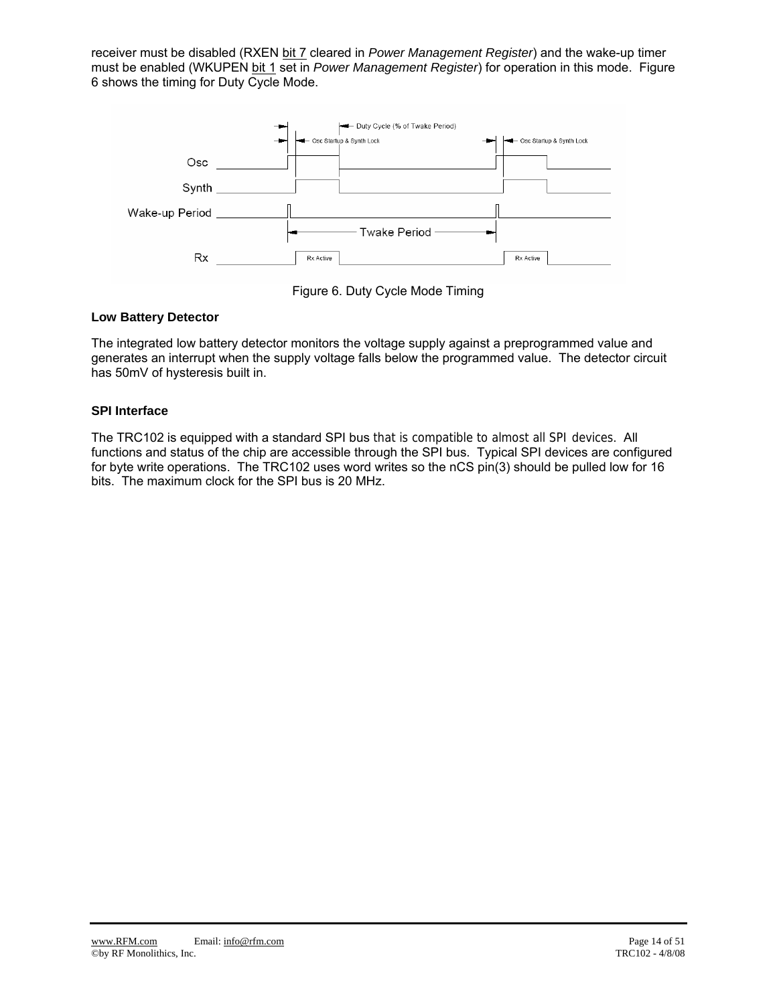receiver must be disabled (RXEN bit 7 cleared in *Power Management Register*) and the wake-up timer must be enabled (WKUPEN bit 1 set in *Power Management Register*) for operation in this mode. Figure 6 shows the timing for Duty Cycle Mode.



Figure 6. Duty Cycle Mode Timing

#### **Low Battery Detector**

The integrated low battery detector monitors the voltage supply against a preprogrammed value and generates an interrupt when the supply voltage falls below the programmed value. The detector circuit has 50mV of hysteresis built in.

#### **SPI Interface**

The TRC102 is equipped with a standard SPI bus that is compatible to almost all SPI devices. All functions and status of the chip are accessible through the SPI bus. Typical SPI devices are configured for byte write operations. The TRC102 uses word writes so the nCS pin(3) should be pulled low for 16 bits. The maximum clock for the SPI bus is 20 MHz.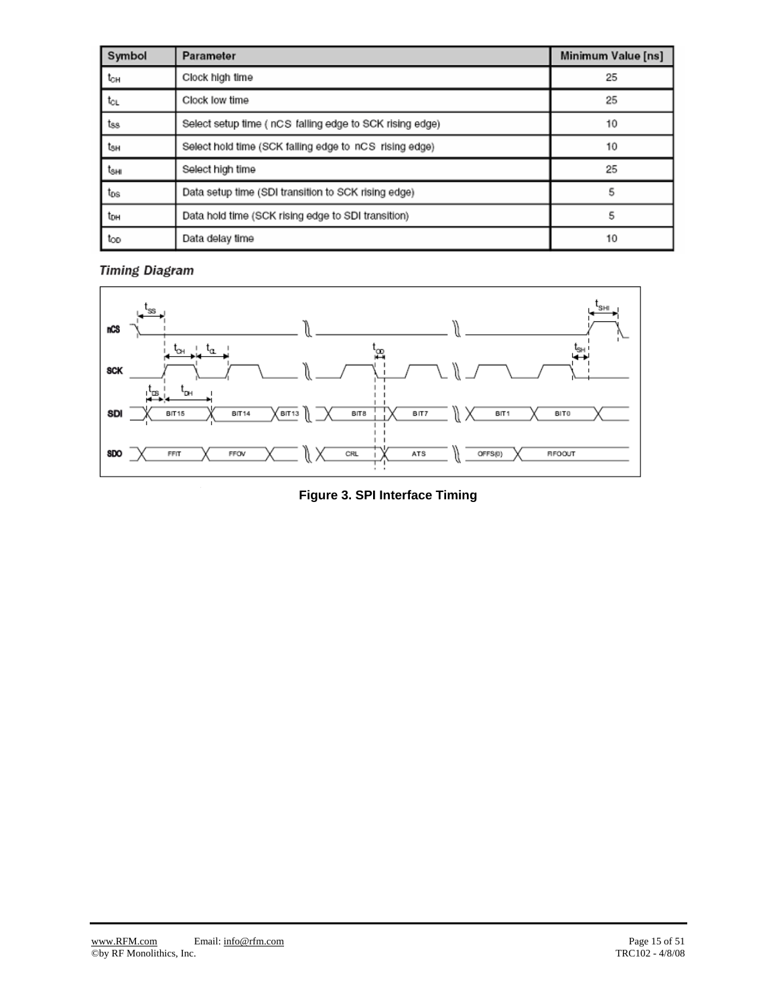| Symbol          | Parameter                                                | Minimum Value [ns] |
|-----------------|----------------------------------------------------------|--------------------|
| tсн             | Clock high time                                          | 25                 |
| tcL             | Clock low time                                           | 25                 |
| tss             | Select setup time ( nCS falling edge to SCK rising edge) | 10                 |
| tзн             | Select hold time (SCK falling edge to nCS rising edge)   | 10                 |
| tsнı            | Select high time                                         | 25                 |
| t <sub>os</sub> | Data setup time (SDI transition to SCK rising edge)      | 5                  |
| tон             | Data hold time (SCK rising edge to SDI transition)       | 5                  |
| too             | Data delay time                                          | 10                 |

## **Timing Diagram**



**Figure 3. SPI Interface Timing**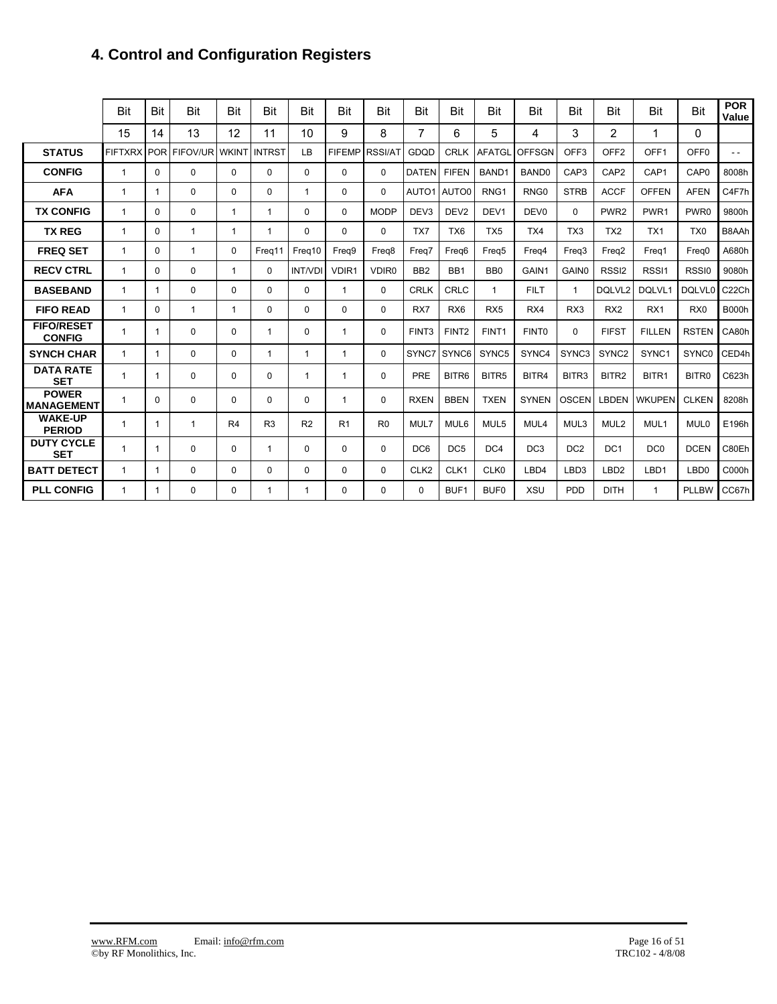## **4. Control and Configuration Registers**

|                                    | Bit            | <b>Bit</b> | Bit          | Bit            | <b>Bit</b>     | Bit            | <b>Bit</b>     | Bit               | Bit               | Bit               | Bit               | Bit               | Bit               | Bit               | Bit               | <b>Bit</b>        | <b>POR</b><br>Value |
|------------------------------------|----------------|------------|--------------|----------------|----------------|----------------|----------------|-------------------|-------------------|-------------------|-------------------|-------------------|-------------------|-------------------|-------------------|-------------------|---------------------|
|                                    | 15             | 14         | 13           | 12             | 11             | 10             | 9              | 8                 | 7                 | 6                 | 5                 | 4                 | 3                 | $\overline{2}$    | 1                 | $\Omega$          |                     |
| <b>STATUS</b>                      | <b>FIFTXRX</b> | <b>POR</b> | FIFOV/UR     | <b>WKINT</b>   | <b>INTRST</b>  | LB             | <b>FIFEMP</b>  | <b>RSSI/AT</b>    | GDQD              | <b>CRLK</b>       | <b>AFATGL</b>     | <b>OFFSGN</b>     | OFF <sub>3</sub>  | OFF <sub>2</sub>  | OFF <sub>1</sub>  | OFF <sub>0</sub>  | $ -$                |
| <b>CONFIG</b>                      | 1              | $\Omega$   | $\Omega$     | $\Omega$       | $\Omega$       | $\Omega$       | 0              | 0                 | <b>DATEN</b>      | <b>FIFEN</b>      | BAND1             | BAND <sub>0</sub> | CAP3              | CAP <sub>2</sub>  | CAP1              | CAP <sub>0</sub>  | 8008h               |
| <b>AFA</b>                         | $\mathbf{1}$   |            | $\Omega$     | $\Omega$       | $\Omega$       | $\mathbf{1}$   | 0              | $\Omega$          | AUTO1             | AUTO0             | RNG <sub>1</sub>  | RNG <sub>0</sub>  | <b>STRB</b>       | <b>ACCF</b>       | <b>OFFEN</b>      | <b>AFEN</b>       | C4F7h               |
| <b>TX CONFIG</b>                   | 1              | $\Omega$   | 0            | $\mathbf{1}$   | 1              | $\mathbf{0}$   | 0              | <b>MODP</b>       | DEV <sub>3</sub>  | DEV <sub>2</sub>  | DEV <sub>1</sub>  | DEV <sub>0</sub>  | $\mathbf{0}$      | PWR <sub>2</sub>  | PWR <sub>1</sub>  | PWR0              | 9800h               |
| <b>TX REG</b>                      | $\mathbf{1}$   | 0          | 1            | -1             | 1              | $\mathbf{0}$   | 0              | 0                 | TX7               | TX <sub>6</sub>   | TX <sub>5</sub>   | TX4               | TX <sub>3</sub>   | TX <sub>2</sub>   | TX <sub>1</sub>   | TX <sub>0</sub>   | B8AAh               |
| <b>FREQ SET</b>                    | $\mathbf{1}$   | 0          | 1            | $\Omega$       | Freg11         | Freg10         | Frea9          | Frea <sub>8</sub> | Frea7             | Freg6             | Freq5             | Freg4             | Frea3             | Frea2             | Freq1             | Freg0             | A680h               |
| <b>RECV CTRL</b>                   | $\mathbf{1}$   | 0          | $\Omega$     | -1             | $\Omega$       | <b>INT/VDI</b> | VDIR1          | VDIR <sub>0</sub> | BB <sub>2</sub>   | BB <sub>1</sub>   | B <sub>B</sub>    | GAIN1             | <b>GAIN0</b>      | RSSI <sub>2</sub> | RSSI <sub>1</sub> | RSSI0             | 9080h               |
| <b>BASEBAND</b>                    | $\mathbf{1}$   | -1         | $\Omega$     | $\Omega$       | $\mathbf 0$    | $\mathbf 0$    | 1              | 0                 | <b>CRLK</b>       | <b>CRLC</b>       | $\mathbf{1}$      | <b>FILT</b>       | $\mathbf{1}$      | DQLVL2            | DQLVL1            | <b>DOLVL0</b>     | C <sub>22</sub> Ch  |
| <b>FIFO READ</b>                   | $\mathbf{1}$   | $\Omega$   | $\mathbf{1}$ | $\overline{1}$ | $\Omega$       | $\Omega$       | 0              | 0                 | RX7               | RX <sub>6</sub>   | RX <sub>5</sub>   | RX4               | RX3               | RX <sub>2</sub>   | RX <sub>1</sub>   | RX <sub>0</sub>   | <b>B000h</b>        |
| <b>FIFO/RESET</b><br><b>CONFIG</b> | $\mathbf{1}$   | 1          | 0            | $\Omega$       | $\mathbf 1$    | $\mathbf{0}$   | 1              | 0                 | FINT <sub>3</sub> | FINT <sub>2</sub> | FINT <sub>1</sub> | FINT <sub>0</sub> | $\Omega$          | <b>FIFST</b>      | <b>FILLEN</b>     | <b>RSTEN</b>      | CA80h               |
| <b>SYNCH CHAR</b>                  | $\mathbf{1}$   | 1          | $\Omega$     | $\Omega$       | 1              | $\mathbf{1}$   | 1              | 0                 | SYNC7             | SYNC6             | SYNC5             | SYNC4             | SYNC3             | SYNC <sub>2</sub> | SYNC1             | SYNC0             | CED4h               |
| <b>DATA RATE</b><br><b>SET</b>     | 1              |            | $\Omega$     | $\Omega$       | $\Omega$       | $\mathbf 1$    | 1              | 0                 | PRE               | BITR6             | BITR <sub>5</sub> | BITR4             | BITR <sub>3</sub> | BITR2             | BITR <sub>1</sub> | BITR <sub>0</sub> | C623h               |
| <b>POWER</b><br><b>MANAGEMENT</b>  |                | 0          | $\Omega$     | $\Omega$       | $\Omega$       | $\mathbf{0}$   | 1              | 0                 | <b>RXEN</b>       | <b>BBEN</b>       | <b>TXEN</b>       | <b>SYNEN</b>      | <b>OSCEN</b>      | LBDEN             | <b>WKUPEN</b>     | <b>CLKEN</b>      | 8208h               |
| <b>WAKE-UP</b><br><b>PERIOD</b>    | 1              |            | 1            | R4             | R <sub>3</sub> | R <sub>2</sub> | R <sub>1</sub> | R <sub>0</sub>    | MUL7              | MUL6              | MUL5              | MUL4              | MUL3              | MUL <sub>2</sub>  | MUL1              | MUL <sub>0</sub>  | E196h               |
| <b>DUTY CYCLE</b><br><b>SET</b>    | $\mathbf{1}$   |            | 0            | $\Omega$       | 1              | $\mathbf{0}$   | 0              | 0                 | DC <sub>6</sub>   | DC <sub>5</sub>   | DC4               | DC <sub>3</sub>   | DC <sub>2</sub>   | DC <sub>1</sub>   | DC <sub>0</sub>   | <b>DCEN</b>       | C80Eh               |
| <b>BATT DETECT</b>                 | 1              | 1          | 0            | 0              | $\Omega$       | $\Omega$       | 0              | 0                 | CLK <sub>2</sub>  | CLK1              | CLK0              | LBD4              | LBD <sub>3</sub>  | LBD <sub>2</sub>  | LBD1              | LBD <sub>0</sub>  | C000h               |
| <b>PLL CONFIG</b>                  | 1              |            | 0            | $\Omega$       |                | 1              | 0              | 0                 | $\Omega$          | BUF1              | BUF <sub>0</sub>  | <b>XSU</b>        | <b>PDD</b>        | <b>DITH</b>       | $\mathbf{1}$      | <b>PLLBW</b>      | CC67h               |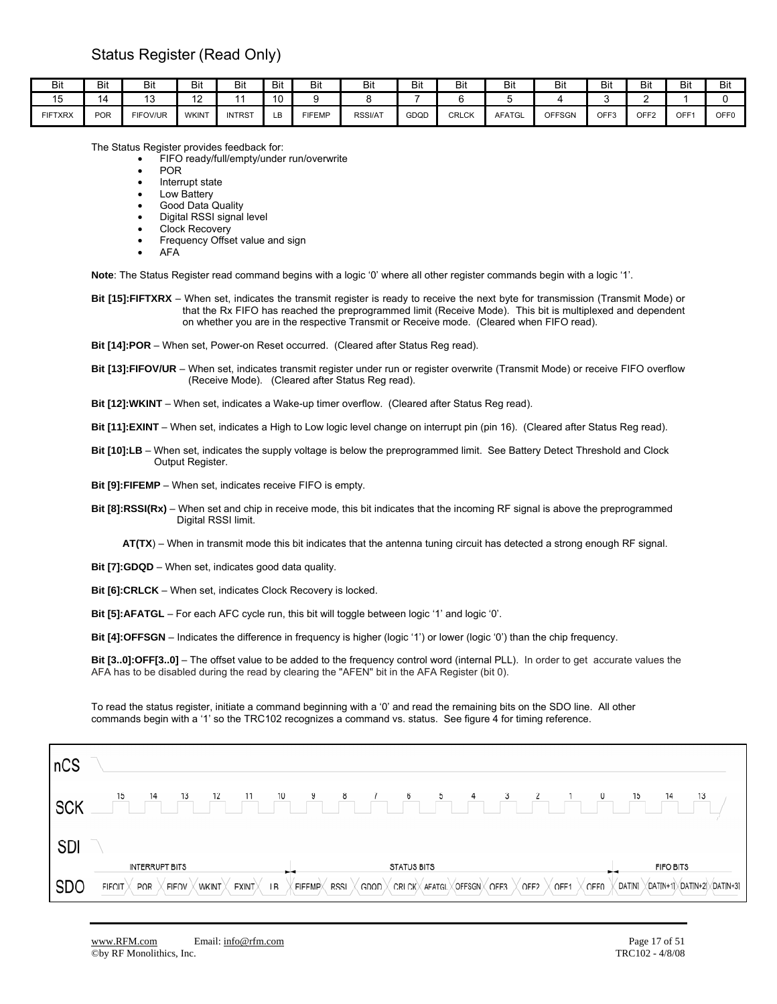| Bit            | Bit        | Bit             | Bit          | Bit           | Bit                  | ыı            | DIL     | <b>Bit</b> | Bit          | Bit           | Bit           | Bit              | Bit              | Bit              | Bit                              |
|----------------|------------|-----------------|--------------|---------------|----------------------|---------------|---------|------------|--------------|---------------|---------------|------------------|------------------|------------------|----------------------------------|
| . .<br>◡       |            | ◡               | ے م<br>. .   |               | $\overline{10}$<br>u |               |         |            |              |               |               |                  |                  |                  |                                  |
| <b>FIFTXRX</b> | <b>POR</b> | <b>FIFOV/UR</b> | <b>WKIN1</b> | <b>INTRST</b> | R<br>∟ບ              | <b>FIFEMP</b> | RSSI/AT | GDQD       | <b>CRLCK</b> | <b>AFATGL</b> | <b>OFFSGN</b> | OFF <sub>3</sub> | OFF <sub>2</sub> | OFF <sup>®</sup> | $\sim$ $\sim$ $\sim$<br>◡<br>. u |

The Status Register provides feedback for:

• FIFO ready/full/empty/under run/overwrite

• POR

• Interrupt state

Low Battery

• Good Data Quality

• Digital RSSI signal level Clock Recovery

- Frequency Offset value and sign
- AFA

**Note**: The Status Register read command begins with a logic '0' where all other register commands begin with a logic '1'.

**Bit [15]:FIFTXRX** – When set, indicates the transmit register is ready to receive the next byte for transmission (Transmit Mode) or that the Rx FIFO has reached the preprogrammed limit (Receive Mode). This bit is multiplexed and dependent on whether you are in the respective Transmit or Receive mode. (Cleared when FIFO read).

**Bit [14]:POR** – When set, Power-on Reset occurred. (Cleared after Status Reg read).

**Bit [13]:FIFOV/UR** – When set, indicates transmit register under run or register overwrite (Transmit Mode) or receive FIFO overflow (Receive Mode). (Cleared after Status Reg read).

**Bit [12]:WKINT** – When set, indicates a Wake-up timer overflow. (Cleared after Status Reg read).

**Bit [11]:EXINT** – When set, indicates a High to Low logic level change on interrupt pin (pin 16). (Cleared after Status Reg read).

**Bit [10]:LB** – When set, indicates the supply voltage is below the preprogrammed limit. See Battery Detect Threshold and Clock Output Register.

**Bit [9]:FIFEMP** – When set, indicates receive FIFO is empty.

**Bit [8]:RSSI(Rx)** – When set and chip in receive mode, this bit indicates that the incoming RF signal is above the preprogrammed Digital RSSI limit.

 **AT(TX**) – When in transmit mode this bit indicates that the antenna tuning circuit has detected a strong enough RF signal.

**Bit [7]:GDQD** – When set, indicates good data quality.

**Bit [6]:CRLCK** – When set, indicates Clock Recovery is locked.

**Bit [5]:AFATGL** – For each AFC cycle run, this bit will toggle between logic '1' and logic '0'.

**Bit [4]:OFFSGN** – Indicates the difference in frequency is higher (logic '1') or lower (logic '0') than the chip frequency.

**Bit [3..0]:OFF[3..0]** – The offset value to be added to the frequency control word (internal PLL). In order to get accurate values the AFA has to be disabled during the read by clearing the "AFEN" bit in the AFA Register (bit 0).

To read the status register, initiate a command beginning with a '0' and read the remaining bits on the SDO line. All other commands begin with a '1' so the TRC102 recognizes a command vs. status. See figure 4 for timing reference.

| ncs        |                                                                                                                                                                                                                                                        |
|------------|--------------------------------------------------------------------------------------------------------------------------------------------------------------------------------------------------------------------------------------------------------|
| <b>SCK</b> | 15<br>13<br>13<br>14<br>10<br>9<br>6<br>15<br>14<br>12<br>8<br>11<br>5                                                                                                                                                                                 |
| <b>SDI</b> |                                                                                                                                                                                                                                                        |
|            | FIFO BITS<br><b>INTERRUPT BITS</b><br><b>STATUS BITS</b><br>. .<br>                                                                                                                                                                                    |
| <b>SDO</b> | DAT[N]<br>/DAT[N+1] /DAT[N+2] /DAT[N+3]<br>OFF <sub>0</sub><br>OFFSGNX OFF3<br><b>FIFOIT</b><br><b>FIFOV</b><br>LB<br><b>RSSI</b><br>OFF1<br><b>WKINT</b><br><b>EXINT</b><br><b>FIFEMP</b> X<br>GDQD<br><b>CRLCK</b> AFATGL<br>OFF <sub>2</sub><br>POR |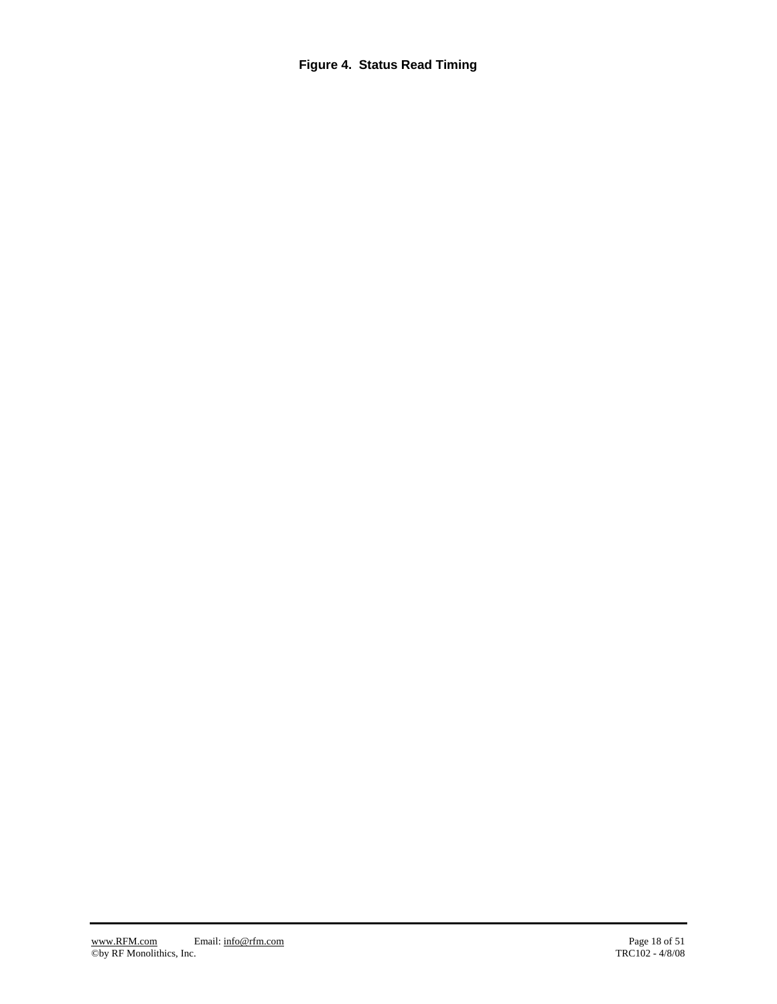**Figure 4. Status Read Timing**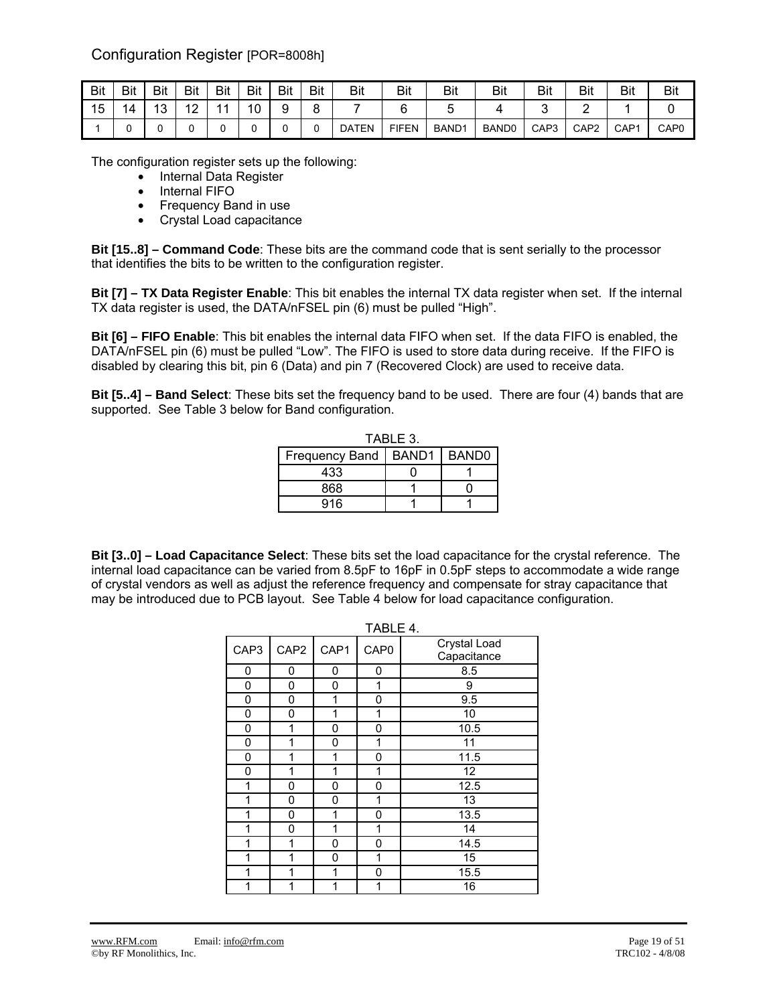Configuration Register [POR=8008h]

| Bit | Bit | Bit       | Bit                      | Bit | <b>Bit</b> | Bit    | Bit | Bit          | Bit          | <b>Bit</b>        | Bit               | Bit              | Bit              | Bit              | <b>Bit</b>       |
|-----|-----|-----------|--------------------------|-----|------------|--------|-----|--------------|--------------|-------------------|-------------------|------------------|------------------|------------------|------------------|
| 15  | 14  | 10<br>10. | $\sqrt{2}$<br>$\epsilon$ |     | 10         | a<br>ັ | o   |              |              |                   |                   |                  |                  |                  |                  |
|     |     |           |                          |     |            |        |     | <b>DATEN</b> | <b>FIFEN</b> | BAND <sub>1</sub> | BAND <sub>0</sub> | CAP <sub>3</sub> | CAP <sub>2</sub> | CAP <sub>1</sub> | CAP <sub>0</sub> |

The configuration register sets up the following:

- Internal Data Register
	- Internal FIFO
	- Frequency Band in use
	- Crystal Load capacitance

**Bit [15..8] – Command Code**: These bits are the command code that is sent serially to the processor that identifies the bits to be written to the configuration register.

**Bit [7] – TX Data Register Enable**: This bit enables the internal TX data register when set. If the internal TX data register is used, the DATA/nFSEL pin (6) must be pulled "High".

**Bit [6] – FIFO Enable**: This bit enables the internal data FIFO when set. If the data FIFO is enabled, the DATA/nFSEL pin (6) must be pulled "Low". The FIFO is used to store data during receive. If the FIFO is disabled by clearing this bit, pin 6 (Data) and pin 7 (Recovered Clock) are used to receive data.

**Bit [5..4] – Band Select**: These bits set the frequency band to be used. There are four (4) bands that are supported. See Table 3 below for Band configuration.

| TABLE 3.               |  |              |  |  |
|------------------------|--|--------------|--|--|
| Frequency Band   BAND1 |  | <b>BANDO</b> |  |  |
| 433                    |  |              |  |  |
| 868                    |  |              |  |  |
| 916                    |  |              |  |  |

**Bit [3..0] – Load Capacitance Select**: These bits set the load capacitance for the crystal reference. The internal load capacitance can be varied from 8.5pF to 16pF in 0.5pF steps to accommodate a wide range of crystal vendors as well as adjust the reference frequency and compensate for stray capacitance that may be introduced due to PCB layout. See Table 4 below for load capacitance configuration.

|      |      |      | TABLE 4.         |                             |
|------|------|------|------------------|-----------------------------|
| CAP3 | CAP2 | CAP1 | CAP <sub>0</sub> | Crystal Load<br>Capacitance |
| 0    | 0    | 0    | 0                | 8.5                         |
| 0    | 0    | 0    | 1                | 9                           |
| 0    | 0    | 1    | 0                | 9.5                         |
| 0    | 0    | 1    | 1                | 10                          |
| 0    | 1    | 0    | 0                | 10.5                        |
| 0    | 1    | 0    | 1                | $\overline{11}$             |
| 0    | 1    | 1    | 0                | 11.5                        |
| 0    | 1    | 1    | 1                | 12                          |
| 1    | 0    | 0    | 0                | 12.5                        |
| 1    | 0    | 0    | 1                | $\overline{13}$             |
| 1    | 0    | 1    | 0                | 13.5                        |
| 1    | 0    | 1    | 1                | 14                          |
| 1    | 1    | 0    | 0                | 14.5                        |
| 1    | 1    | 0    | 1                | 15                          |
| 1    | 1    | 1    | 0                | 15.5                        |
| 1    | 1    | 1    | 1                | 16                          |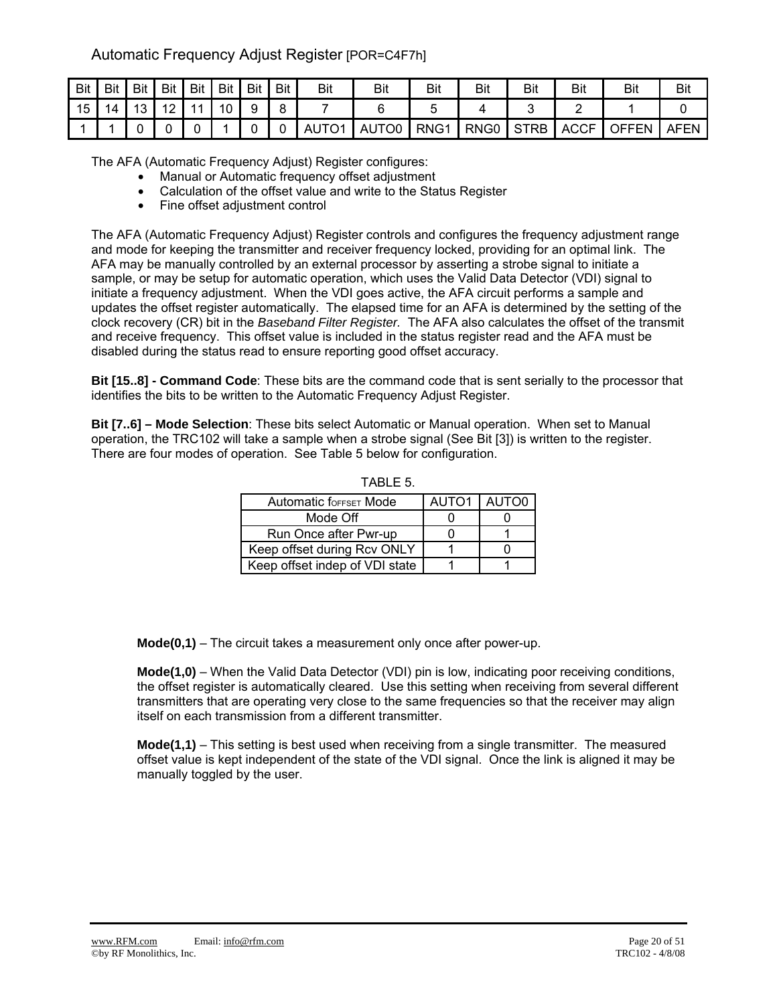## Automatic Frequency Adjust Register [POR=C4F7h]

| Bit | Bit | Bit             | <b>Bit</b> | <b>Bit</b> | <b>Bit</b> | Bit | <b>Bit</b> | Bit               | Bit   | Bit              | Bit              | Bit         | Bit         | Bit   | Bit  |
|-----|-----|-----------------|------------|------------|------------|-----|------------|-------------------|-------|------------------|------------------|-------------|-------------|-------|------|
| 15  | 14  | 13 <sup>1</sup> | 10         | 11         | 10         | 9   |            |                   |       |                  |                  |             |             |       |      |
|     |     |                 |            |            |            |     |            | AUTO <sub>1</sub> | AUTO0 | RNG <sub>1</sub> | RNG <sub>0</sub> | <b>STRB</b> | <b>ACCF</b> | OFFEN | AFEN |

The AFA (Automatic Frequency Adjust) Register configures:

- Manual or Automatic frequency offset adjustment
- Calculation of the offset value and write to the Status Register
- Fine offset adjustment control

The AFA (Automatic Frequency Adjust) Register controls and configures the frequency adjustment range and mode for keeping the transmitter and receiver frequency locked, providing for an optimal link. The AFA may be manually controlled by an external processor by asserting a strobe signal to initiate a sample, or may be setup for automatic operation, which uses the Valid Data Detector (VDI) signal to initiate a frequency adjustment. When the VDI goes active, the AFA circuit performs a sample and updates the offset register automatically. The elapsed time for an AFA is determined by the setting of the clock recovery (CR) bit in the *Baseband Filter Register.* The AFA also calculates the offset of the transmit and receive frequency. This offset value is included in the status register read and the AFA must be disabled during the status read to ensure reporting good offset accuracy.

**Bit [15..8] - Command Code**: These bits are the command code that is sent serially to the processor that identifies the bits to be written to the Automatic Frequency Adjust Register.

**Bit [7..6] – Mode Selection**: These bits select Automatic or Manual operation. When set to Manual operation, the TRC102 will take a sample when a strobe signal (See Bit [3]) is written to the register. There are four modes of operation. See Table 5 below for configuration.

| <b>Automatic foreset Mode</b>  | AUTO1 I | AUTO0 |
|--------------------------------|---------|-------|
| Mode Off                       |         |       |
| Run Once after Pwr-up          |         |       |
| Keep offset during Rcv ONLY    |         |       |
| Keep offset indep of VDI state |         |       |

TABLE 5.

**Mode(0,1)** – The circuit takes a measurement only once after power-up.

**Mode(1,0)** – When the Valid Data Detector (VDI) pin is low, indicating poor receiving conditions, the offset register is automatically cleared. Use this setting when receiving from several different transmitters that are operating very close to the same frequencies so that the receiver may align itself on each transmission from a different transmitter.

**Mode(1,1)** – This setting is best used when receiving from a single transmitter. The measured offset value is kept independent of the state of the VDI signal. Once the link is aligned it may be manually toggled by the user.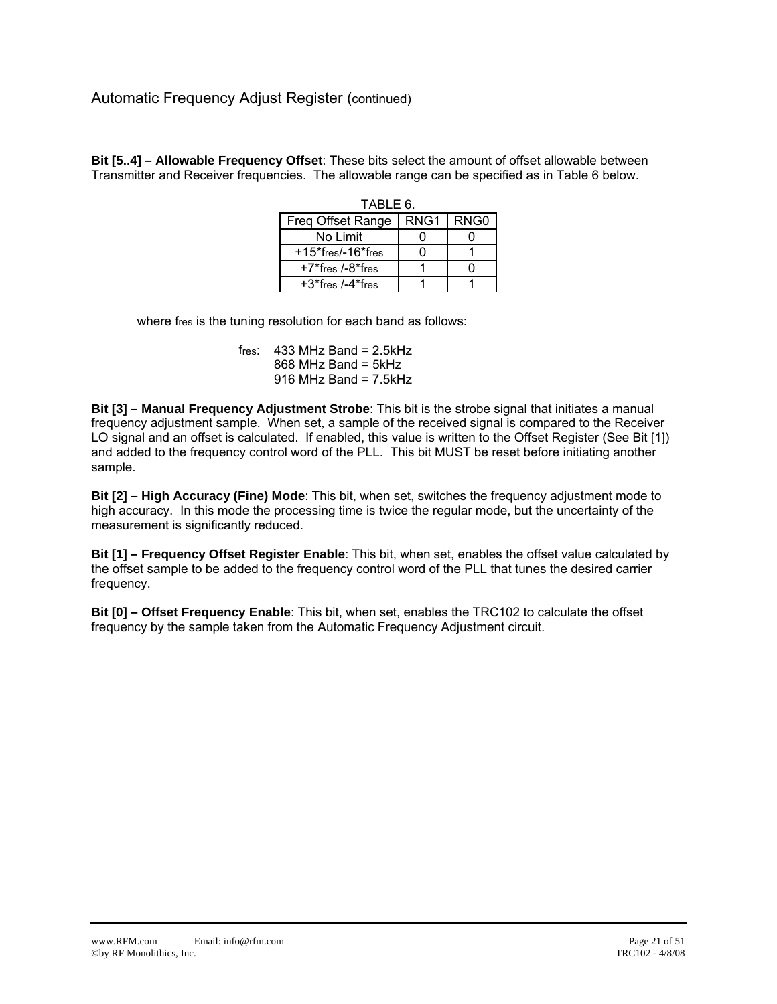**Bit [5..4] – Allowable Frequency Offset**: These bits select the amount of offset allowable between Transmitter and Receiver frequencies. The allowable range can be specified as in Table 6 below.

| TABLE 6.                |      |        |  |  |  |  |  |
|-------------------------|------|--------|--|--|--|--|--|
| Freq Offset Range       | RNG1 | I RNG0 |  |  |  |  |  |
| No Limit                |      |        |  |  |  |  |  |
| $+15$ *fres/-16*fres    |      |        |  |  |  |  |  |
| $+7$ *fres /- $8$ *fres |      |        |  |  |  |  |  |
| $+3$ *fres /-4*fres     |      |        |  |  |  |  |  |

where fres is the tuning resolution for each band as follows:

fres:  $433$  MHz Band = 2.5kHz  $868$  MHz Band = 5kHz  $916$  MHz Band =  $7.5$ kHz

**Bit [3] – Manual Frequency Adjustment Strobe**: This bit is the strobe signal that initiates a manual frequency adjustment sample. When set, a sample of the received signal is compared to the Receiver LO signal and an offset is calculated. If enabled, this value is written to the Offset Register (See Bit [1]) and added to the frequency control word of the PLL. This bit MUST be reset before initiating another sample.

**Bit [2] – High Accuracy (Fine) Mode**: This bit, when set, switches the frequency adjustment mode to high accuracy. In this mode the processing time is twice the regular mode, but the uncertainty of the measurement is significantly reduced.

**Bit [1] – Frequency Offset Register Enable**: This bit, when set, enables the offset value calculated by the offset sample to be added to the frequency control word of the PLL that tunes the desired carrier frequency.

**Bit [0] – Offset Frequency Enable**: This bit, when set, enables the TRC102 to calculate the offset frequency by the sample taken from the Automatic Frequency Adjustment circuit.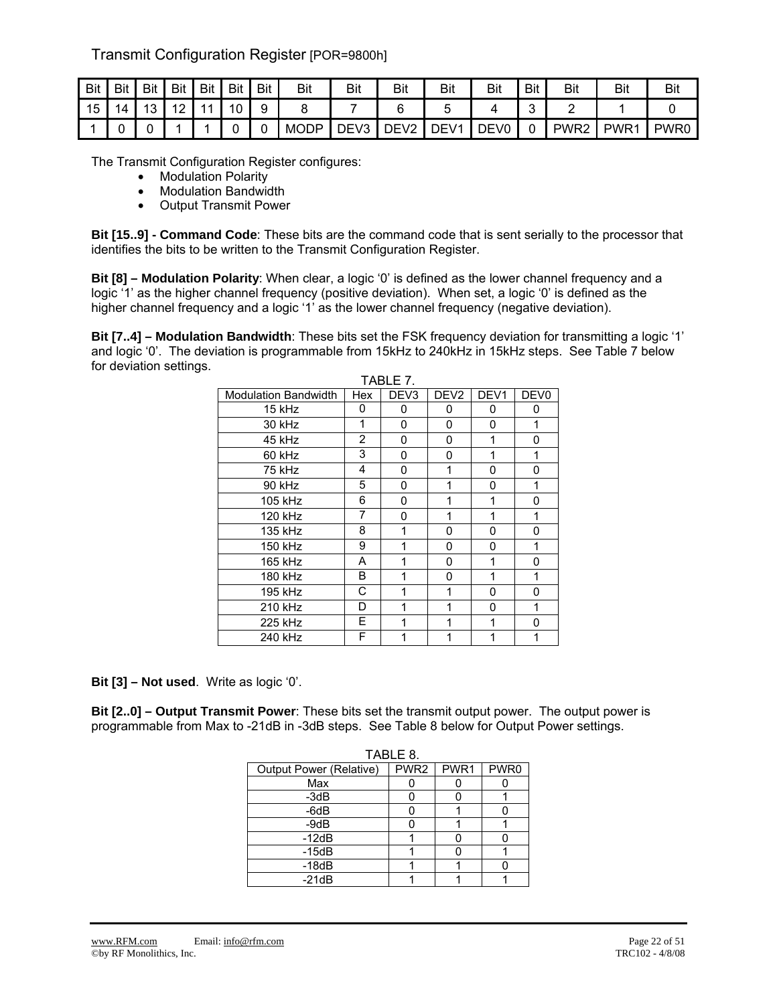## Transmit Configuration Register [POR=9800h]

| <b>Bit</b> | Bit | <b>Bit</b>    | Bit                    | Bit | Bit | Bit | Bit         | Bit              | Bit                               | Bit              | Bit              | <b>Bit</b> | <b>Bit</b>       | Bit              | Bit              |
|------------|-----|---------------|------------------------|-----|-----|-----|-------------|------------------|-----------------------------------|------------------|------------------|------------|------------------|------------------|------------------|
| 15         | 14  | $\Delta$<br>ັ | $\sqrt{2}$<br><u>.</u> |     | 10  | ч   |             |                  |                                   |                  |                  | ∽<br>ັ     |                  |                  |                  |
|            |     |               |                        |     |     |     | <b>MODP</b> | DEV <sub>3</sub> | $\overline{\phantom{a}}$<br>י ∩F. | DEV <sub>1</sub> | DEV <sub>0</sub> | ີ          | PWR <sub>2</sub> | PWR <sub>1</sub> | PWR <sub>0</sub> |

The Transmit Configuration Register configures:

- Modulation Polarity
- Modulation Bandwidth
- Output Transmit Power

**Bit [15..9] - Command Code**: These bits are the command code that is sent serially to the processor that identifies the bits to be written to the Transmit Configuration Register.

**Bit [8] – Modulation Polarity**: When clear, a logic '0' is defined as the lower channel frequency and a logic '1' as the higher channel frequency (positive deviation). When set, a logic '0' is defined as the higher channel frequency and a logic '1' as the lower channel frequency (negative deviation).

**Bit [7..4] – Modulation Bandwidth**: These bits set the FSK frequency deviation for transmitting a logic '1' and logic '0'. The deviation is programmable from 15kHz to 240kHz in 15kHz steps. See Table 7 below for deviation settings.  $TAD1F7$ 

| <b>Modulation Bandwidth</b> | Hex            | DEV <sub>3</sub> | DEV <sub>2</sub> | DEV <sub>1</sub> | DEV <sub>0</sub> |
|-----------------------------|----------------|------------------|------------------|------------------|------------------|
| 15 kHz                      | 0              | 0                | 0                | 0                | 0                |
| 30 kHz                      | 1              | 0                | $\Omega$         | 0                | 1                |
| 45 kHz                      | $\overline{2}$ | 0                | 0                | 1                | 0                |
| 60 kHz                      | 3              | 0                | 0                | 1                | 1                |
| 75 kHz                      | 4              | 0                | 1                | 0                | 0                |
| 90 kHz                      | 5              | 0                | 1                | 0                | 1                |
| 105 kHz                     | 6              | 0                |                  | 1                | 0                |
| 120 kHz                     | 7              | 0                | 1                | 1                | 1                |
| 135 kHz                     | 8              | 1                | 0                | 0                | 0                |
| 150 kHz                     | 9              | 1                | 0                | 0                | 1                |
| 165 kHz                     | A              | 1                | 0                | 1                | 0                |
| 180 kHz                     | В              | 1                | 0                | 1                | 1                |
| 195 kHz                     | С              | 1                | 1                | 0                | 0                |
| 210 kHz                     | D              | 1                | 1                | 0                | 1                |
| 225 kHz                     | E              | 1                | 1                | 1                | O                |
| 240 kHz                     | F              |                  |                  |                  |                  |

**Bit [3] – Not used**. Write as logic '0'.

**Bit [2..0] – Output Transmit Power**: These bits set the transmit output power. The output power is programmable from Max to -21dB in -3dB steps. See Table 8 below for Output Power settings.

|                         | TABLE 8.         |      |      |
|-------------------------|------------------|------|------|
| Output Power (Relative) | PWR <sub>2</sub> | PWR1 | PWR0 |
| Max                     |                  |      |      |
| $-3dB$                  |                  |      |      |
| $-6dB$                  |                  |      |      |
| $-9dB$                  |                  |      |      |
| $-12dB$                 |                  |      |      |
| $-15dB$                 |                  |      |      |
| $-18dB$                 |                  |      |      |
| $-21dB$                 |                  |      |      |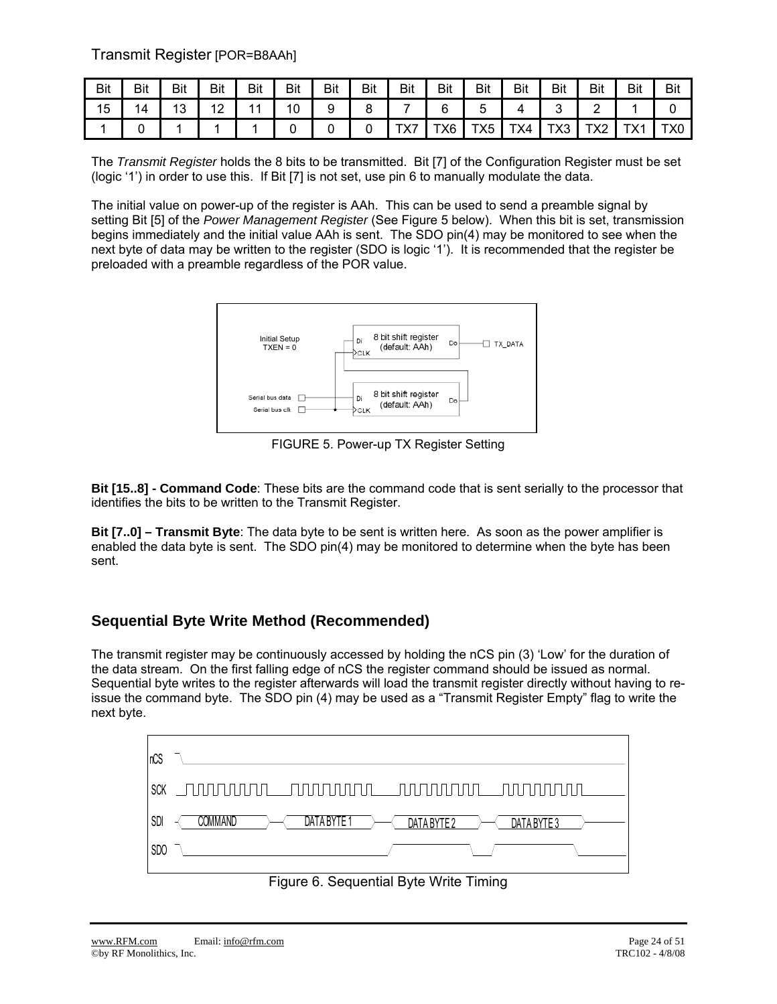Transmit Register [POR=B8AAh]

| <b>Bit</b> | Bit | Bit | Bit | Bit | Bit | Bit | Bit | <b>Bit</b>          | Bit | Bit | Bit | Bit | Bit  | Bit            | Bit |
|------------|-----|-----|-----|-----|-----|-----|-----|---------------------|-----|-----|-----|-----|------|----------------|-----|
| 15         | 14  | 13  | 12  |     |     |     |     |                     |     |     |     |     |      |                |     |
|            |     |     |     |     |     |     |     | $\overline{\wedge}$ | TX6 | TX5 | TX4 | TX3 | 77 ا | $T_{V}$<br>∣∧∣ | X0. |

The *Transmit Register* holds the 8 bits to be transmitted. Bit [7] of the Configuration Register must be set (logic '1') in order to use this. If Bit [7] is not set, use pin 6 to manually modulate the data.

The initial value on power-up of the register is AAh. This can be used to send a preamble signal by setting Bit [5] of the *Power Management Register* (See Figure 5 below). When this bit is set, transmission begins immediately and the initial value AAh is sent. The SDO pin(4) may be monitored to see when the next byte of data may be written to the register (SDO is logic '1'). It is recommended that the register be preloaded with a preamble regardless of the POR value.



FIGURE 5. Power-up TX Register Setting

**Bit [15..8] - Command Code**: These bits are the command code that is sent serially to the processor that identifies the bits to be written to the Transmit Register.

**Bit [7..0] – Transmit Byte**: The data byte to be sent is written here. As soon as the power amplifier is enabled the data byte is sent. The SDO pin(4) may be monitored to determine when the byte has been sent.

## **Sequential Byte Write Method (Recommended)**

The transmit register may be continuously accessed by holding the nCS pin (3) 'Low' for the duration of the data stream. On the first falling edge of nCS the register command should be issued as normal. Sequential byte writes to the register afterwards will load the transmit register directly without having to reissue the command byte. The SDO pin (4) may be used as a "Transmit Register Empty" flag to write the next byte.



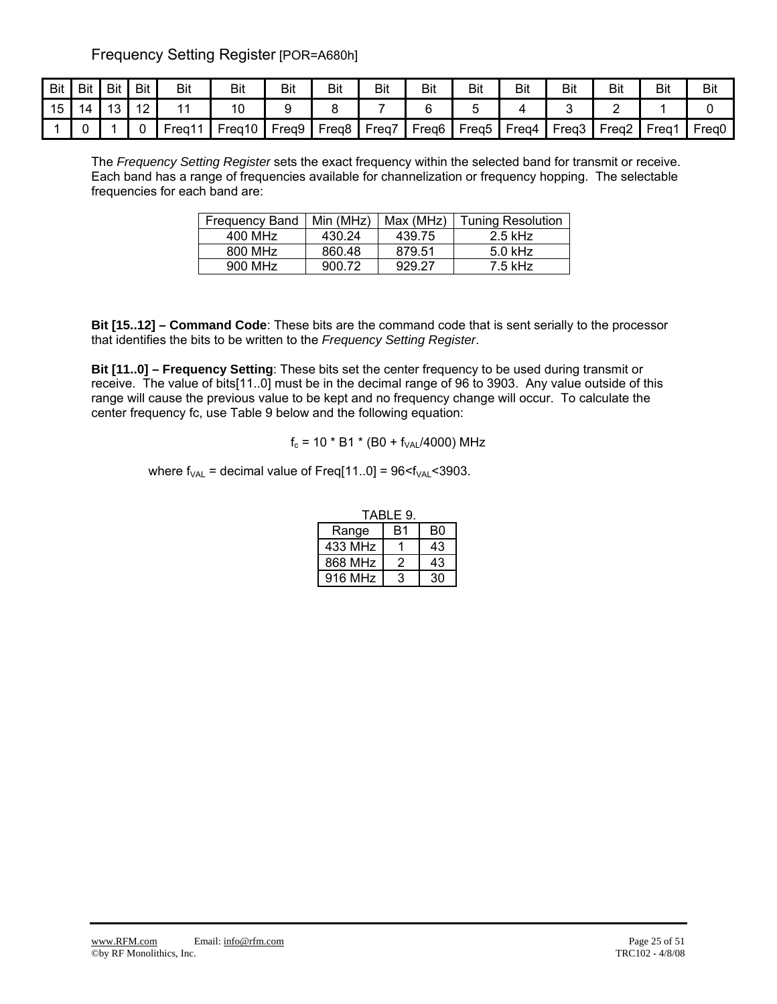Frequency Setting Register [POR=A680h]

| <b>Bit</b> | Bit | <b>Bit</b> | Bit             | Bit  | Bit    | Bit   | Bit               | Bit   | Bit               | Bit               | Bit   | Bit   | Bit               | Bit          | Bit               |
|------------|-----|------------|-----------------|------|--------|-------|-------------------|-------|-------------------|-------------------|-------|-------|-------------------|--------------|-------------------|
| 15         | 4   | $\sqrt{2}$ | $\sqrt{2}$<br>▵ |      | 10     |       |                   |       |                   |                   |       |       |                   |              |                   |
|            |     |            |                 | Frea | Freg10 | Freq9 | Freq <sub>8</sub> | Freq7 | Freq <sub>6</sub> | Freq <sub>5</sub> | Freq4 | Freq3 | Frea <sub>2</sub> | <b>Freg1</b> | Freg <sub>0</sub> |

The *Frequency Setting Register* sets the exact frequency within the selected band for transmit or receive. Each band has a range of frequencies available for channelization or frequency hopping. The selectable frequencies for each band are:

| <b>Frequency Band</b> | Min (MHz) | Max (MHz) | <b>Tuning Resolution</b> |
|-----------------------|-----------|-----------|--------------------------|
| 400 MHz               | 430.24    | 439.75    | $2.5$ kHz                |
| 800 MHz               | 860.48    | 879.51    | $5.0$ kHz                |
| 900 MHz               | 900.72    | 929.27    | $7.5$ kHz                |

**Bit [15..12] – Command Code**: These bits are the command code that is sent serially to the processor that identifies the bits to be written to the *Frequency Setting Register*.

**Bit [11..0] – Frequency Setting**: These bits set the center frequency to be used during transmit or receive. The value of bits[11..0] must be in the decimal range of 96 to 3903. Any value outside of this range will cause the previous value to be kept and no frequency change will occur. To calculate the center frequency fc, use Table 9 below and the following equation:

 $f_c = 10 * B1 * (B0 + f<sub>VAL</sub>/4000) MHz$ 

where  $f_{VAL}$  = decimal value of Freq[11..0] = 96 $\leq f_{VAL} \leq 3903$ .

| TABLE 9. |    |    |  |  |  |  |  |
|----------|----|----|--|--|--|--|--|
| Range    | B1 | B0 |  |  |  |  |  |
| 433 MHz  |    | 43 |  |  |  |  |  |
| 868 MHz  | 2  | 43 |  |  |  |  |  |
| 916 MHz  | 3  | 30 |  |  |  |  |  |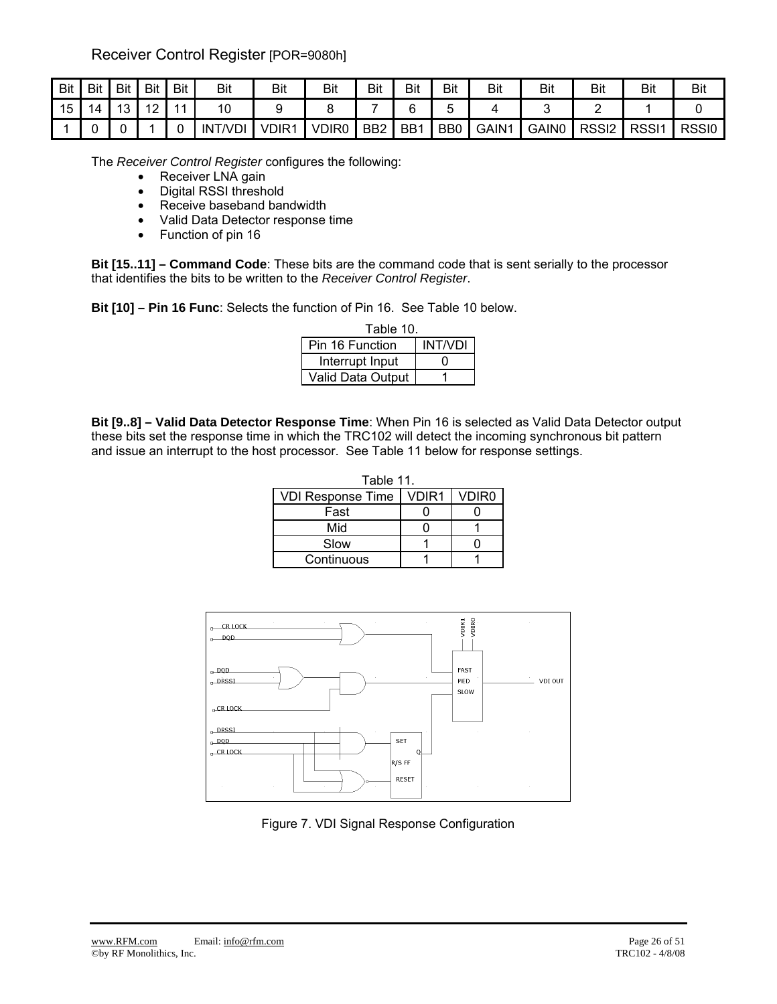Receiver Control Register [POR=9080h]

| Bit | Bit | <b>Bit</b> | Bit     | Bit            | Bit            | Bit               | Bit               | Bit             | Bit             | Bit            | Bit   | Bit               | Bit               | Bit               | <b>Bit</b>   |
|-----|-----|------------|---------|----------------|----------------|-------------------|-------------------|-----------------|-----------------|----------------|-------|-------------------|-------------------|-------------------|--------------|
| 15  |     | 13         | 12<br>∼ | $\overline{4}$ | 10             |                   |                   |                 | ⌒<br>"<br>∼     | ⊾              |       |                   |                   |                   |              |
|     |     | ີ          |         |                | <b>INT/VDI</b> | VDIR <sub>1</sub> | VDIR <sub>0</sub> | BB <sub>2</sub> | BB <sub>1</sub> | B <sub>B</sub> | GAIN1 | GAIN <sub>0</sub> | RSS <sub>12</sub> | RSS <sub>I1</sub> | <b>RSSI0</b> |

The *Receiver Control Register* configures the following:

- Receiver LNA gain
- Digital RSSI threshold
- Receive baseband bandwidth
- Valid Data Detector response time
- Function of pin 16

**Bit [15..11] – Command Code**: These bits are the command code that is sent serially to the processor that identifies the bits to be written to the *Receiver Control Register*.

**Bit [10] – Pin 16 Func**: Selects the function of Pin 16. See Table 10 below.

| Table 10.         |                |  |  |  |  |  |  |  |  |
|-------------------|----------------|--|--|--|--|--|--|--|--|
| Pin 16 Function   | <b>INT/VDI</b> |  |  |  |  |  |  |  |  |
| Interrupt Input   |                |  |  |  |  |  |  |  |  |
| Valid Data Output |                |  |  |  |  |  |  |  |  |

**Bit [9..8] – Valid Data Detector Response Time**: When Pin 16 is selected as Valid Data Detector output these bits set the response time in which the TRC102 will detect the incoming synchronous bit pattern and issue an interrupt to the host processor. See Table 11 below for response settings.

| Table 11.                |       |                   |  |  |  |  |  |  |  |  |
|--------------------------|-------|-------------------|--|--|--|--|--|--|--|--|
| <b>VDI Response Time</b> | VDIR1 | VDIR <sub>0</sub> |  |  |  |  |  |  |  |  |
| Fast                     |       |                   |  |  |  |  |  |  |  |  |
| Mid                      |       |                   |  |  |  |  |  |  |  |  |
| Slow                     |       |                   |  |  |  |  |  |  |  |  |
| Continuous               |       |                   |  |  |  |  |  |  |  |  |



Figure 7. VDI Signal Response Configuration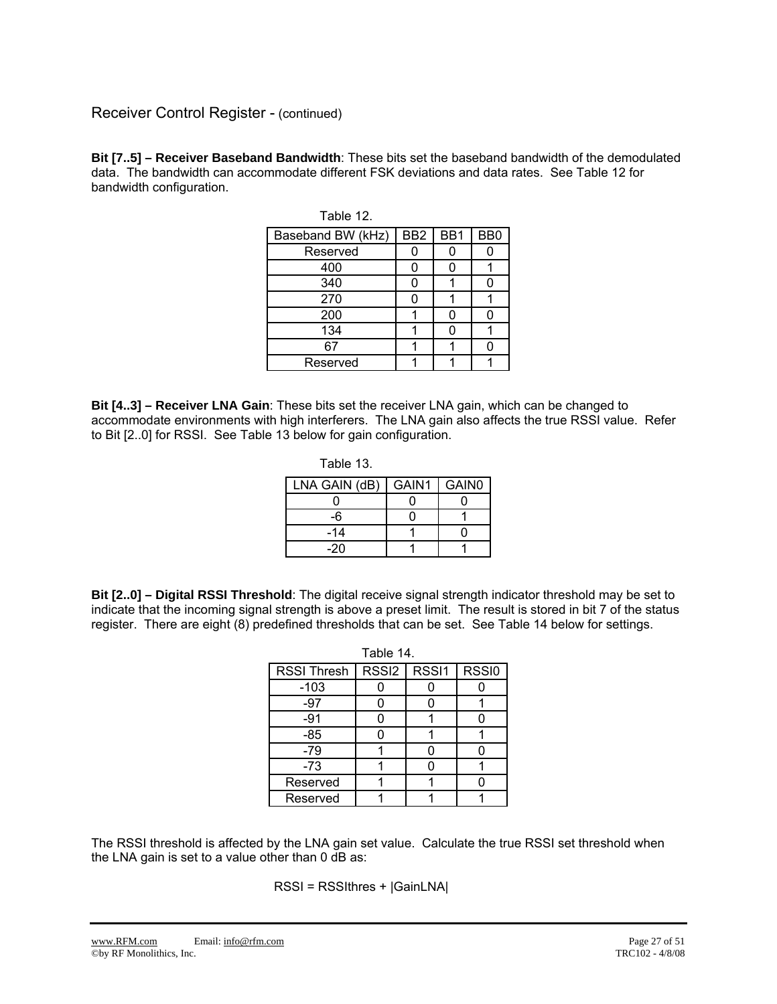### Receiver Control Register - (continued)

**Bit [7..5] – Receiver Baseband Bandwidth**: These bits set the baseband bandwidth of the demodulated data. The bandwidth can accommodate different FSK deviations and data rates. See Table 12 for bandwidth configuration.

| TAUIC TZ.         |                 |     |                 |
|-------------------|-----------------|-----|-----------------|
| Baseband BW (kHz) | BB <sub>2</sub> | BB1 | BB <sub>0</sub> |
| Reserved          |                 |     |                 |
| 400               |                 |     |                 |
| 340               |                 |     |                 |
| 270               |                 |     |                 |
| 200               |                 |     |                 |
| 134               |                 |     |                 |
| 67                |                 |     |                 |
| Reserved          |                 |     |                 |
|                   |                 |     |                 |

| able |  |
|------|--|
|------|--|

**Bit [4..3] – Receiver LNA Gain**: These bits set the receiver LNA gain, which can be changed to accommodate environments with high interferers. The LNA gain also affects the true RSSI value. Refer to Bit [2..0] for RSSI. See Table 13 below for gain configuration.

| Table 13.     |       |       |
|---------------|-------|-------|
| LNA GAIN (dB) | GAIN1 | GAIN0 |
|               |       |       |
| -6            |       |       |
| -14           |       |       |
| -20           |       |       |

**Bit [2..0] – Digital RSSI Threshold**: The digital receive signal strength indicator threshold may be set to indicate that the incoming signal strength is above a preset limit. The result is stored in bit 7 of the status register. There are eight (8) predefined thresholds that can be set. See Table 14 below for settings.

Table 14.

|                    | Table 14. |               |       |  |  |  |  |  |  |  |  |
|--------------------|-----------|---------------|-------|--|--|--|--|--|--|--|--|
| <b>RSSI Thresh</b> |           | RSSI2   RSSI1 | RSSI0 |  |  |  |  |  |  |  |  |
| $-103$             |           |               |       |  |  |  |  |  |  |  |  |
| -97                |           |               |       |  |  |  |  |  |  |  |  |
| $-91$              |           |               |       |  |  |  |  |  |  |  |  |
| $-85$              |           |               |       |  |  |  |  |  |  |  |  |
| $-79$              |           |               |       |  |  |  |  |  |  |  |  |
| $-73$              |           |               |       |  |  |  |  |  |  |  |  |
| Reserved           |           |               |       |  |  |  |  |  |  |  |  |
| Reserved           |           |               |       |  |  |  |  |  |  |  |  |

The RSSI threshold is affected by the LNA gain set value. Calculate the true RSSI set threshold when the LNA gain is set to a value other than 0 dB as:

RSSI = RSSIthres + |GainLNA|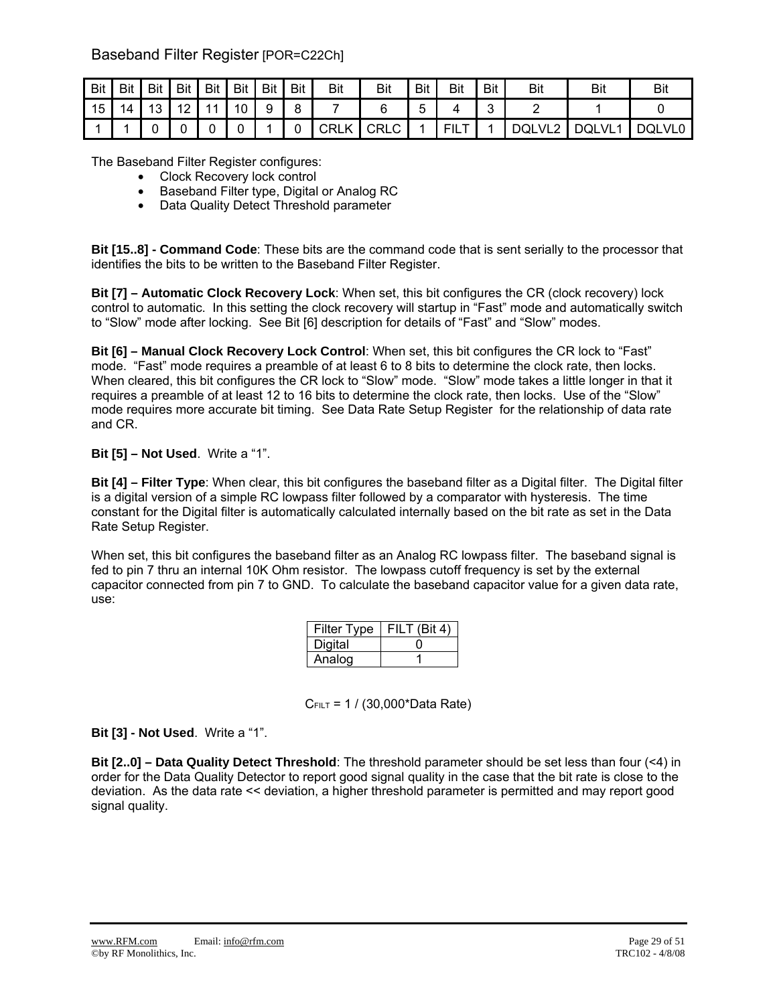## Baseband Filter Register [POR=C22Ch]

| Bit | <b>Bit</b> | <b>Bit</b> | <b>Bit</b>                             | Bit | <b>Bit</b> | <b>Bit</b> | <b>Bit</b> | <b>Bit</b> | Bit         | Bit | Bit         | Bit | Bit    | Bit          | Bi     |
|-----|------------|------------|----------------------------------------|-----|------------|------------|------------|------------|-------------|-----|-------------|-----|--------|--------------|--------|
| 15  |            | 10         | $\sqrt{2}$<br>$\overline{\phantom{a}}$ |     | 10         | 9          | 8          |            |             |     |             | ີ   |        |              |        |
|     |            |            |                                        |     |            |            |            | CRLK       | <b>CRLC</b> |     | mн.<br>1 L. |     | DQLVL2 | <b>DQLVL</b> | DQLVL0 |

The Baseband Filter Register configures:

- Clock Recovery lock control
- Baseband Filter type, Digital or Analog RC
- Data Quality Detect Threshold parameter

**Bit [15..8] - Command Code**: These bits are the command code that is sent serially to the processor that identifies the bits to be written to the Baseband Filter Register.

**Bit [7] – Automatic Clock Recovery Lock**: When set, this bit configures the CR (clock recovery) lock control to automatic. In this setting the clock recovery will startup in "Fast" mode and automatically switch to "Slow" mode after locking. See Bit [6] description for details of "Fast" and "Slow" modes.

**Bit [6] – Manual Clock Recovery Lock Control**: When set, this bit configures the CR lock to "Fast" mode. "Fast" mode requires a preamble of at least 6 to 8 bits to determine the clock rate, then locks. When cleared, this bit configures the CR lock to "Slow" mode. "Slow" mode takes a little longer in that it requires a preamble of at least 12 to 16 bits to determine the clock rate, then locks. Use of the "Slow" mode requires more accurate bit timing. See Data Rate Setup Register for the relationship of data rate and CR.

#### **Bit [5] – Not Used**. Write a "1".

**Bit [4] – Filter Type**: When clear, this bit configures the baseband filter as a Digital filter. The Digital filter is a digital version of a simple RC lowpass filter followed by a comparator with hysteresis. The time constant for the Digital filter is automatically calculated internally based on the bit rate as set in the Data Rate Setup Register.

When set, this bit configures the baseband filter as an Analog RC lowpass filter. The baseband signal is fed to pin 7 thru an internal 10K Ohm resistor. The lowpass cutoff frequency is set by the external capacitor connected from pin 7 to GND. To calculate the baseband capacitor value for a given data rate, use:

| <b>Filter Type</b> | FILT (Bit 4) |
|--------------------|--------------|
| Digital            |              |
| Analog             |              |

 $C$ FILT = 1 / (30,000\*Data Rate)

**Bit [3] - Not Used**. Write a "1".

**Bit [2..0] – Data Quality Detect Threshold**: The threshold parameter should be set less than four (<4) in order for the Data Quality Detector to report good signal quality in the case that the bit rate is close to the deviation. As the data rate << deviation, a higher threshold parameter is permitted and may report good signal quality.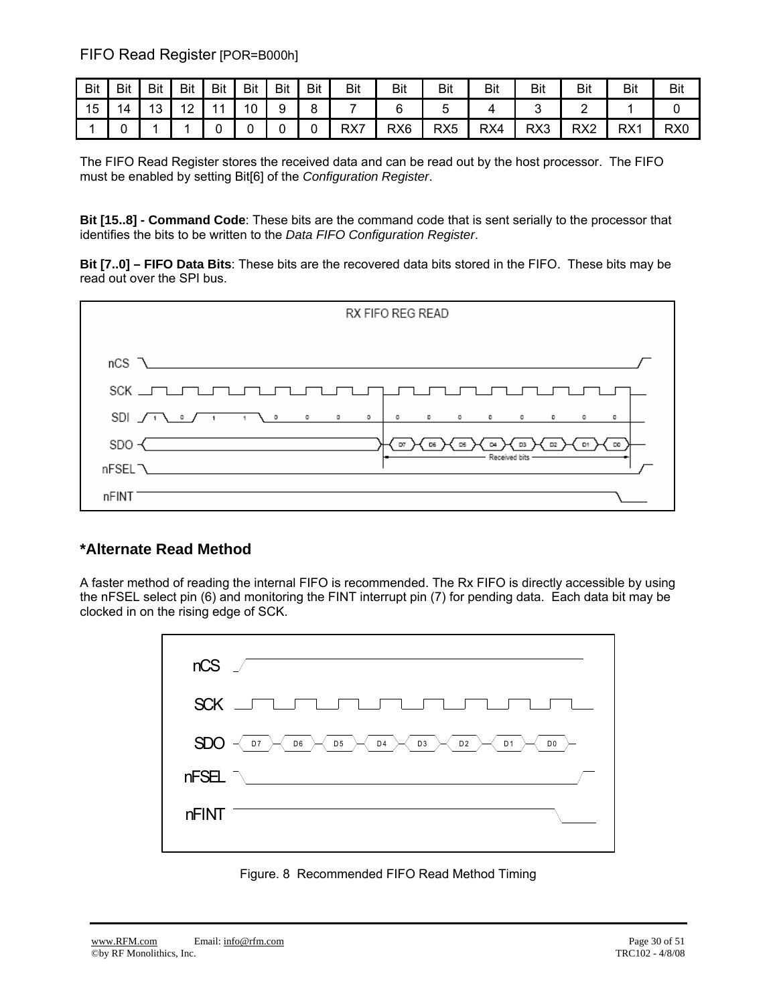FIFO Read Register [POR=B000h]

| <b>Bit</b> | Bit | Bit       | Bit                   | <b>Bit</b>     | <b>Bit</b> | <b>Bit</b> | <b>Bit</b>   | Bit | <b>Bit</b>      | Bit             | <b>Bit</b> | Bit | Bit             | Bit | <b>Bit</b>      |
|------------|-----|-----------|-----------------------|----------------|------------|------------|--------------|-----|-----------------|-----------------|------------|-----|-----------------|-----|-----------------|
| 15         | 4   | 1 O<br>ັບ | $\overline{A}$<br>. . | $\overline{A}$ | 10         | a          | $\circ$<br>ັ |     |                 | J               |            |     | ∽               |     |                 |
|            |     |           |                       |                |            |            | ∼            | RX7 | RX <sub>6</sub> | RX <sub>5</sub> | RX4        | RX3 | RX <sub>2</sub> | RX1 | RX <sub>0</sub> |

The FIFO Read Register stores the received data and can be read out by the host processor. The FIFO must be enabled by setting Bit[6] of the *Configuration Register*.

**Bit [15..8] - Command Code**: These bits are the command code that is sent serially to the processor that identifies the bits to be written to the *Data FIFO Configuration Register*.

**Bit [7..0] – FIFO Data Bits**: These bits are the recovered data bits stored in the FIFO. These bits may be read out over the SPI bus.



## **\*Alternate Read Method**

A faster method of reading the internal FIFO is recommended. The Rx FIFO is directly accessible by using the nFSEL select pin (6) and monitoring the FINT interrupt pin (7) for pending data. Each data bit may be clocked in on the rising edge of SCK.



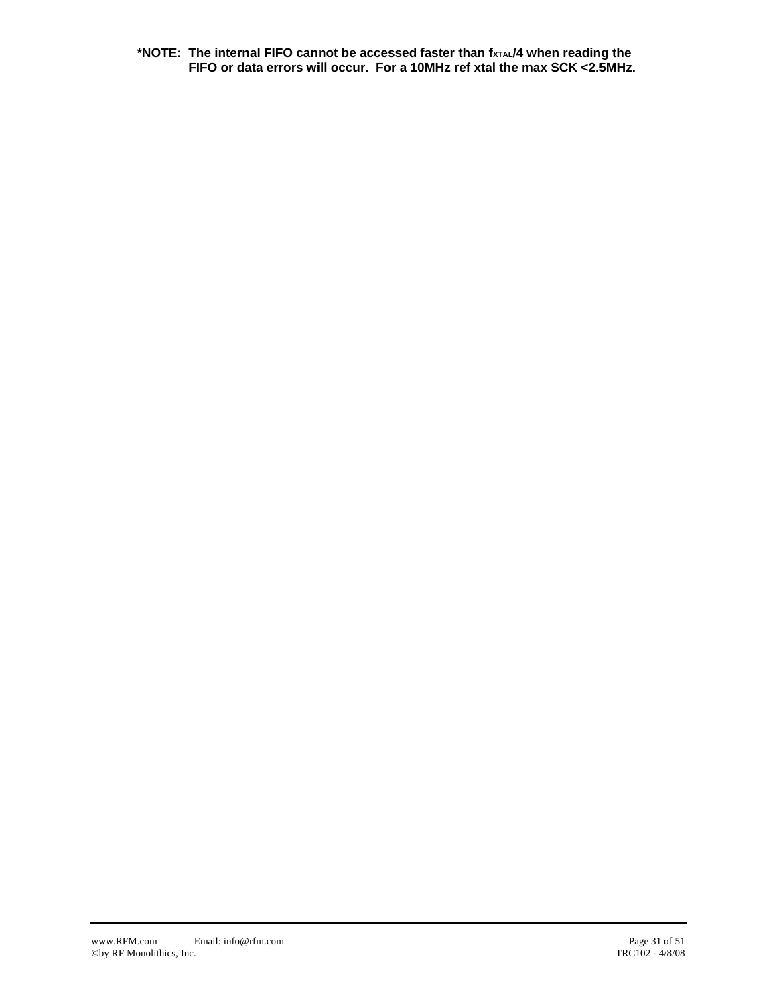**\*NOTE: The internal FIFO cannot be accessed faster than fXTAL/4 when reading the FIFO or data errors will occur. For a 10MHz ref xtal the max SCK <2.5MHz.**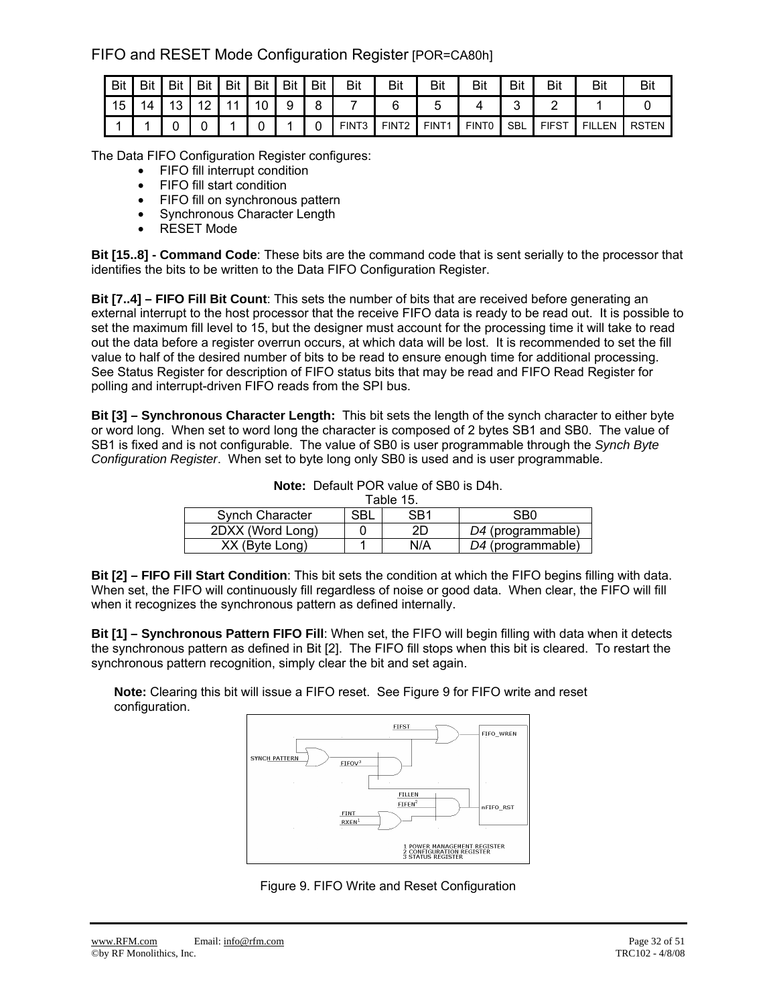FIFO and RESET Mode Configuration Register [POR=CA80h]

| Bit | Bit | Bit      | Bit     | Bit | <b>Bit</b> | Bit | Bit | Bit               | Bit               | Bit   | Bit               | Bit        | Bit          | Bit           | Bit   |
|-----|-----|----------|---------|-----|------------|-----|-----|-------------------|-------------------|-------|-------------------|------------|--------------|---------------|-------|
| 15  |     | 12.<br>ັ | 10<br>_ | -11 | 10         | a   |     |                   |                   |       |                   | ∽          |              |               |       |
|     |     |          |         |     |            |     |     | FINT <sub>3</sub> | FINT <sub>2</sub> | FINT1 | FINT <sub>0</sub> | <b>SBL</b> | <b>FIFST</b> | <b>FILLEN</b> | RSTEN |

The Data FIFO Configuration Register configures:

- FIFO fill interrupt condition
- FIFO fill start condition
- FIFO fill on synchronous pattern
- Synchronous Character Length
- RESET Mode

**Bit [15..8] - Command Code**: These bits are the command code that is sent serially to the processor that identifies the bits to be written to the Data FIFO Configuration Register.

**Bit [7..4] – FIFO Fill Bit Count**: This sets the number of bits that are received before generating an external interrupt to the host processor that the receive FIFO data is ready to be read out. It is possible to set the maximum fill level to 15, but the designer must account for the processing time it will take to read out the data before a register overrun occurs, at which data will be lost. It is recommended to set the fill value to half of the desired number of bits to be read to ensure enough time for additional processing. See Status Register for description of FIFO status bits that may be read and FIFO Read Register for polling and interrupt-driven FIFO reads from the SPI bus.

**Bit [3] – Synchronous Character Length:** This bit sets the length of the synch character to either byte or word long. When set to word long the character is composed of 2 bytes SB1 and SB0. The value of SB1 is fixed and is not configurable. The value of SB0 is user programmable through the *Synch Byte Configuration Register*. When set to byte long only SB0 is used and is user programmable.

| <b>Note:</b> Default POR value of SB0 is D4h. |
|-----------------------------------------------|
|                                               |

|                        |     | Table 15. |                   |
|------------------------|-----|-----------|-------------------|
| <b>Synch Character</b> | SBL | SB1       | SB0               |
| 2DXX (Word Long)       |     | 2D        | D4 (programmable) |
| XX (Byte Long)         |     | N/A       | D4 (programmable) |

**Bit [2] – FIFO Fill Start Condition**: This bit sets the condition at which the FIFO begins filling with data. When set, the FIFO will continuously fill regardless of noise or good data. When clear, the FIFO will fill when it recognizes the synchronous pattern as defined internally.

**Bit [1] – Synchronous Pattern FIFO Fill**: When set, the FIFO will begin filling with data when it detects the synchronous pattern as defined in Bit [2]. The FIFO fill stops when this bit is cleared. To restart the synchronous pattern recognition, simply clear the bit and set again.

**Note:** Clearing this bit will issue a FIFO reset. See Figure 9 for FIFO write and reset configuration.



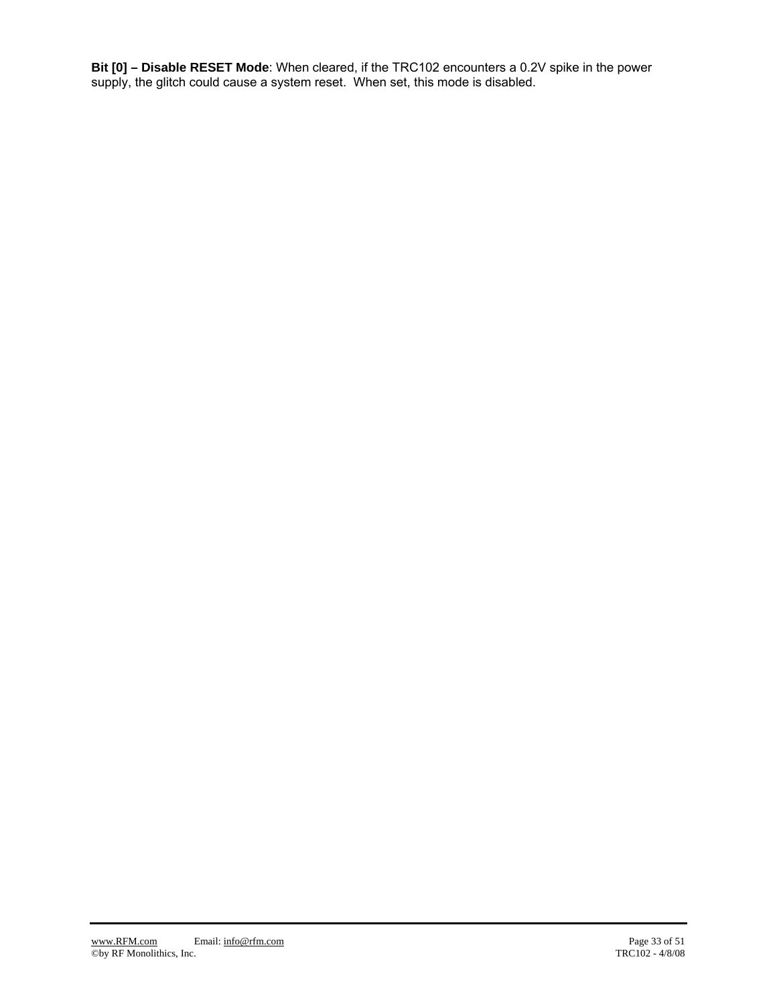**Bit [0] – Disable RESET Mode**: When cleared, if the TRC102 encounters a 0.2V spike in the power supply, the glitch could cause a system reset. When set, this mode is disabled.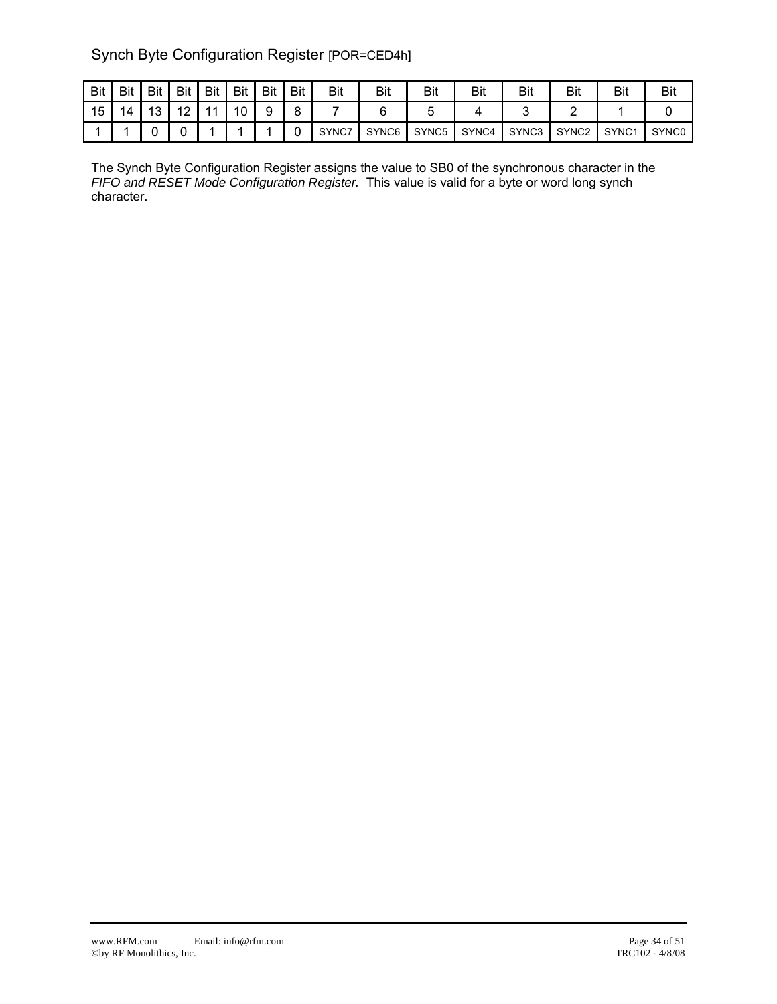## Synch Byte Configuration Register [POR=CED4h]

| <b>Bit</b> | Bit | Bit          | Bit     | Bit | Bit | Bit | Bit | Bit   | Bit   | Bit   | Bit   | Bit   | Bit               | <b>Bit</b>        | Bit               |
|------------|-----|--------------|---------|-----|-----|-----|-----|-------|-------|-------|-------|-------|-------------------|-------------------|-------------------|
| 15         | 14  | - 1 2<br>د ا | 12<br>▵ |     | 10  |     |     |       |       |       |       |       |                   |                   |                   |
|            |     |              |         |     |     |     |     | SYNC7 | SYNC6 | SYNC5 | SYNC4 | SYNC3 | SYNC <sub>2</sub> | SYNC <sub>1</sub> | SYNC <sub>0</sub> |

The Synch Byte Configuration Register assigns the value to SB0 of the synchronous character in the *FIFO and RESET Mode Configuration Register.* This value is valid for a byte or word long synch character.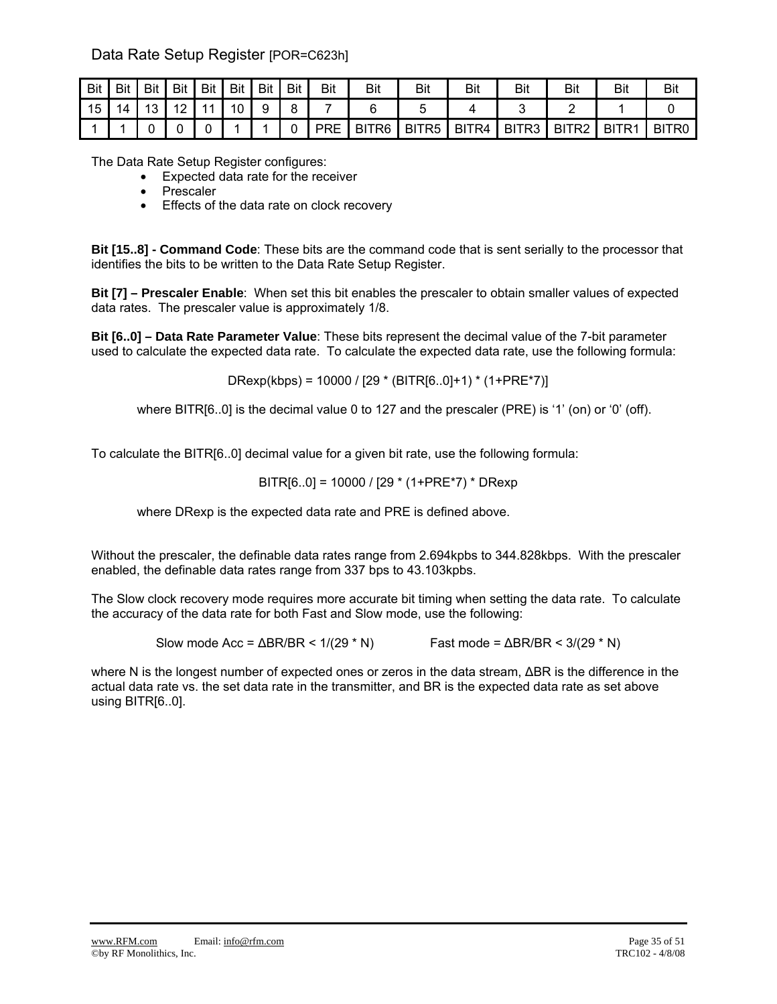Data Rate Setup Register [POR=C623h]

| Bit | Bit | Bit | Bit              | Bit | Bit | Bit | <b>Bit</b> | Bit        | Bit               | Bit               | Bit   | Bit   | <b>Bit</b>        | <b>Bit</b>        | Bit               |
|-----|-----|-----|------------------|-----|-----|-----|------------|------------|-------------------|-------------------|-------|-------|-------------------|-------------------|-------------------|
| 15  | 14  | 13  | $\sqrt{2}$<br>▎∠ | 44  | 10  | 9   | $\circ$    |            |                   |                   |       |       |                   |                   |                   |
|     |     |     |                  |     |     |     |            | <b>PRE</b> | BITR <sub>6</sub> | BITR <sub>5</sub> | BITR4 | BITR3 | BITR <sub>2</sub> | BITR <sub>1</sub> | BITR <sub>0</sub> |

The Data Rate Setup Register configures:

- Expected data rate for the receiver
- Prescaler
- Effects of the data rate on clock recovery

**Bit [15..8] - Command Code**: These bits are the command code that is sent serially to the processor that identifies the bits to be written to the Data Rate Setup Register.

**Bit [7] – Prescaler Enable**: When set this bit enables the prescaler to obtain smaller values of expected data rates. The prescaler value is approximately 1/8.

**Bit [6..0] – Data Rate Parameter Value**: These bits represent the decimal value of the 7-bit parameter used to calculate the expected data rate. To calculate the expected data rate, use the following formula:

DRexp(kbps) = 10000 / [29 \* (BITR[6..0]+1) \* (1+PRE\*7)]

where BITR[6..0] is the decimal value 0 to 127 and the prescaler (PRE) is '1' (on) or '0' (off).

To calculate the BITR[6..0] decimal value for a given bit rate, use the following formula:

$$
BITR[6..0] = 10000 / [29 * (1+PRE*7) * DRexp
$$

where DRexp is the expected data rate and PRE is defined above.

Without the prescaler, the definable data rates range from 2.694kpbs to 344.828kbps. With the prescaler enabled, the definable data rates range from 337 bps to 43.103kpbs.

The Slow clock recovery mode requires more accurate bit timing when setting the data rate. To calculate the accuracy of the data rate for both Fast and Slow mode, use the following:

Slow mode Acc =  $\triangle$ BR/BR < 1/(29 \* N) Fast mode =  $\triangle$ BR/BR < 3/(29 \* N)

where N is the longest number of expected ones or zeros in the data stream, ΔBR is the difference in the actual data rate vs. the set data rate in the transmitter, and BR is the expected data rate as set above using BITR[6..0].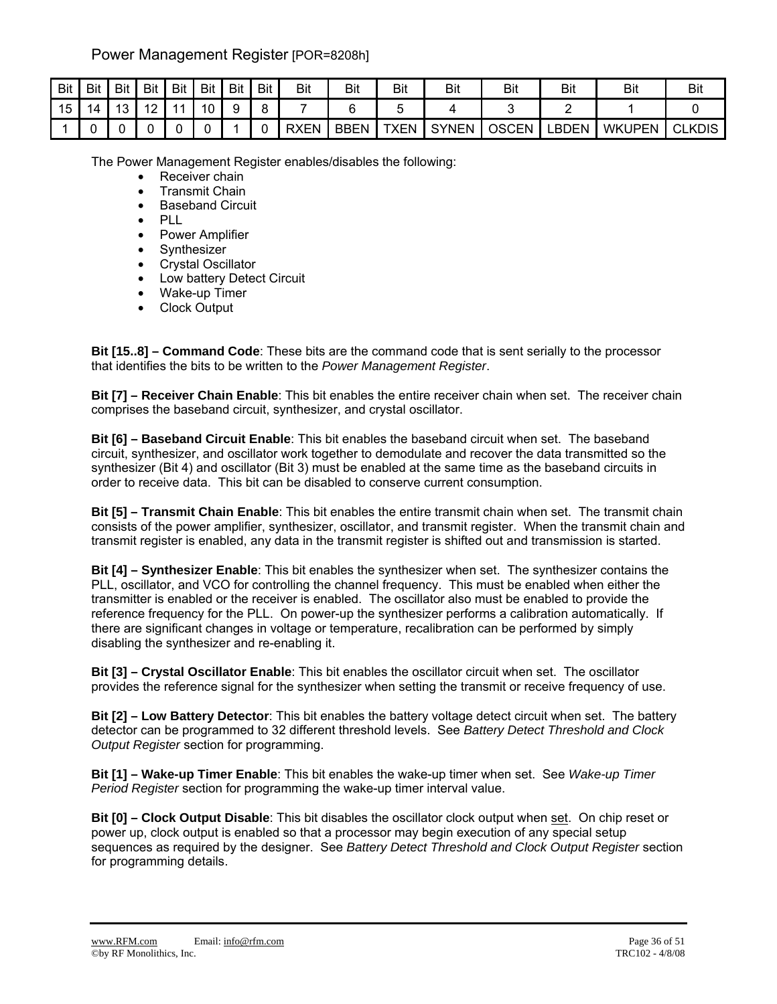## Power Management Register [POR=8208h]

| Bit | <b>Bit</b> | <b>Bit</b> | Bit                 | Bit | Bit | Bit | Bit | <b>Bit</b>  | Bit  | Bit         | Bit          | Bit          | Bit   | Bit           | Bit           |
|-----|------------|------------|---------------------|-----|-----|-----|-----|-------------|------|-------------|--------------|--------------|-------|---------------|---------------|
| 15  | 4          | 10         | $\overline{ }$<br>▵ | -41 | 1 N | a   |     |             |      |             |              |              |       |               |               |
|     |            |            |                     |     |     |     |     | <b>RXEN</b> | BBEN | <b>TXEN</b> | <b>SYNEN</b> | <b>OSCEN</b> | ∟BDEN | <b>WKUPEN</b> | <b>CLKDIS</b> |

The Power Management Register enables/disables the following:

- Receiver chain
- Transmit Chain
- Baseband Circuit
- PLL
- Power Amplifier
- Synthesizer
- Crystal Oscillator
- Low battery Detect Circuit
- Wake-up Timer
- Clock Output

**Bit [15..8] – Command Code**: These bits are the command code that is sent serially to the processor that identifies the bits to be written to the *Power Management Register*.

**Bit [7] – Receiver Chain Enable**: This bit enables the entire receiver chain when set. The receiver chain comprises the baseband circuit, synthesizer, and crystal oscillator.

**Bit [6] – Baseband Circuit Enable**: This bit enables the baseband circuit when set. The baseband circuit, synthesizer, and oscillator work together to demodulate and recover the data transmitted so the synthesizer (Bit 4) and oscillator (Bit 3) must be enabled at the same time as the baseband circuits in order to receive data. This bit can be disabled to conserve current consumption.

**Bit [5] – Transmit Chain Enable**: This bit enables the entire transmit chain when set. The transmit chain consists of the power amplifier, synthesizer, oscillator, and transmit register. When the transmit chain and transmit register is enabled, any data in the transmit register is shifted out and transmission is started.

**Bit [4] – Synthesizer Enable**: This bit enables the synthesizer when set. The synthesizer contains the PLL, oscillator, and VCO for controlling the channel frequency. This must be enabled when either the transmitter is enabled or the receiver is enabled. The oscillator also must be enabled to provide the reference frequency for the PLL. On power-up the synthesizer performs a calibration automatically. If there are significant changes in voltage or temperature, recalibration can be performed by simply disabling the synthesizer and re-enabling it.

**Bit [3] – Crystal Oscillator Enable**: This bit enables the oscillator circuit when set. The oscillator provides the reference signal for the synthesizer when setting the transmit or receive frequency of use.

**Bit [2] – Low Battery Detector**: This bit enables the battery voltage detect circuit when set. The battery detector can be programmed to 32 different threshold levels. See *Battery Detect Threshold and Clock Output Register* section for programming.

**Bit [1] – Wake-up Timer Enable**: This bit enables the wake-up timer when set. See *Wake-up Timer Period Register* section for programming the wake-up timer interval value.

**Bit [0] – Clock Output Disable**: This bit disables the oscillator clock output when set. On chip reset or power up, clock output is enabled so that a processor may begin execution of any special setup sequences as required by the designer. See *Battery Detect Threshold and Clock Output Register* section for programming details.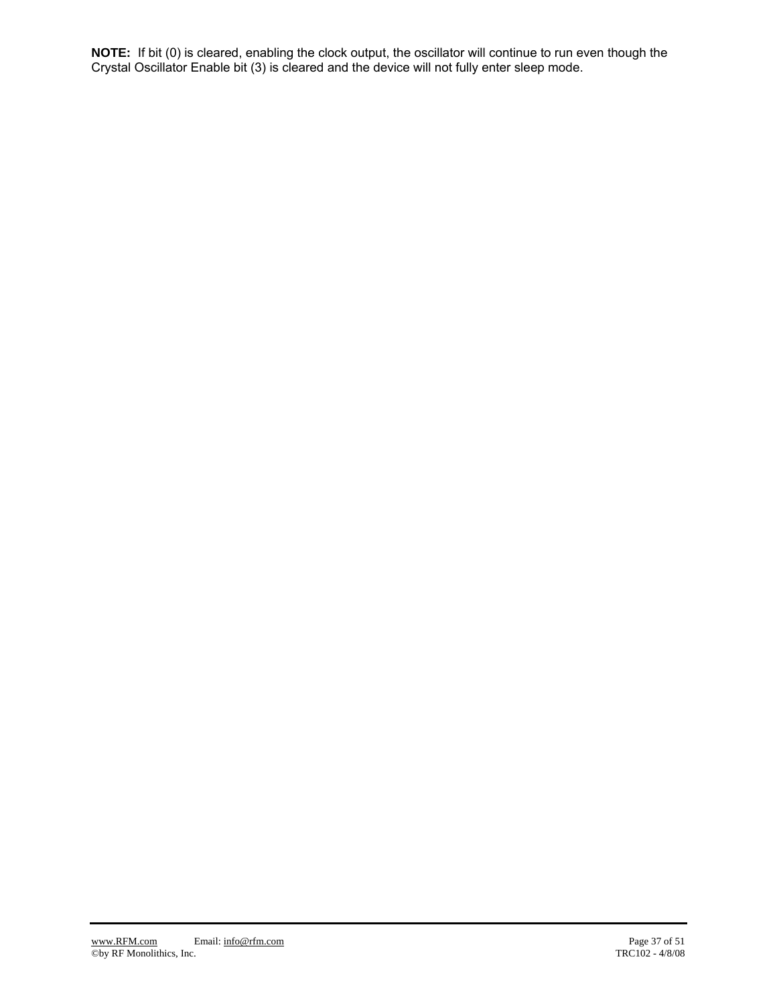**NOTE:** If bit (0) is cleared, enabling the clock output, the oscillator will continue to run even though the Crystal Oscillator Enable bit (3) is cleared and the device will not fully enter sleep mode.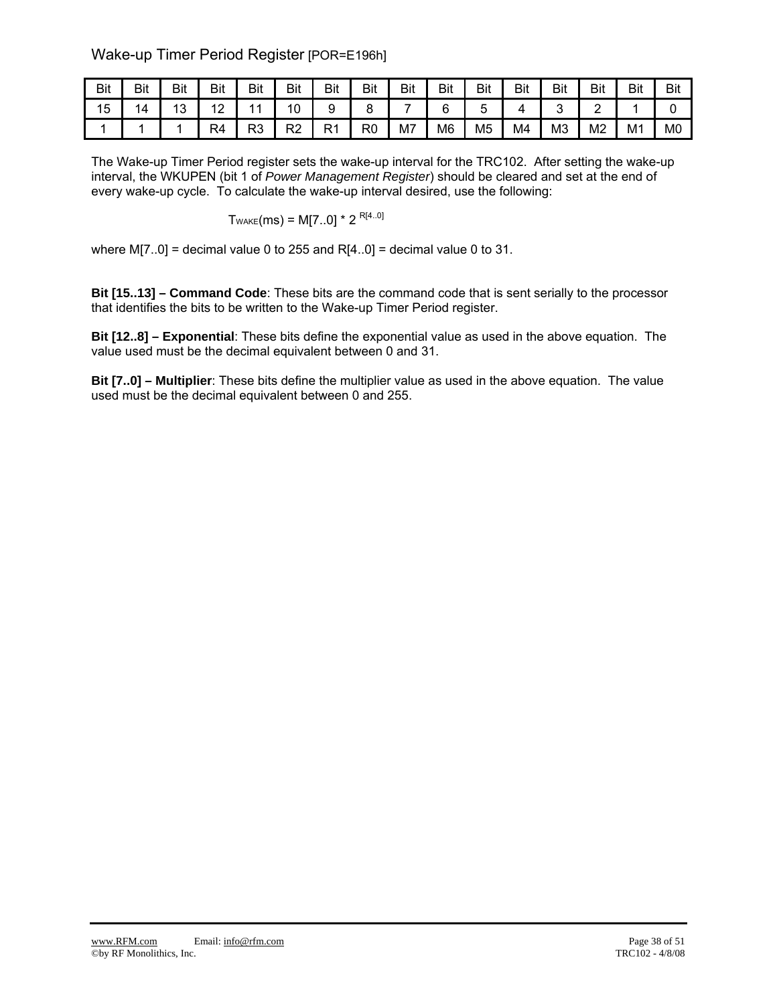## Wake-up Timer Period Register [POR=E196h]

| Bit | Bit | Bit                   | Bit            | Bit            | Bit      | Bit       | Bit | <b>Bit</b> | Bit | Bit            | Bit | Bit | Bit | Bit            | Bit            |
|-----|-----|-----------------------|----------------|----------------|----------|-----------|-----|------------|-----|----------------|-----|-----|-----|----------------|----------------|
| 15  | 14  | $\overline{ }$<br>د ا | $\sim$<br>' '  | $\overline{A}$ | 10       |           |     |            |     |                |     |     | -   |                |                |
|     |     |                       | R <sub>4</sub> | R3             | ∩ים<br>∼ | ∙⊂<br>N 1 | R0  | M7         | M6  | M <sub>5</sub> | M4  | MЗ  | M2  | M <sub>1</sub> | M <sub>0</sub> |

The Wake-up Timer Period register sets the wake-up interval for the TRC102. After setting the wake-up interval, the WKUPEN (bit 1 of *Power Management Register*) should be cleared and set at the end of every wake-up cycle. To calculate the wake-up interval desired, use the following:

$$
T_{\text{WAKE}}(ms) = M[7..0] * 2^{R[4..0]}
$$

where  $M[7..0]$  = decimal value 0 to 255 and R[4..0] = decimal value 0 to 31.

**Bit [15..13] – Command Code**: These bits are the command code that is sent serially to the processor that identifies the bits to be written to the Wake-up Timer Period register.

**Bit [12..8] – Exponential**: These bits define the exponential value as used in the above equation. The value used must be the decimal equivalent between 0 and 31.

**Bit [7..0] – Multiplier**: These bits define the multiplier value as used in the above equation. The value used must be the decimal equivalent between 0 and 255.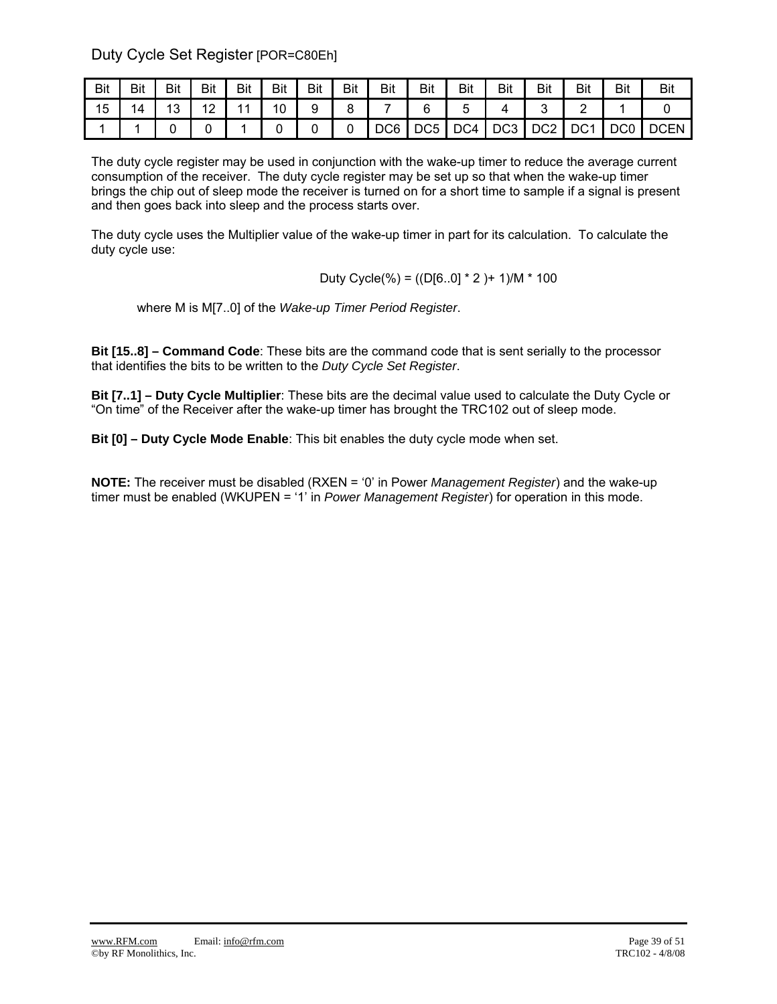Duty Cycle Set Register [POR=C80Eh]

| Bit | Bit | Bit           | Bit              | Bit | Bit | <b>Bit</b> | Bit | Bit             | Bit             | <b>Bit</b> | <b>Bit</b>      | Bit             | Bit             | Bit | Bit         |
|-----|-----|---------------|------------------|-----|-----|------------|-----|-----------------|-----------------|------------|-----------------|-----------------|-----------------|-----|-------------|
| 15  | 14  | $\Delta$<br>υ | 12<br>$\epsilon$ |     | 10  | a<br>ັ     |     |                 | ⌒               |            |                 |                 |                 |     |             |
|     |     |               |                  |     |     |            |     | DC <sub>6</sub> | DC <sub>5</sub> | DC4        | DC <sub>3</sub> | DC <sub>2</sub> | DC <sub>1</sub> | DC0 | <b>DCEN</b> |

The duty cycle register may be used in conjunction with the wake-up timer to reduce the average current consumption of the receiver. The duty cycle register may be set up so that when the wake-up timer brings the chip out of sleep mode the receiver is turned on for a short time to sample if a signal is present and then goes back into sleep and the process starts over.

The duty cycle uses the Multiplier value of the wake-up timer in part for its calculation. To calculate the duty cycle use:

Duty Cycle(%) = ((D[6..0] \* 2 )+ 1)/M \* 100

where M is M[7..0] of the *Wake-up Timer Period Register*.

**Bit [15..8] – Command Code**: These bits are the command code that is sent serially to the processor that identifies the bits to be written to the *Duty Cycle Set Register*.

**Bit [7..1] – Duty Cycle Multiplier**: These bits are the decimal value used to calculate the Duty Cycle or "On time" of the Receiver after the wake-up timer has brought the TRC102 out of sleep mode.

**Bit [0] – Duty Cycle Mode Enable**: This bit enables the duty cycle mode when set.

**NOTE:** The receiver must be disabled (RXEN = '0' in Power *Management Register*) and the wake-up timer must be enabled (WKUPEN = '1' in *Power Management Register*) for operation in this mode.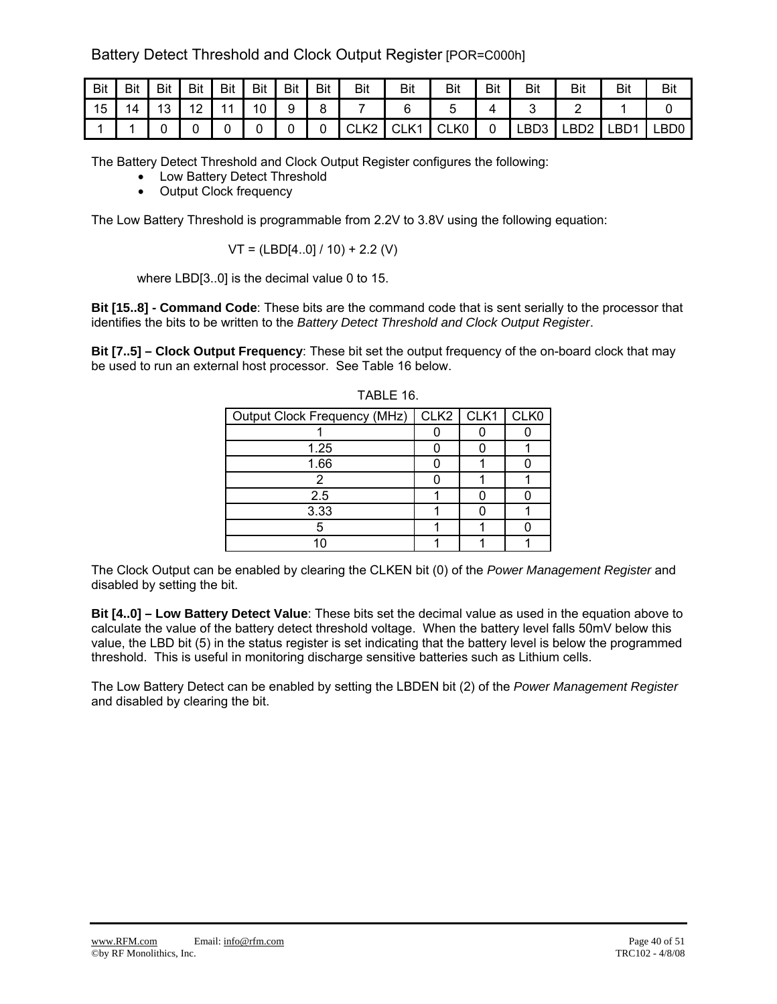Battery Detect Threshold and Clock Output Register [POR=C000h]

| Bit | Bit | Bit | Bit                    | Bit            | Bit | Bit | Bit | <b>Bit</b>           | Bit              | Bit  | Bit | Bit  | Bit  | Bit              | Bit  |
|-----|-----|-----|------------------------|----------------|-----|-----|-----|----------------------|------------------|------|-----|------|------|------------------|------|
| 15  | 14  | 13  | $\sqrt{2}$<br><u>_</u> | $\overline{A}$ | 10  |     |     |                      |                  |      |     |      |      |                  |      |
|     |     |     |                        |                |     |     |     | レつ<br>$\sim$<br>∪∟r∠ | CLK <sup>1</sup> | CLK0 | U   | LBD3 | LBD2 | LBD <sup>4</sup> | _BD0 |

The Battery Detect Threshold and Clock Output Register configures the following:

- Low Battery Detect Threshold
- Output Clock frequency

The Low Battery Threshold is programmable from 2.2V to 3.8V using the following equation:

$$
VT = (LBD[4..0]/10) + 2.2 (V)
$$

where LBD[3..0] is the decimal value 0 to 15.

**Bit [15..8] - Command Code**: These bits are the command code that is sent serially to the processor that identifies the bits to be written to the *Battery Detect Threshold and Clock Output Register*.

**Bit [7..5] – Clock Output Frequency**: These bit set the output frequency of the on-board clock that may be used to run an external host processor. See Table 16 below.

| Output Clock Frequency (MHz) | $CLK2$ $CLK1$ | CLK0 |
|------------------------------|---------------|------|
|                              |               |      |
| 1.25                         |               |      |
| 1.66                         |               |      |
|                              |               |      |
| 2.5                          |               |      |
| 3.33                         |               |      |
|                              |               |      |
|                              |               |      |

TABLE 16.

The Clock Output can be enabled by clearing the CLKEN bit (0) of the *Power Management Register* and disabled by setting the bit.

**Bit [4..0] – Low Battery Detect Value**: These bits set the decimal value as used in the equation above to calculate the value of the battery detect threshold voltage. When the battery level falls 50mV below this value, the LBD bit (5) in the status register is set indicating that the battery level is below the programmed threshold. This is useful in monitoring discharge sensitive batteries such as Lithium cells.

The Low Battery Detect can be enabled by setting the LBDEN bit (2) of the *Power Management Register* and disabled by clearing the bit.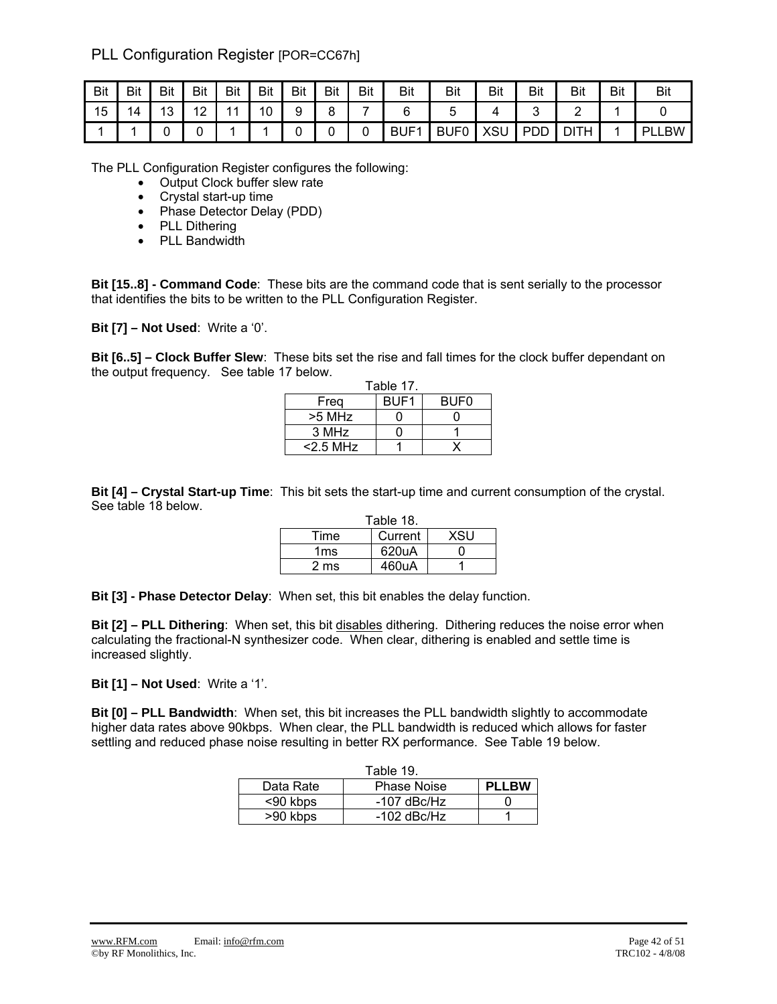## PLL Configuration Register [POR=CC67h]

| <b>Bit</b> | Bit | <b>Bit</b> | Bit | <b>Bit</b>     | <b>Bit</b> | <b>Bit</b> | <b>Bit</b> | <b>Bit</b> | <b>Bit</b>       | <b>Bit</b>  | Bit | Bit        | Bit | Bit | Bit       |
|------------|-----|------------|-----|----------------|------------|------------|------------|------------|------------------|-------------|-----|------------|-----|-----|-----------|
| 15         | 14  | 13         | 12  | $\overline{A}$ | 10         | 9          | 8          |            |                  |             |     |            |     |     |           |
|            |     |            |     |                |            |            | ີ          | ⊾          | BUF <sub>1</sub> | <b>BUF0</b> | XSU | <b>PDD</b> | ◡   |     | ∟BW<br>ÞЕ |

The PLL Configuration Register configures the following:

• Output Clock buffer slew rate

- Crystal start-up time
- Phase Detector Delay (PDD)
- PLL Dithering
- PLL Bandwidth

**Bit [15..8] - Command Code**: These bits are the command code that is sent serially to the processor that identifies the bits to be written to the PLL Configuration Register.

**Bit [7] – Not Used**: Write a '0'.

**Bit [6..5] – Clock Buffer Slew**: These bits set the rise and fall times for the clock buffer dependant on the output frequency. See table 17 below.

|             | Table 17.        |                  |
|-------------|------------------|------------------|
| Frea        | BUF <sub>1</sub> | BUF <sub>0</sub> |
| >5 MHz      |                  |                  |
| 3 MHz       |                  |                  |
| $<$ 2.5 MHz |                  |                  |

**Bit [4] – Crystal Start-up Time**: This bit sets the start-up time and current consumption of the crystal. See table 18 below.

|      | Table 18. |     |
|------|-----------|-----|
| Time | Current   | XSU |
| 1ms  | 620uA     |     |
| 2 ms | 460uA     |     |

**Bit [3] - Phase Detector Delay**: When set, this bit enables the delay function.

**Bit [2] – PLL Dithering**: When set, this bit disables dithering. Dithering reduces the noise error when calculating the fractional-N synthesizer code. When clear, dithering is enabled and settle time is increased slightly.

**Bit [1] – Not Used**: Write a '1'.

**Bit [0] – PLL Bandwidth**: When set, this bit increases the PLL bandwidth slightly to accommodate higher data rates above 90kbps. When clear, the PLL bandwidth is reduced which allows for faster settling and reduced phase noise resulting in better RX performance. See Table 19 below.

|           | Table 19.          |              |
|-----------|--------------------|--------------|
| Data Rate | <b>Phase Noise</b> | <b>PLLBW</b> |
| <90 kbps  | $-107$ dBc/Hz      |              |
| >90 kbps  | $-102$ dBc/Hz      |              |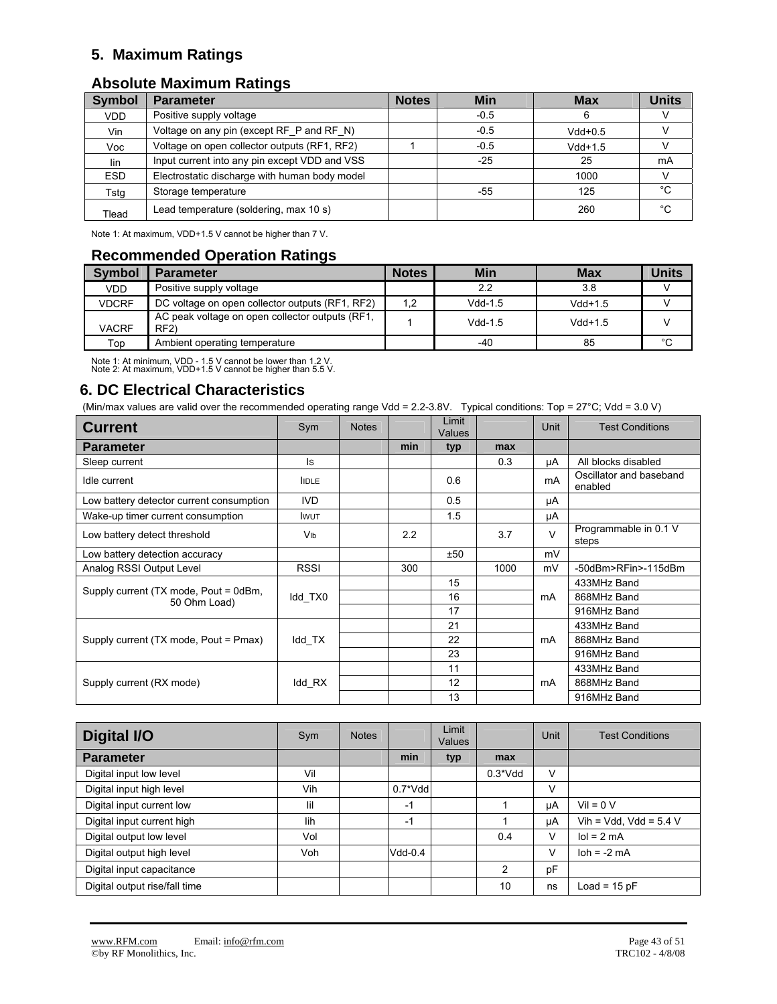## **5. Maximum Ratings**

## **Absolute Maximum Ratings**

| <b>Symbol</b> | <b>Parameter</b>                              | <b>Notes</b> | Min    | Max       | <b>Units</b> |
|---------------|-----------------------------------------------|--------------|--------|-----------|--------------|
| VDD.          | Positive supply voltage                       |              | $-0.5$ | 6         |              |
| Vin           | Voltage on any pin (except RF_P and RF_N)     |              | $-0.5$ | $Vdd+0.5$ |              |
| Voc           | Voltage on open collector outputs (RF1, RF2)  |              | $-0.5$ | $Vdd+1.5$ |              |
| lin           | Input current into any pin except VDD and VSS |              | $-25$  | 25        | mA           |
| <b>ESD</b>    | Electrostatic discharge with human body model |              |        | 1000      |              |
| Tstg          | Storage temperature                           |              | -55    | 125       | °C           |
| Tlead         | Lead temperature (soldering, max 10 s)        |              |        | 260       | °C           |

Note 1: At maximum, VDD+1.5 V cannot be higher than 7 V.

## **Recommended Operation Ratings**

| <b>Symbol</b> | <b>Parameter</b>                                       | <b>Notes</b> | Min       | <b>Max</b> | <b>Units</b> |
|---------------|--------------------------------------------------------|--------------|-----------|------------|--------------|
| <b>VDD</b>    | Positive supply voltage                                |              | 2.2       | 3.8        |              |
| <b>VDCRF</b>  | DC voltage on open collector outputs (RF1, RF2)        | 1,2          | $Vdd-1.5$ | $Vdd+1.5$  |              |
| <b>VACRF</b>  | AC peak voltage on open collector outputs (RF1,<br>RF2 |              | $Vdd-1.5$ | $Vdd+1.5$  |              |
| Top           | Ambient operating temperature                          |              | -40       | 85         | °C           |

Note 1: At minimum, VDD - 1.5 V cannot be lower than 1.2 V. Note 2: At maximum, VDD+1.5 V cannot be higher than 5.5 V.

## **6. DC Electrical Characteristics**

(Min/max values are valid over the recommended operating range Vdd = 2.2-3.8V. Typical conditions: Top = 27°C; Vdd = 3.0 V)

| <b>Current</b>                                        | Sym             | <b>Notes</b> |     | Limit<br>Values |      | Unit          | <b>Test Conditions</b>             |
|-------------------------------------------------------|-----------------|--------------|-----|-----------------|------|---------------|------------------------------------|
| <b>Parameter</b>                                      |                 |              | min | typ             | max  |               |                                    |
| Sleep current                                         | ls.             |              |     |                 | 0.3  | μA            | All blocks disabled                |
| Idle current                                          | <b>IDLE</b>     |              |     | 0.6             |      | mA            | Oscillator and baseband<br>enabled |
| Low battery detector current consumption              | <b>IVD</b>      |              |     | 0.5             |      | μA            |                                    |
| Wake-up timer current consumption                     | <b>I</b> WUT    |              |     | 1.5             |      | μA            |                                    |
| Low battery detect threshold                          | V <sub>Ib</sub> |              | 2.2 |                 | 3.7  | $\mathcal{U}$ | Programmable in 0.1 V<br>steps     |
| Low battery detection accuracy                        |                 |              |     | ±50             |      | mV            |                                    |
| Analog RSSI Output Level                              | <b>RSSI</b>     |              | 300 |                 | 1000 | mV            | -50dBm>RFin>-115dBm                |
|                                                       |                 |              |     | 15              |      | mA            | 433MHz Band                        |
| Supply current (TX mode, Pout = 0dBm,<br>50 Ohm Load) | Idd TX0         |              |     | 16              |      |               | 868MHz Band                        |
|                                                       |                 |              |     | 17              |      |               | 916MHz Band                        |
|                                                       |                 |              |     | 21              |      |               | 433MHz Band                        |
| Supply current (TX mode, Pout = Pmax)                 | Idd TX          |              |     | 22              |      | mA            | 868MHz Band                        |
|                                                       |                 |              |     | 23              |      |               | 916MHz Band                        |
|                                                       |                 |              |     | 11              |      |               | 433MHz Band                        |
| Supply current (RX mode)                              | ldd_RX          |              |     | 12              |      | mA            | 868MHz Band                        |
|                                                       |                 |              |     | 13              |      |               | 916MHz Band                        |

| <b>Digital I/O</b>            | Sym | <b>Notes</b> |             | Limit<br><b>Values</b> |           | Unit | <b>Test Conditions</b>       |
|-------------------------------|-----|--------------|-------------|------------------------|-----------|------|------------------------------|
| <b>Parameter</b>              |     |              | min         | typ                    | max       |      |                              |
| Digital input low level       | Vil |              |             |                        | $0.3*Vdd$ | v    |                              |
| Digital input high level      | Vih |              | $0.7^*V$ dd |                        |           | v    |                              |
| Digital input current low     | lil |              | $-1$        |                        |           | uA   | $Vil = 0 V$                  |
| Digital input current high    | lih |              | $-1$        |                        |           | μA   | Vih = Vdd, Vdd = $5.4$ V     |
| Digital output low level      | Vol |              |             |                        | 0.4       | V    | $\text{Io} = 2 \text{ mA}$   |
| Digital output high level     | Voh |              | $Vdd-0.4$   |                        |           | V    | $\text{loh} = -2 \text{ mA}$ |
| Digital input capacitance     |     |              |             |                        | 2         | pF   |                              |
| Digital output rise/fall time |     |              |             |                        | 10        | ns   | Load = $15$ pF               |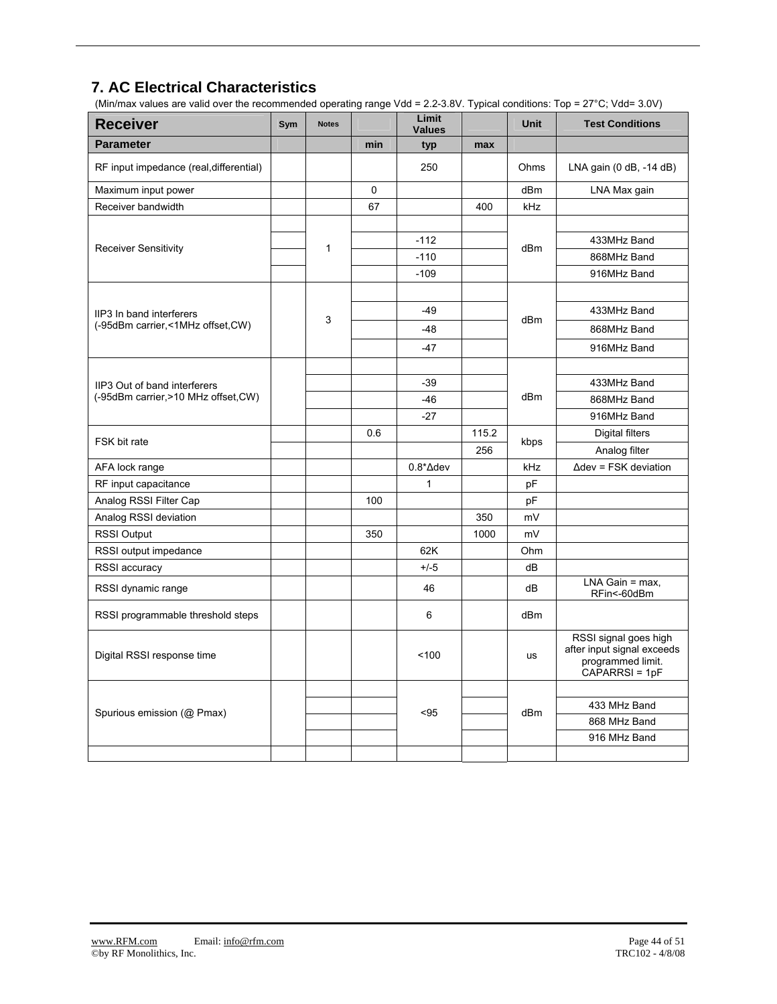## **7. AC Electrical Characteristics**

(Min/max values are valid over the recommended operating range Vdd = 2.2-3.8V. Typical conditions: Top = 27°C; Vdd= 3.0V)

| <b>Receiver</b>                         | Sym | <b>Notes</b> |     | Limit<br><b>Values</b> |       | <b>Unit</b>     | <b>Test Conditions</b>                                                                     |
|-----------------------------------------|-----|--------------|-----|------------------------|-------|-----------------|--------------------------------------------------------------------------------------------|
| <b>Parameter</b>                        |     |              | min | typ                    | max   |                 |                                                                                            |
| RF input impedance (real, differential) |     |              |     | 250                    |       | Ohms            | LNA gain (0 dB, -14 dB)                                                                    |
| Maximum input power                     |     |              | 0   |                        |       | dBm             | LNA Max gain                                                                               |
| Receiver bandwidth                      |     |              | 67  |                        | 400   | <b>kHz</b>      |                                                                                            |
|                                         |     |              |     |                        |       |                 |                                                                                            |
| <b>Receiver Sensitivity</b>             |     | 1            |     | $-112$                 |       | dBm             | 433MHz Band                                                                                |
|                                         |     |              |     | $-110$                 |       |                 | 868MHz Band                                                                                |
|                                         |     |              |     | $-109$                 |       |                 | 916MHz Band                                                                                |
|                                         |     |              |     |                        |       |                 |                                                                                            |
| IIP3 In band interferers                |     | 3            |     | $-49$                  |       | dBm             | 433MHz Band                                                                                |
| (-95dBm carrier,<1MHz offset,CW)        |     |              |     | $-48$                  |       |                 | 868MHz Band                                                                                |
|                                         |     |              |     | $-47$                  |       |                 | 916MHz Band                                                                                |
|                                         |     |              |     |                        |       |                 |                                                                                            |
| IIP3 Out of band interferers            |     |              |     | $-39$                  |       |                 | 433MHz Band                                                                                |
| (-95dBm carrier, >10 MHz offset, CW)    |     |              |     | -46                    |       | dBm             | 868MHz Band                                                                                |
|                                         |     |              |     | $-27$                  |       |                 | 916MHz Band                                                                                |
| FSK bit rate                            |     |              | 0.6 |                        | 115.2 | kbps            | <b>Digital filters</b>                                                                     |
|                                         |     |              |     |                        | 256   |                 | Analog filter                                                                              |
| AFA lock range                          |     |              |     | $0.8^* \Delta$ dev     |       | kHz             | $\Delta$ dev = FSK deviation                                                               |
| RF input capacitance                    |     |              |     | $\mathbf{1}$           |       | pF              |                                                                                            |
| Analog RSSI Filter Cap                  |     |              | 100 |                        |       | pF              |                                                                                            |
| Analog RSSI deviation                   |     |              |     |                        | 350   | mV              |                                                                                            |
| <b>RSSI Output</b>                      |     |              | 350 |                        | 1000  | mV              |                                                                                            |
| RSSI output impedance                   |     |              |     | 62K                    |       | Ohm             |                                                                                            |
| RSSI accuracy                           |     |              |     | $+/-5$                 |       | dB              |                                                                                            |
| RSSI dynamic range                      |     |              |     | 46                     |       | dB              | $LNA$ Gain = max,<br>RFin<-60dBm                                                           |
| RSSI programmable threshold steps       |     |              |     | 6                      |       | dB <sub>m</sub> |                                                                                            |
| Digital RSSI response time              |     |              |     | 100                    |       | <b>us</b>       | RSSI signal goes high<br>after input signal exceeds<br>programmed limit.<br>CAPARRSI = 1pF |
|                                         |     |              |     |                        |       |                 |                                                                                            |
| Spurious emission (@ Pmax)              |     |              |     | $95$                   |       | dBm             | 433 MHz Band                                                                               |
|                                         |     |              |     |                        |       |                 | 868 MHz Band                                                                               |
|                                         |     |              |     |                        |       |                 | 916 MHz Band                                                                               |
|                                         |     |              |     |                        |       |                 |                                                                                            |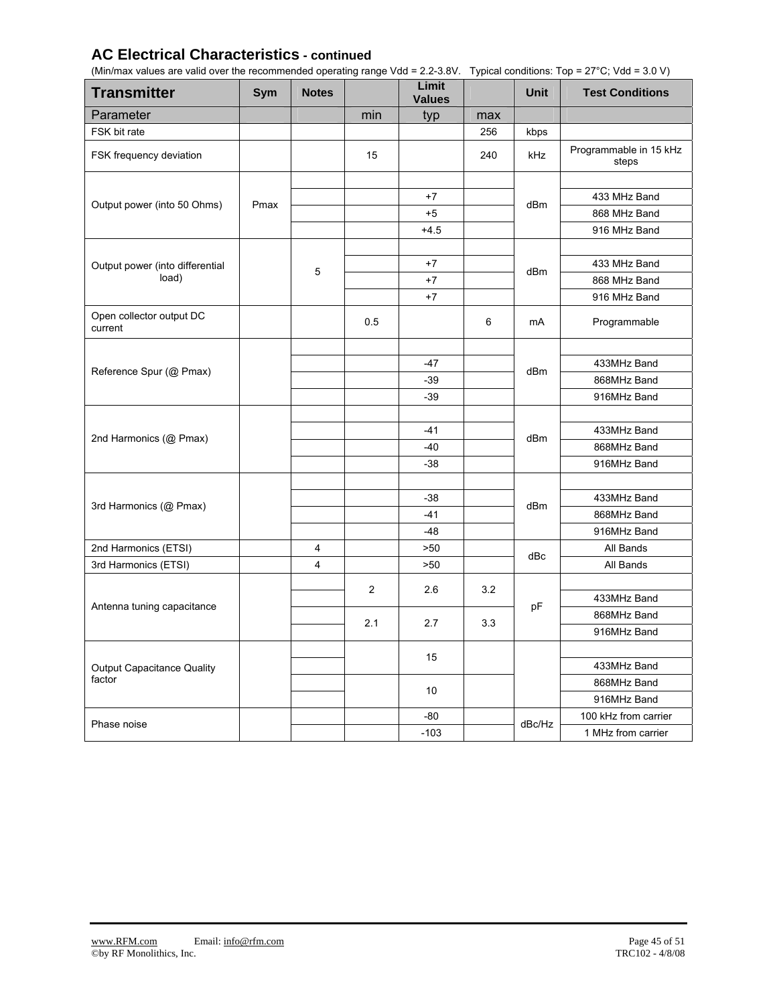## **AC Electrical Characteristics - continued**

(Min/max values are valid over the recommended operating range Vdd = 2.2-3.8V. Typical conditions: Top = 27°C; Vdd = 3.0 V)

| <b>Transmitter</b>                  | Sym  | <b>Notes</b>            |                | Limit<br><b>Values</b> |     | <b>Unit</b> | <b>Test Conditions</b>          |
|-------------------------------------|------|-------------------------|----------------|------------------------|-----|-------------|---------------------------------|
| Parameter                           |      |                         | min            | typ                    | max |             |                                 |
| FSK bit rate                        |      |                         |                |                        | 256 | kbps        |                                 |
| FSK frequency deviation             |      |                         | 15             |                        | 240 | kHz         | Programmable in 15 kHz<br>steps |
|                                     |      |                         |                |                        |     |             |                                 |
| Output power (into 50 Ohms)         | Pmax |                         |                | $+7$                   |     | dBm         | 433 MHz Band                    |
|                                     |      |                         |                | $+5$                   |     |             | 868 MHz Band                    |
|                                     |      |                         |                | $+4.5$                 |     |             | 916 MHz Band                    |
|                                     |      |                         |                |                        |     |             |                                 |
| Output power (into differential     |      | 5                       |                | $+7$                   |     | dBm         | 433 MHz Band                    |
| load)                               |      |                         |                | $+7$                   |     |             | 868 MHz Band                    |
|                                     |      |                         |                | $+7$                   |     |             | 916 MHz Band                    |
| Open collector output DC<br>current |      |                         | 0.5            |                        | 6   | mA          | Programmable                    |
|                                     |      |                         |                |                        |     |             |                                 |
| Reference Spur (@ Pmax)             |      |                         |                | -47                    |     | dBm         | 433MHz Band                     |
|                                     |      |                         |                | -39                    |     |             | 868MHz Band                     |
|                                     |      |                         |                | $-39$                  |     |             | 916MHz Band                     |
|                                     |      |                         |                |                        |     |             |                                 |
| 2nd Harmonics (@ Pmax)              |      |                         |                | $-41$                  |     | dBm         | 433MHz Band                     |
|                                     |      |                         |                | -40                    |     |             | 868MHz Band                     |
|                                     |      |                         |                | $-38$                  |     |             | 916MHz Band                     |
|                                     |      |                         |                |                        |     |             |                                 |
| 3rd Harmonics (@ Pmax)              |      |                         |                | $-38$                  |     | dBm         | 433MHz Band                     |
|                                     |      |                         |                | $-41$                  |     |             | 868MHz Band                     |
|                                     |      |                         |                | $-48$                  |     |             | 916MHz Band                     |
| 2nd Harmonics (ETSI)                |      | 4                       |                | >50                    |     |             | All Bands                       |
| 3rd Harmonics (ETSI)                |      | $\overline{\mathbf{4}}$ |                | >50                    |     | dBc         | All Bands                       |
|                                     |      |                         | $\overline{2}$ |                        | 3.2 |             |                                 |
|                                     |      |                         |                | 2.6                    |     |             | 433MHz Band                     |
| Antenna tuning capacitance          |      |                         |                |                        |     | pF          | 868MHz Band                     |
|                                     |      |                         | 2.1            | 2.7                    | 3.3 |             | 916MHz Band                     |
|                                     |      |                         |                |                        |     |             |                                 |
| <b>Output Capacitance Quality</b>   |      |                         | 15             |                        |     | 433MHz Band |                                 |
| factor                              |      |                         |                |                        |     |             | 868MHz Band                     |
|                                     |      |                         |                | 10                     |     |             | 916MHz Band                     |
|                                     |      |                         |                | -80                    |     |             | 100 kHz from carrier            |
| Phase noise                         |      |                         |                | $-103$                 |     | dBc/Hz      | 1 MHz from carrier              |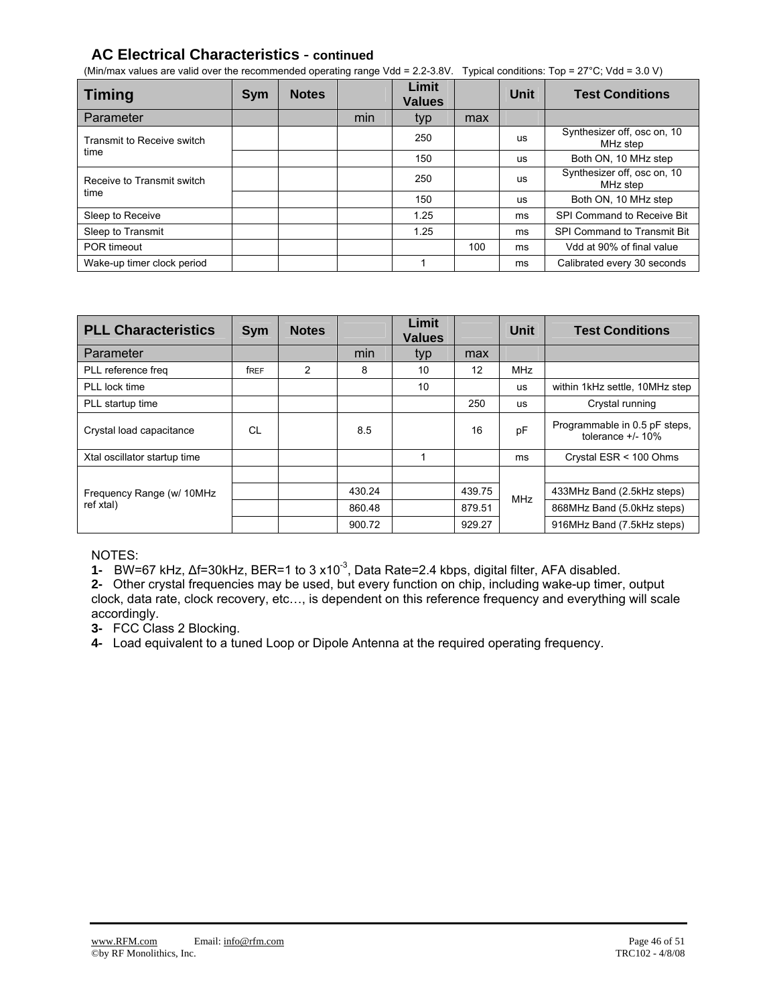## **AC Electrical Characteristics** - **continued**

(Min/max values are valid over the recommended operating range Vdd = 2.2-3.8V. Typical conditions: Top =  $27^{\circ}$ C; Vdd = 3.0 V)

| <b>Timing</b>              | <b>Sym</b> | <b>Notes</b> |     | Limit<br><b>Values</b> |     | <b>Unit</b>                             | <b>Test Conditions</b>                  |
|----------------------------|------------|--------------|-----|------------------------|-----|-----------------------------------------|-----------------------------------------|
| Parameter                  |            |              | min | typ                    | max |                                         |                                         |
| Transmit to Receive switch |            |              |     | 250<br>us              |     | Synthesizer off, osc on, 10<br>MHz step |                                         |
| time                       |            |              |     | 150                    |     | us                                      | Both ON, 10 MHz step                    |
| Receive to Transmit switch |            |              |     | 250                    |     | us                                      | Synthesizer off, osc on, 10<br>MHz step |
| time                       |            |              |     | 150                    |     | <b>US</b>                               | Both ON, 10 MHz step                    |
| Sleep to Receive           |            |              |     | 1.25                   |     | ms                                      | SPI Command to Receive Bit              |
| Sleep to Transmit          |            |              |     | 1.25                   |     | ms                                      | SPI Command to Transmit Bit             |
| POR timeout                |            |              |     |                        | 100 | ms                                      | Vdd at 90% of final value               |
| Wake-up timer clock period |            |              |     |                        |     | ms                                      | Calibrated every 30 seconds             |

| <b>PLL Characteristics</b>   | Sym  | <b>Notes</b> |        | Limit<br><b>Values</b> |        | <b>Unit</b> | <b>Test Conditions</b>                                |
|------------------------------|------|--------------|--------|------------------------|--------|-------------|-------------------------------------------------------|
| Parameter                    |      |              | min    | typ                    | max    |             |                                                       |
| PLL reference freq           | free | 2            | 8      | 10                     | 12     | <b>MHz</b>  |                                                       |
| PLL lock time                |      |              |        | 10                     |        | <b>us</b>   | within 1kHz settle, 10MHz step                        |
| PLL startup time             |      |              |        |                        | 250    | <b>US</b>   | Crystal running                                       |
| Crystal load capacitance     | CL   |              | 8.5    |                        | 16     | pF          | Programmable in 0.5 pF steps,<br>tolerance $+/$ - 10% |
| Xtal oscillator startup time |      |              |        | 1                      |        | ms          | Crystal ESR < 100 Ohms                                |
|                              |      |              |        |                        |        |             |                                                       |
| Frequency Range (w/ 10MHz    |      |              | 430.24 |                        | 439.75 | <b>MHz</b>  | 433MHz Band (2.5kHz steps)                            |
| ref xtal)                    |      |              | 860.48 |                        | 879.51 |             | 868MHz Band (5.0kHz steps)                            |
|                              |      |              | 900.72 |                        | 929.27 |             | 916MHz Band (7.5kHz steps)                            |

NOTES:

**1-** BW=67 kHz, Δf=30kHz, BER=1 to 3 x10-3, Data Rate=2.4 kbps, digital filter, AFA disabled.

**2-** Other crystal frequencies may be used, but every function on chip, including wake-up timer, output clock, data rate, clock recovery, etc…, is dependent on this reference frequency and everything will scale accordingly.

**3-** FCC Class 2 Blocking.

**4-** Load equivalent to a tuned Loop or Dipole Antenna at the required operating frequency.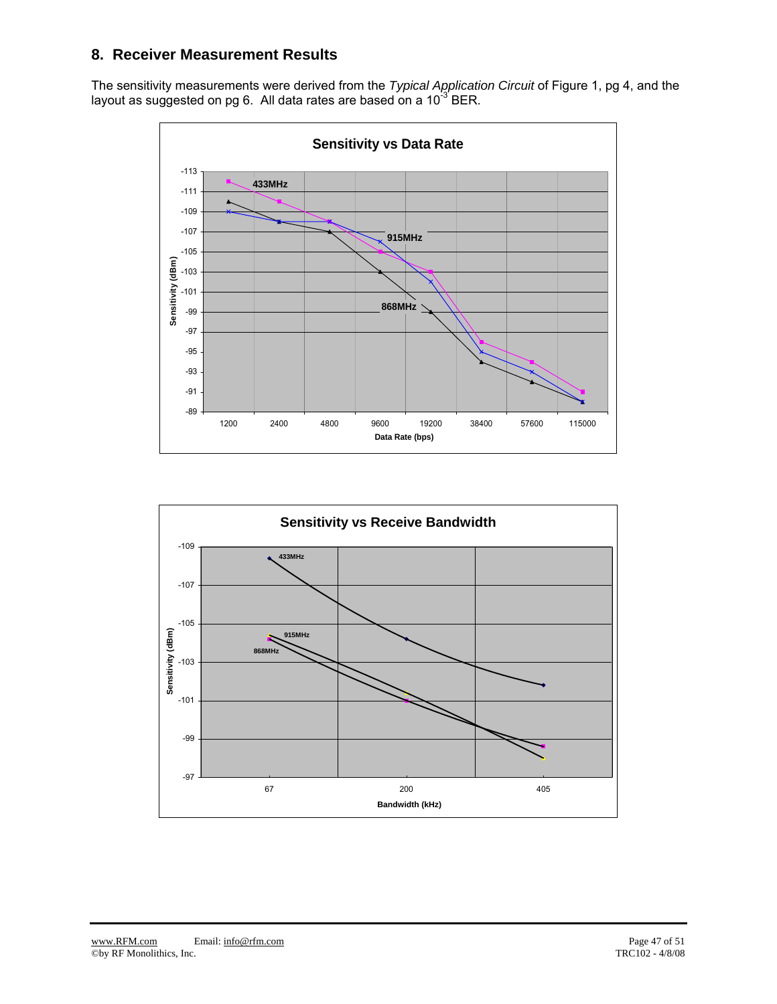## **8. Receiver Measurement Results**

The sensitivity measurements were derived from the *Typical Application Circuit* of Figure 1, pg 4, and the layout as suggested on pg 6. All data rates are based on a 10<sup>-3</sup> BER.



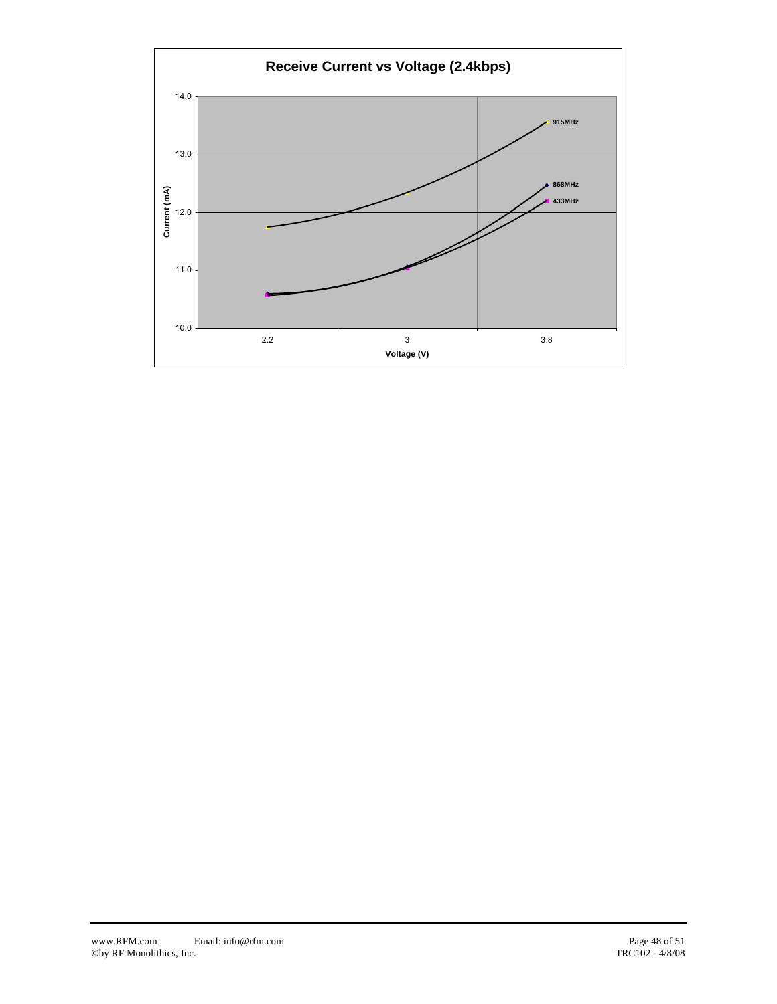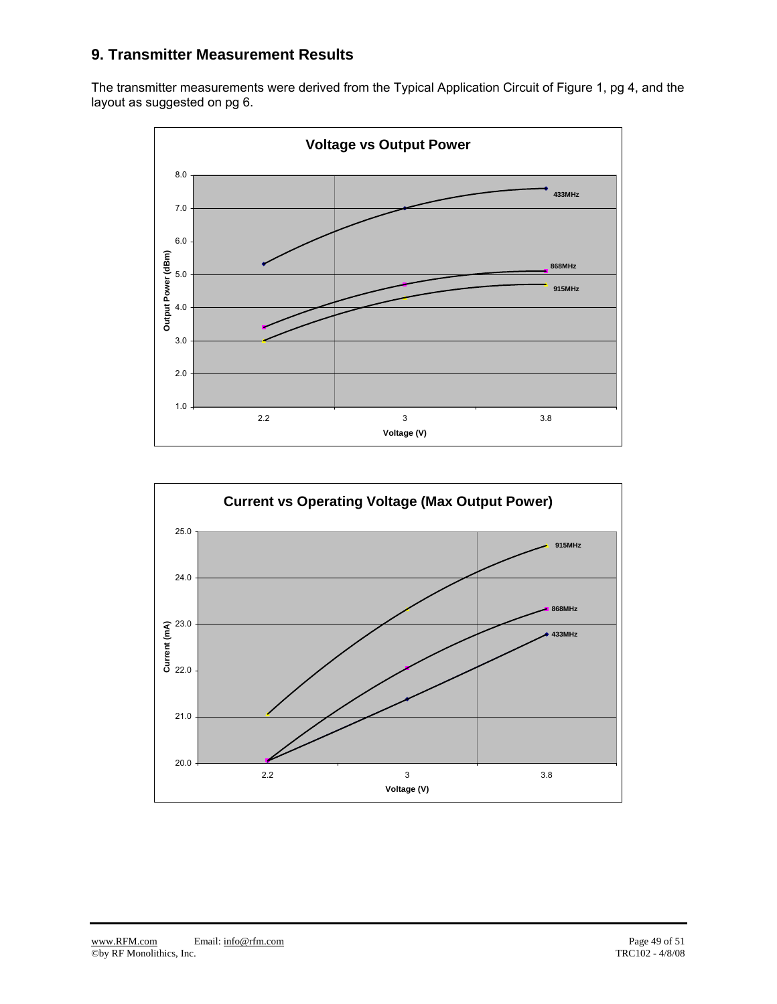## **9. Transmitter Measurement Results**

The transmitter measurements were derived from the Typical Application Circuit of Figure 1, pg 4, and the layout as suggested on pg 6.



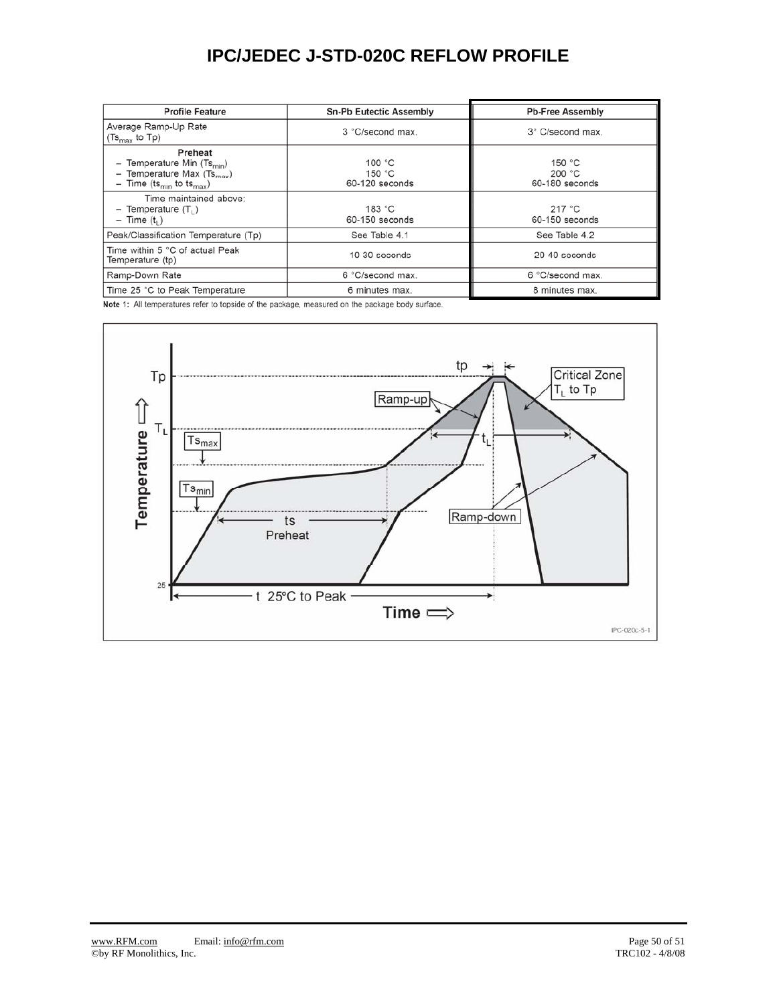## **IPC/JEDEC J-STD-020C REFLOW PROFILE**

| <b>Profile Feature</b>                                                                                                      | <b>Sn-Pb Eutectic Assembly</b>                 | <b>Pb-Free Assembly</b>            |
|-----------------------------------------------------------------------------------------------------------------------------|------------------------------------------------|------------------------------------|
| Average Ramp-Up Rate<br>$(Ts_{\text{max}}$ to Tp)                                                                           | 3 °C/second max.                               | 3° C/second max                    |
| Preheat<br>Temperature Min $(Ts_{min})$<br>Temperature Max $(Ts_{max})$<br>- Time (ts <sub>min</sub> to ts <sub>max</sub> ) | 100 $^{\circ}$ C<br>150 $°C$<br>60-120 seconds | 150 °C<br>200 °C<br>60-180 seconds |
| Time maintained above:<br>Temperature $(T_1)$<br>$-$ Time $(t_1)$                                                           | 183 °C<br>60-150 seconds                       | 217 °C<br>60-150 seconds           |
| Peak/Classification Temperature (Tp)                                                                                        | See Table 4.1                                  | See Table 4.2                      |
| Time within 5 °C of actual Peak<br>Temperature (tp)                                                                         | 10-30 seconds                                  | 20-40 seconds                      |
| Ramp-Down Rate                                                                                                              | 6 °C/second max.                               | 6 °C/second max.                   |
| Time 25 °C to Peak Temperature                                                                                              | 6 minutes max.                                 | 8 minutes max.                     |

Note 1: All temperatures refer to topside of the package, measured on the package body surface.